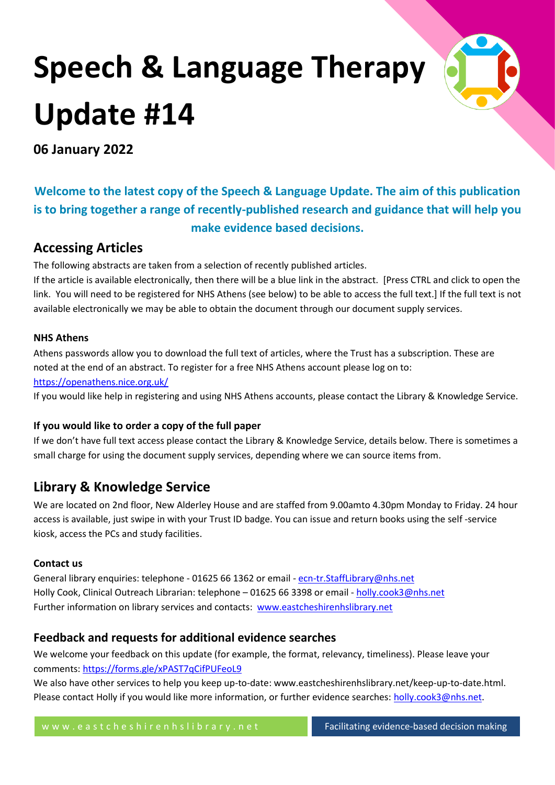# **Speech & Language Therapy Update #14**



**06 January 2022**

# **Welcome to the latest copy of the Speech & Language Update. The aim of this publication is to bring together a range of recently-published research and guidance that will help you make evidence based decisions.**

# **Accessing Articles**

The following abstracts are taken from a selection of recently published articles.

If the article is available electronically, then there will be a blue link in the abstract. [Press CTRL and click to open the link. You will need to be registered for NHS Athens (see below) to be able to access the full text.] If the full text is not available electronically we may be able to obtain the document through our document supply services.

#### **NHS Athens**

Athens passwords allow you to download the full text of articles, where the Trust has a subscription. These are noted at the end of an abstract. To register for a free NHS Athens account please log on to: <https://openathens.nice.org.uk/>

If you would like help in registering and using NHS Athens accounts, please contact the Library & Knowledge Service.

#### **If you would like to order a copy of the full paper**

If we don't have full text access please contact the Library & Knowledge Service, details below. There is sometimes a small charge for using the document supply services, depending where we can source items from.

# **Library & Knowledge Service**

We are located on 2nd floor, New Alderley House and are staffed from 9.00amto 4.30pm Monday to Friday. 24 hour access is available, just swipe in with your Trust ID badge. You can issue and return books using the self -service kiosk, access the PCs and study facilities.

#### **Contact us**

General library enquiries: telephone - 01625 66 1362 or email - [ecn-tr.StaffLibrary@nhs.net](mailto:ecn-tr.StaffLibrary@nhs.net) Holly Cook, Clinical Outreach Librarian: telephone - 01625 66 3398 or email - [holly.cook3@nhs.net](mailto:holly.cook3@nhs.net) Further information on library services and contacts: [www.eastcheshirenhslibrary.net](http://www.eastcheshirenhslibrary.net/)

# **Feedback and requests for additional evidence searches**

We welcome your feedback on this update (for example, the format, relevancy, timeliness). Please leave your comments[: https://forms.gle/xPAST7qCifPUFeoL9](https://forms.gle/xPAST7qCifPUFeoL9)

We also have other services to help you keep up-to-date: www.eastcheshirenhslibrary.net/keep-up-to-date.html. Please contact Holly if you would like more information, or further evidence searches: [holly.cook3@nhs.net.](mailto:holly.cook3@nhs.net)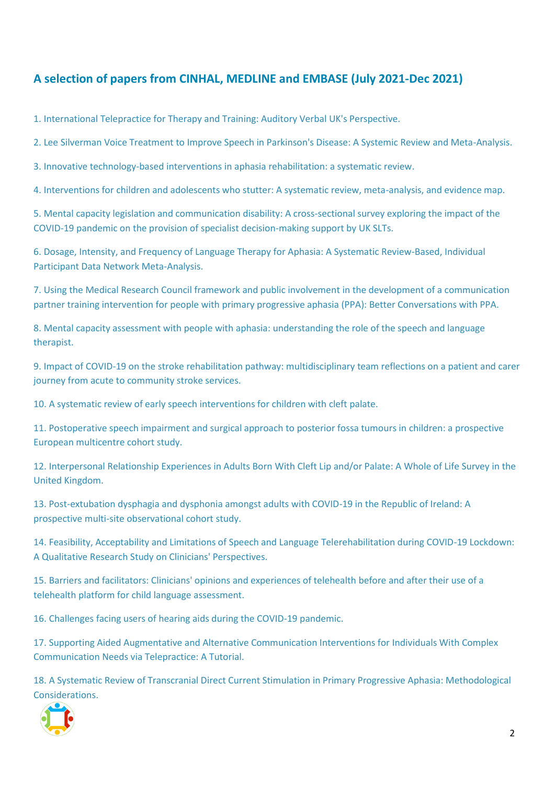# **A selection of papers from CINHAL, MEDLINE and EMBASE (July 2021-Dec 2021)**

[1. International Telepractice for Therapy and Training: Auditory Verbal UK's Perspective.](#page-4-0)

[2. Lee Silverman Voice Treatment to Improve Speech in Parkinson's Disease: A Systemic Review and Meta-Analysis.](#page-4-1)

[3. Innovative technology-based interventions in aphasia rehabilitation: a systematic review.](#page-5-0)

[4. Interventions for children and adolescents who stutter: A systematic review, meta-analysis, and evidence map.](#page-5-1)

[5. Mental capacity legislation and communication disability: A cross-sectional survey exploring the impact of the](#page-6-0)  [COVID-19 pandemic on the provision of specialist decision-making support by UK SLTs.](#page-6-0)

[6. Dosage, Intensity, and Frequency of Language Therapy for Aphasia: A Systematic Review-Based, Individual](#page-7-0)  [Participant Data Network Meta-Analysis.](#page-7-0)

[7. Using the Medical Research Council framework and public involvement in the development of a communication](#page-8-0)  [partner training intervention for people with primary progressive aphasia \(PPA\): Better Conversations with PPA.](#page-8-0)

8. Mental capacity assessment with people with [aphasia: understanding the role of the speech and language](#page-9-0)  [therapist.](#page-9-0)

[9. Impact of COVID-19 on the stroke rehabilitation pathway: multidisciplinary team reflections on a patient and carer](#page-9-1)  [journey from acute to community stroke services.](#page-9-1)

[10. A systematic review of early speech interventions for children with cleft palate.](#page-10-0)

[11. Postoperative speech impairment and surgical approach to posterior fossa tumours in children: a prospective](#page-11-0)  [European multicentre cohort study.](#page-11-0)

[12. Interpersonal Relationship Experiences in Adults Born With Cleft Lip and/or Palate: A Whole of Life Survey in the](#page-12-0)  [United Kingdom.](#page-12-0)

[13. Post-extubation dysphagia and dysphonia amongst adults with COVID-19 in the Republic of Ireland: A](#page-12-1)  [prospective multi-site observational cohort study.](#page-12-1)

[14. Feasibility, Acceptability and Limitations of Speech and Language Telerehabilitation during COVID-19 Lockdown:](#page-13-0)  [A Qualitative Research Study on Clinicians' Perspectives.](#page-13-0)

[15. Barriers and facilitators: Clinicians' opinions and experiences of telehealth before and after their use of a](#page-14-0)  [telehealth platform for child language assessment.](#page-14-0)

[16. Challenges facing users of hearing aids during the COVID-19 pandemic.](#page-15-0)

[17. Supporting Aided Augmentative and Alternative Communication Interventions for Individuals With Complex](#page-15-1)  [Communication Needs via Telepractice: A Tutorial.](#page-15-1)

[18. A Systematic Review of Transcranial Direct Current Stimulation in Primary Progressive Aphasia: Methodological](#page-16-0)  [Considerations.](#page-16-0)

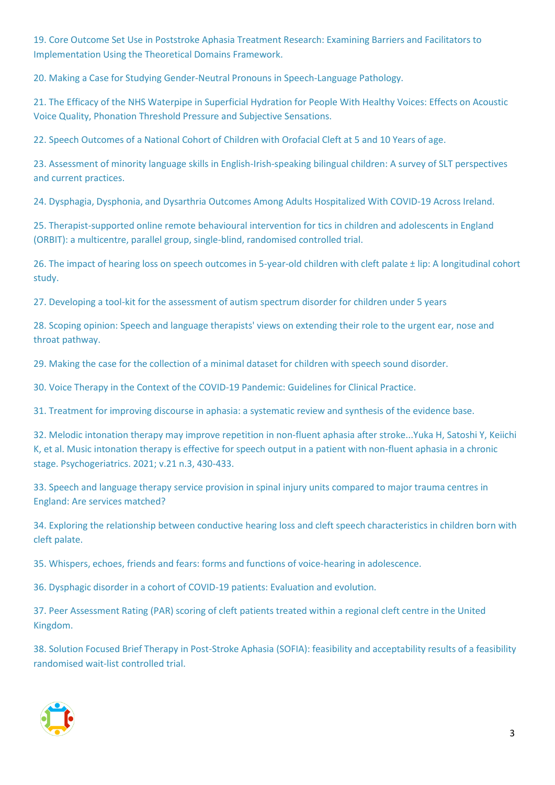[19. Core Outcome Set Use in Poststroke Aphasia Treatment Research: Examining Barriers and Facilitators to](#page-16-1)  [Implementation Using the Theoretical Domains Framework.](#page-16-1)

[20. Making a Case for Studying Gender-Neutral Pronouns in Speech-Language Pathology.](#page-17-0)

[21. The Efficacy of the NHS Waterpipe in Superficial Hydration for People With Healthy Voices: Effects on Acoustic](#page-18-0)  [Voice Quality, Phonation Threshold Pressure and Subjective Sensations.](#page-18-0)

[22. Speech Outcomes of a National Cohort of Children with Orofacial Cleft at 5 and 10 Years of age.](#page-18-1)

[23. Assessment of minority language skills in English-Irish-speaking bilingual children: A survey of SLT perspectives](#page-19-0)  [and current practices.](#page-19-0)

[24. Dysphagia, Dysphonia, and Dysarthria Outcomes Among Adults Hospitalized With COVID-19 Across Ireland.](#page-20-0)

[25. Therapist-supported online remote behavioural intervention for tics in children and adolescents in England](#page-21-0)  [\(ORBIT\): a multicentre, parallel group, single-blind, randomised controlled trial.](#page-21-0)

[26. The impact of hearing loss on speech outcomes in 5-year-old children with cleft palate ± lip: A longitudinal cohort](#page-22-0)  [study.](#page-22-0)

[27. Developing a tool-kit for the assessment of autism spectrum disorder for children under 5 years](#page-22-1)

[28. Scoping opinion: Speech and language therapists' views on extending their role to the urgent ear, nose and](#page-23-0)  [throat pathway.](#page-23-0)

[29. Making the case for the collection of a minimal dataset for children with speech sound disorder.](#page-24-0)

[30. Voice Therapy in the Context of the COVID-19 Pandemic: Guidelines for Clinical Practice.](#page-25-0)

[31. Treatment for improving discourse in aphasia: a systematic review and synthesis of the evidence base.](#page-25-1)

32. Melodic intonation therapy may improve repetition [in non-fluent aphasia after stroke...Yuka H, Satoshi Y, Keiichi](#page-26-0)  [K, et al. Music intonation therapy is effective for speech output in a patient with non-fluent aphasia in a chronic](#page-26-0)  [stage. Psychogeriatrics. 2021; v.21 n.3, 430-433.](#page-26-0)

[33. Speech and language therapy service provision in spinal injury units compared to major trauma centres in](#page-26-1)  [England: Are services matched?](#page-26-1)

[34. Exploring the relationship between conductive hearing loss and cleft speech characteristics in children born with](#page-27-0)  [cleft palate.](#page-27-0)

[35. Whispers, echoes, friends and fears: forms and functions of voice-hearing in adolescence.](#page-28-0)

[36. Dysphagic disorder in a cohort of COVID-19 patients: Evaluation and evolution.](#page-28-1)

37. Peer Assessment Rating (PAR) scoring of cleft [patients treated within a regional cleft centre in the United](#page-29-0)  [Kingdom.](#page-29-0)

[38. Solution Focused Brief Therapy in Post-Stroke Aphasia \(SOFIA\): feasibility and acceptability results of a feasibility](#page-30-0)  [randomised wait-list controlled trial.](#page-30-0)

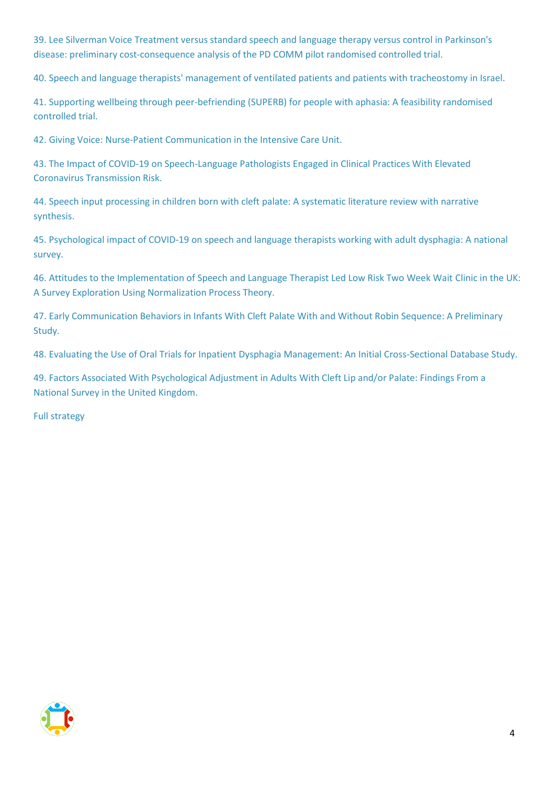[39. Lee Silverman Voice Treatment versus standard speech and language therapy versus control in Parkinson's](#page-31-0)  [disease: preliminary cost-consequence analysis of the](#page-31-0) PD COMM pilot randomised controlled trial.

[40. Speech and language therapists' management of ventilated patients and patients with tracheostomy in Israel.](#page-31-1)

[41. Supporting wellbeing through peer-befriending \(SUPERB\) for people with aphasia: A feasibility randomised](#page-32-0)  [controlled trial.](#page-32-0)

[42. Giving Voice: Nurse-Patient Communication in the Intensive Care Unit.](#page-33-0)

[43. The Impact of COVID-19 on Speech-Language Pathologists Engaged in Clinical Practices With Elevated](#page-34-0)  [Coronavirus Transmission Risk.](#page-34-0)

[44. Speech input processing in children born with cleft palate: A systematic literature review with narrative](#page-34-1)  [synthesis.](#page-34-1)

[45. Psychological impact of COVID-19 on speech and language therapists working with adult dysphagia: A national](#page-35-0)  [survey.](#page-35-0)

[46. Attitudes to the Implementation of Speech and Language Therapist Led Low Risk Two Week Wait Clinic in the UK:](#page-36-0)  [A Survey Exploration Using Normalization Process Theory.](#page-36-0)

[47. Early Communication Behaviors in Infants With Cleft Palate With and Without Robin Sequence: A Preliminary](#page-37-0)  [Study.](#page-37-0)

[48. Evaluating the Use of Oral Trials for Inpatient Dysphagia Management: An Initial Cross-Sectional Database Study.](#page-38-0)

[49. Factors Associated With Psychological Adjustment in Adults With Cleft Lip and/or Palate: Findings From a](#page-38-1)  [National Survey in the United Kingdom.](#page-38-1)

[Full strategy](#page-40-0)

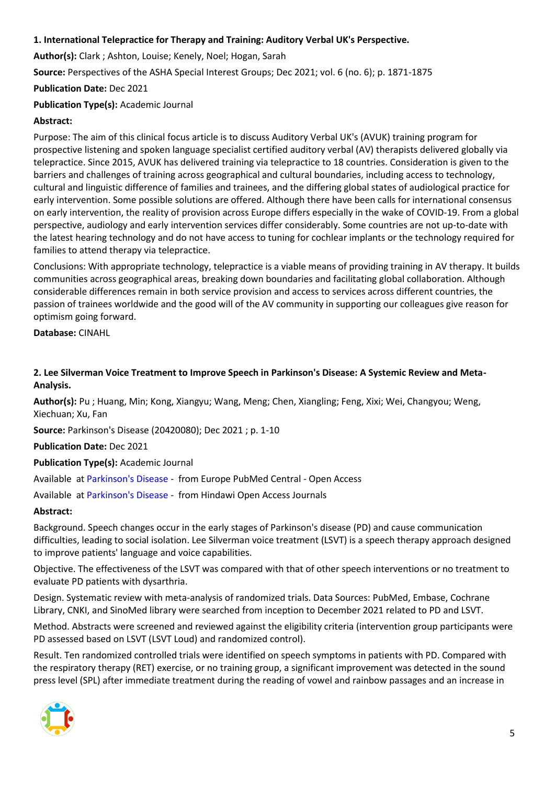#### <span id="page-4-0"></span>**1. International Telepractice for Therapy and Training: Auditory Verbal UK's Perspective.**

**Author(s):** Clark ; Ashton, Louise; Kenely, Noel; Hogan, Sarah

**Source:** Perspectives of the ASHA Special Interest Groups; Dec 2021; vol. 6 (no. 6); p. 1871-1875

**Publication Date:** Dec 2021

# **Publication Type(s):** Academic Journal

# **Abstract:**

Purpose: The aim of this clinical focus article is to discuss Auditory Verbal UK's (AVUK) training program for prospective listening and spoken language specialist certified auditory verbal (AV) therapists delivered globally via telepractice. Since 2015, AVUK has delivered training via telepractice to 18 countries. Consideration is given to the barriers and challenges of training across geographical and cultural boundaries, including access to technology, cultural and linguistic difference of families and trainees, and the differing global states of audiological practice for early intervention. Some possible solutions are offered. Although there have been calls for international consensus on early intervention, the reality of provision across Europe differs especially in the wake of COVID-19. From a global perspective, audiology and early intervention services differ considerably. Some countries are not up-to-date with the latest hearing technology and do not have access to tuning for cochlear implants or the technology required for families to attend therapy via telepractice.

Conclusions: With appropriate technology, telepractice is a viable means of providing training in AV therapy. It builds communities across geographical areas, breaking down boundaries and facilitating global collaboration. Although considerable differences remain in both service provision and access to services across different countries, the passion of trainees worldwide and the good will of the AV community in supporting our colleagues give reason for optimism going forward.

**Database:** CINAHL

#### <span id="page-4-1"></span>**2. Lee Silverman Voice Treatment to Improve Speech in Parkinson's Disease: A Systemic Review and Meta-Analysis.**

**Author(s):** Pu ; Huang, Min; Kong, Xiangyu; Wang, Meng; Chen, Xiangling; Feng, Xixi; Wei, Changyou; Weng, Xiechuan; Xu, Fan

**Source:** Parkinson's Disease (20420080); Dec 2021 ; p. 1-10

**Publication Date:** Dec 2021

#### **Publication Type(s):** Academic Journal

Available at [Parkinson's Disease](http://europepmc.org/search?query=(DOI:%2210.1155/2021/3366870%22)) - from Europe PubMed Central - Open Access

Available at [Parkinson's Disease](https://doi.org/10.1155/2021/3366870) - from Hindawi Open Access Journals

#### **Abstract:**

Background. Speech changes occur in the early stages of Parkinson's disease (PD) and cause communication difficulties, leading to social isolation. Lee Silverman voice treatment (LSVT) is a speech therapy approach designed to improve patients' language and voice capabilities.

Objective. The effectiveness of the LSVT was compared with that of other speech interventions or no treatment to evaluate PD patients with dysarthria.

Design. Systematic review with meta-analysis of randomized trials. Data Sources: PubMed, Embase, Cochrane Library, CNKI, and SinoMed library were searched from inception to December 2021 related to PD and LSVT.

Method. Abstracts were screened and reviewed against the eligibility criteria (intervention group participants were PD assessed based on LSVT (LSVT Loud) and randomized control).

Result. Ten randomized controlled trials were identified on speech symptoms in patients with PD. Compared with the respiratory therapy (RET) exercise, or no training group, a significant improvement was detected in the sound press level (SPL) after immediate treatment during the reading of vowel and rainbow passages and an increase in

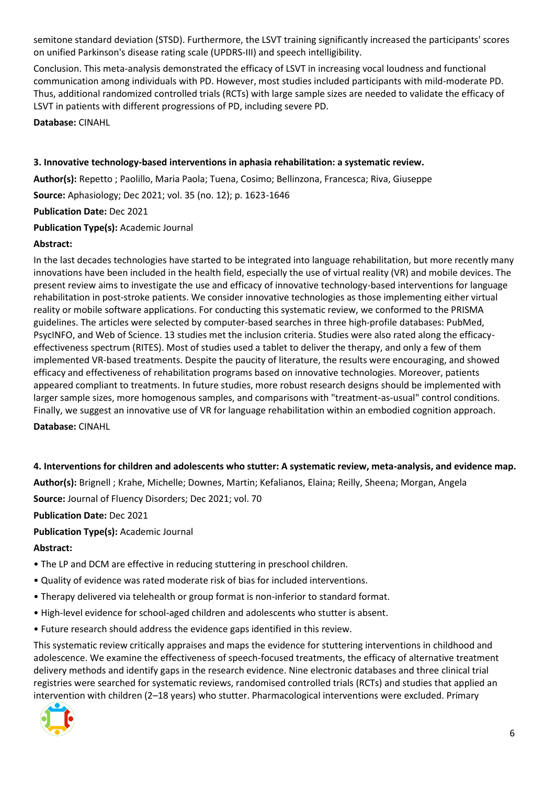semitone standard deviation (STSD). Furthermore, the LSVT training significantly increased the participants' scores on unified Parkinson's disease rating scale (UPDRS-III) and speech intelligibility.

Conclusion. This meta-analysis demonstrated the efficacy of LSVT in increasing vocal loudness and functional communication among individuals with PD. However, most studies included participants with mild-moderate PD. Thus, additional randomized controlled trials (RCTs) with large sample sizes are needed to validate the efficacy of LSVT in patients with different progressions of PD, including severe PD.

**Database:** CINAHL

#### <span id="page-5-0"></span>**3. Innovative technology-based interventions in aphasia rehabilitation: a systematic review.**

**Author(s):** Repetto ; Paolillo, Maria Paola; Tuena, Cosimo; Bellinzona, Francesca; Riva, Giuseppe

**Source:** Aphasiology; Dec 2021; vol. 35 (no. 12); p. 1623-1646

**Publication Date:** Dec 2021

**Publication Type(s):** Academic Journal

#### **Abstract:**

In the last decades technologies have started to be integrated into language rehabilitation, but more recently many innovations have been included in the health field, especially the use of virtual reality (VR) and mobile devices. The present review aims to investigate the use and efficacy of innovative technology-based interventions for language rehabilitation in post-stroke patients. We consider innovative technologies as those implementing either virtual reality or mobile software applications. For conducting this systematic review, we conformed to the PRISMA guidelines. The articles were selected by computer-based searches in three high-profile databases: PubMed, PsycINFO, and Web of Science. 13 studies met the inclusion criteria. Studies were also rated along the efficacyeffectiveness spectrum (RITES). Most of studies used a tablet to deliver the therapy, and only a few of them implemented VR-based treatments. Despite the paucity of literature, the results were encouraging, and showed efficacy and effectiveness of rehabilitation programs based on innovative technologies. Moreover, patients appeared compliant to treatments. In future studies, more robust research designs should be implemented with larger sample sizes, more homogenous samples, and comparisons with "treatment-as-usual" control conditions. Finally, we suggest an innovative use of VR for language rehabilitation within an embodied cognition approach. **Database:** CINAHL

<span id="page-5-1"></span>**4. Interventions for children and adolescents who stutter: A systematic review, meta-analysis, and evidence map.**

**Author(s):** Brignell ; Krahe, Michelle; Downes, Martin; Kefalianos, Elaina; Reilly, Sheena; Morgan, Angela

**Source:** Journal of Fluency Disorders; Dec 2021; vol. 70

**Publication Date:** Dec 2021

**Publication Type(s):** Academic Journal

#### **Abstract:**

- The LP and DCM are effective in reducing stuttering in preschool children.
- Quality of evidence was rated moderate risk of bias for included interventions.
- Therapy delivered via telehealth or group format is non-inferior to standard format.
- High-level evidence for school-aged children and adolescents who stutter is absent.
- Future research should address the evidence gaps identified in this review.

This systematic review critically appraises and maps the evidence for stuttering interventions in childhood and adolescence. We examine the effectiveness of speech-focused treatments, the efficacy of alternative treatment delivery methods and identify gaps in the research evidence. Nine electronic databases and three clinical trial registries were searched for systematic reviews, randomised controlled trials (RCTs) and studies that applied an intervention with children (2–18 years) who stutter. Pharmacological interventions were excluded. Primary

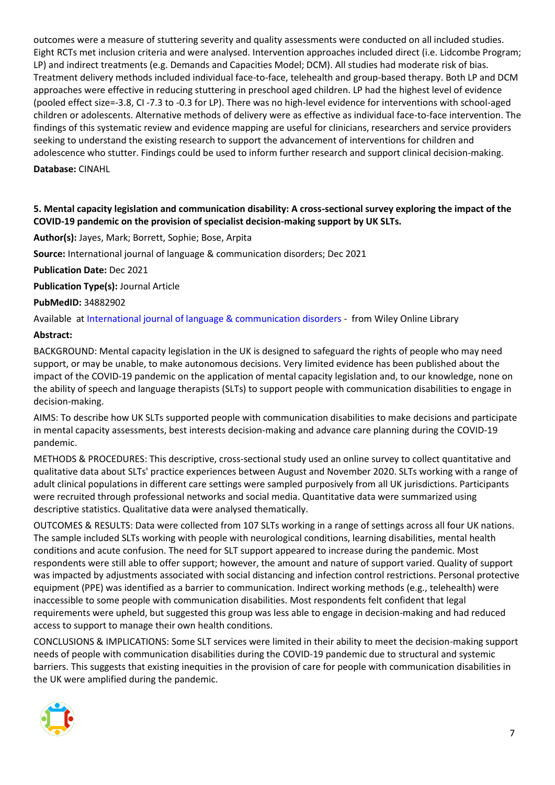outcomes were a measure of stuttering severity and quality assessments were conducted on all included studies. Eight RCTs met inclusion criteria and were analysed. Intervention approaches included direct (i.e. Lidcombe Program; LP) and indirect treatments (e.g. Demands and Capacities Model; DCM). All studies had moderate risk of bias. Treatment delivery methods included individual face-to-face, telehealth and group-based therapy. Both LP and DCM approaches were effective in reducing stuttering in preschool aged children. LP had the highest level of evidence (pooled effect size=-3.8, CI -7.3 to -0.3 for LP). There was no high-level evidence for interventions with school-aged children or adolescents. Alternative methods of delivery were as effective as individual face-to-face intervention. The findings of this systematic review and evidence mapping are useful for clinicians, researchers and service providers seeking to understand the existing research to support the advancement of interventions for children and adolescence who stutter. Findings could be used to inform further research and support clinical decision-making. **Database:** CINAHL

#### <span id="page-6-0"></span>**5. Mental capacity legislation and communication disability: A cross-sectional survey exploring the impact of the COVID-19 pandemic on the provision of specialist decision-making support by UK SLTs.**

#### **Author(s):** Jayes, Mark; Borrett, Sophie; Bose, Arpita

**Source:** International journal of language & communication disorders; Dec 2021

**Publication Date:** Dec 2021

**Publication Type(s):** Journal Article

**PubMedID:** 34882902

Available at [International journal of language & communication disorders](https://go.openathens.net/redirector/nhs?url=https%3A%2F%2Fonlinelibrary.wiley.com%2Fdoi%2Ffull%2F10.1111%2F1460-6984.12685) - from Wiley Online Library

#### **Abstract:**

BACKGROUND: Mental capacity legislation in the UK is designed to safeguard the rights of people who may need support, or may be unable, to make autonomous decisions. Very limited evidence has been published about the impact of the COVID-19 pandemic on the application of mental capacity legislation and, to our knowledge, none on the ability of speech and language therapists (SLTs) to support people with communication disabilities to engage in decision-making.

AIMS: To describe how UK SLTs supported people with communication disabilities to make decisions and participate in mental capacity assessments, best interests decision-making and advance care planning during the COVID-19 pandemic.

METHODS & PROCEDURES: This descriptive, cross-sectional study used an online survey to collect quantitative and qualitative data about SLTs' practice experiences between August and November 2020. SLTs working with a range of adult clinical populations in different care settings were sampled purposively from all UK jurisdictions. Participants were recruited through professional networks and social media. Quantitative data were summarized using descriptive statistics. Qualitative data were analysed thematically.

OUTCOMES & RESULTS: Data were collected from 107 SLTs working in a range of settings across all four UK nations. The sample included SLTs working with people with neurological conditions, learning disabilities, mental health conditions and acute confusion. The need for SLT support appeared to increase during the pandemic. Most respondents were still able to offer support; however, the amount and nature of support varied. Quality of support was impacted by adjustments associated with social distancing and infection control restrictions. Personal protective equipment (PPE) was identified as a barrier to communication. Indirect working methods (e.g., telehealth) were inaccessible to some people with communication disabilities. Most respondents felt confident that legal requirements were upheld, but suggested this group was less able to engage in decision-making and had reduced access to support to manage their own health conditions.

CONCLUSIONS & IMPLICATIONS: Some SLT services were limited in their ability to meet the decision-making support needs of people with communication disabilities during the COVID-19 pandemic due to structural and systemic barriers. This suggests that existing inequities in the provision of care for people with communication disabilities in the UK were amplified during the pandemic.

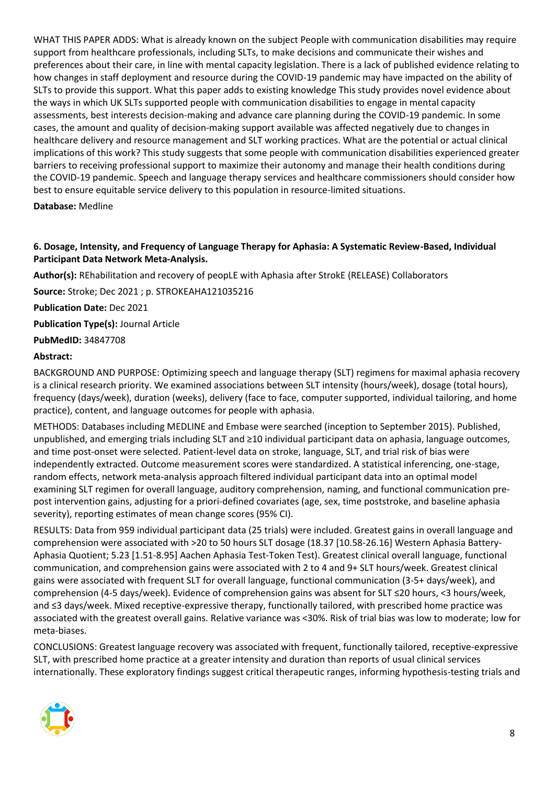WHAT THIS PAPER ADDS: What is already known on the subject People with communication disabilities may require support from healthcare professionals, including SLTs, to make decisions and communicate their wishes and preferences about their care, in line with mental capacity legislation. There is a lack of published evidence relating to how changes in staff deployment and resource during the COVID-19 pandemic may have impacted on the ability of SLTs to provide this support. What this paper adds to existing knowledge This study provides novel evidence about the ways in which UK SLTs supported people with communication disabilities to engage in mental capacity assessments, best interests decision-making and advance care planning during the COVID-19 pandemic. In some cases, the amount and quality of decision-making support available was affected negatively due to changes in healthcare delivery and resource management and SLT working practices. What are the potential or actual clinical implications of this work? This study suggests that some people with communication disabilities experienced greater barriers to receiving professional support to maximize their autonomy and manage their health conditions during the COVID-19 pandemic. Speech and language therapy services and healthcare commissioners should consider how best to ensure equitable service delivery to this population in resource-limited situations.

#### **Database:** Medline

#### <span id="page-7-0"></span>**6. Dosage, Intensity, and Frequency of Language Therapy for Aphasia: A Systematic Review-Based, Individual Participant Data Network Meta-Analysis.**

**Author(s):** REhabilitation and recovery of peopLE with Aphasia after StrokE (RELEASE) Collaborators

**Source:** Stroke; Dec 2021 ; p. STROKEAHA121035216

**Publication Date:** Dec 2021

**Publication Type(s):** Journal Article

**PubMedID:** 34847708

#### **Abstract:**

BACKGROUND AND PURPOSE: Optimizing speech and language therapy (SLT) regimens for maximal aphasia recovery is a clinical research priority. We examined associations between SLT intensity (hours/week), dosage (total hours), frequency (days/week), duration (weeks), delivery (face to face, computer supported, individual tailoring, and home practice), content, and language outcomes for people with aphasia.

METHODS: Databases including MEDLINE and Embase were searched (inception to September 2015). Published, unpublished, and emerging trials including SLT and ≥10 individual participant data on aphasia, language outcomes, and time post-onset were selected. Patient-level data on stroke, language, SLT, and trial risk of bias were independently extracted. Outcome measurement scores were standardized. A statistical inferencing, one-stage, random effects, network meta-analysis approach filtered individual participant data into an optimal model examining SLT regimen for overall language, auditory comprehension, naming, and functional communication prepost intervention gains, adjusting for a priori-defined covariates (age, sex, time poststroke, and baseline aphasia severity), reporting estimates of mean change scores (95% CI).

RESULTS: Data from 959 individual participant data (25 trials) were included. Greatest gains in overall language and comprehension were associated with >20 to 50 hours SLT dosage (18.37 [10.58-26.16] Western Aphasia Battery-Aphasia Quotient; 5.23 [1.51-8.95] Aachen Aphasia Test-Token Test). Greatest clinical overall language, functional communication, and comprehension gains were associated with 2 to 4 and 9+ SLT hours/week. Greatest clinical gains were associated with frequent SLT for overall language, functional communication (3-5+ days/week), and comprehension (4-5 days/week). Evidence of comprehension gains was absent for SLT ≤20 hours, <3 hours/week, and ≤3 days/week. Mixed receptive-expressive therapy, functionally tailored, with prescribed home practice was associated with the greatest overall gains. Relative variance was <30%. Risk of trial bias was low to moderate; low for meta-biases.

CONCLUSIONS: Greatest language recovery was associated with frequent, functionally tailored, receptive-expressive SLT, with prescribed home practice at a greater intensity and duration than reports of usual clinical services internationally. These exploratory findings suggest critical therapeutic ranges, informing hypothesis-testing trials and

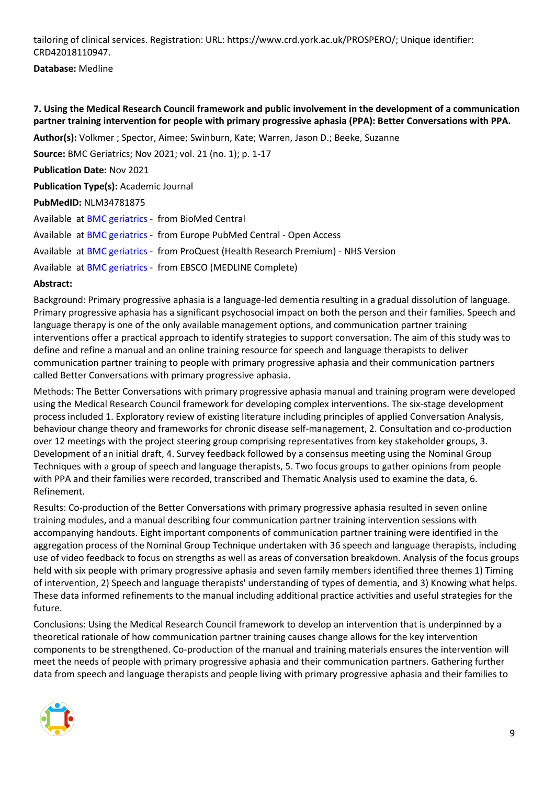tailoring of clinical services. Registration: URL: https://www.crd.york.ac.uk/PROSPERO/; Unique identifier: CRD42018110947.

#### **Database:** Medline

#### <span id="page-8-0"></span>**7. Using the Medical Research Council framework and public involvement in the development of a communication partner training intervention for people with primary progressive aphasia (PPA): Better Conversations with PPA.**

**Author(s):** Volkmer ; Spector, Aimee; Swinburn, Kate; Warren, Jason D.; Beeke, Suzanne

**Source:** BMC Geriatrics; Nov 2021; vol. 21 (no. 1); p. 1-17

**Publication Date:** Nov 2021

**Publication Type(s):** Academic Journal

#### **PubMedID:** NLM34781875

|  | Available at BMC geriatrics - from BioMed Central                                   |
|--|-------------------------------------------------------------------------------------|
|  | Available at BMC geriatrics - from Europe PubMed Central - Open Access              |
|  | Available at BMC geriatrics - from ProQuest (Health Research Premium) - NHS Version |
|  | Available at BMC geriatrics - from EBSCO (MEDLINE Complete)                         |

#### **Abstract:**

Background: Primary progressive aphasia is a language-led dementia resulting in a gradual dissolution of language. Primary progressive aphasia has a significant psychosocial impact on both the person and their families. Speech and language therapy is one of the only available management options, and communication partner training interventions offer a practical approach to identify strategies to support conversation. The aim of this study was to define and refine a manual and an online training resource for speech and language therapists to deliver communication partner training to people with primary progressive aphasia and their communication partners called Better Conversations with primary progressive aphasia.

Methods: The Better Conversations with primary progressive aphasia manual and training program were developed using the Medical Research Council framework for developing complex interventions. The six-stage development process included 1. Exploratory review of existing literature including principles of applied Conversation Analysis, behaviour change theory and frameworks for chronic disease self-management, 2. Consultation and co-production over 12 meetings with the project steering group comprising representatives from key stakeholder groups, 3. Development of an initial draft, 4. Survey feedback followed by a consensus meeting using the Nominal Group Techniques with a group of speech and language therapists, 5. Two focus groups to gather opinions from people with PPA and their families were recorded, transcribed and Thematic Analysis used to examine the data, 6. Refinement.

Results: Co-production of the Better Conversations with primary progressive aphasia resulted in seven online training modules, and a manual describing four communication partner training intervention sessions with accompanying handouts. Eight important components of communication partner training were identified in the aggregation process of the Nominal Group Technique undertaken with 36 speech and language therapists, including use of video feedback to focus on strengths as well as areas of conversation breakdown. Analysis of the focus groups held with six people with primary progressive aphasia and seven family members identified three themes 1) Timing of intervention, 2) Speech and language therapists' understanding of types of dementia, and 3) Knowing what helps. These data informed refinements to the manual including additional practice activities and useful strategies for the future.

Conclusions: Using the Medical Research Council framework to develop an intervention that is underpinned by a theoretical rationale of how communication partner training causes change allows for the key intervention components to be strengthened. Co-production of the manual and training materials ensures the intervention will meet the needs of people with primary progressive aphasia and their communication partners. Gathering further data from speech and language therapists and people living with primary progressive aphasia and their families to

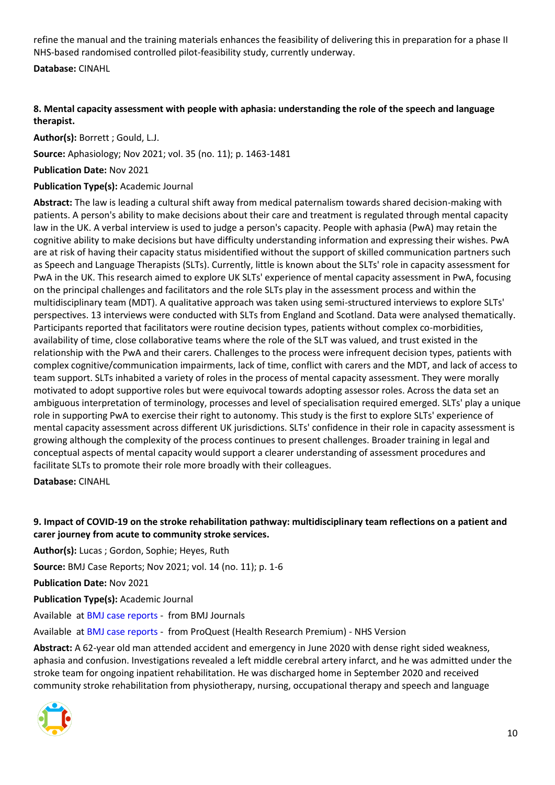refine the manual and the training materials enhances the feasibility of delivering this in preparation for a phase II NHS-based randomised controlled pilot-feasibility study, currently underway.

**Database:** CINAHL

#### <span id="page-9-0"></span>**8. Mental capacity assessment with people with aphasia: understanding the role of the speech and language therapist.**

**Author(s):** Borrett ; Gould, L.J.

**Source:** Aphasiology; Nov 2021; vol. 35 (no. 11); p. 1463-1481

**Publication Date:** Nov 2021

#### **Publication Type(s):** Academic Journal

**Abstract:** The law is leading a cultural shift away from medical paternalism towards shared decision-making with patients. A person's ability to make decisions about their care and treatment is regulated through mental capacity law in the UK. A verbal interview is used to judge a person's capacity. People with aphasia (PwA) may retain the cognitive ability to make decisions but have difficulty understanding information and expressing their wishes. PwA are at risk of having their capacity status misidentified without the support of skilled communication partners such as Speech and Language Therapists (SLTs). Currently, little is known about the SLTs' role in capacity assessment for PwA in the UK. This research aimed to explore UK SLTs' experience of mental capacity assessment in PwA, focusing on the principal challenges and facilitators and the role SLTs play in the assessment process and within the multidisciplinary team (MDT). A qualitative approach was taken using semi-structured interviews to explore SLTs' perspectives. 13 interviews were conducted with SLTs from England and Scotland. Data were analysed thematically. Participants reported that facilitators were routine decision types, patients without complex co-morbidities, availability of time, close collaborative teams where the role of the SLT was valued, and trust existed in the relationship with the PwA and their carers. Challenges to the process were infrequent decision types, patients with complex cognitive/communication impairments, lack of time, conflict with carers and the MDT, and lack of access to team support. SLTs inhabited a variety of roles in the process of mental capacity assessment. They were morally motivated to adopt supportive roles but were equivocal towards adopting assessor roles. Across the data set an ambiguous interpretation of terminology, processes and level of specialisation required emerged. SLTs' play a unique role in supporting PwA to exercise their right to autonomy. This study is the first to explore SLTs' experience of mental capacity assessment across different UK jurisdictions. SLTs' confidence in their role in capacity assessment is growing although the complexity of the process continues to present challenges. Broader training in legal and conceptual aspects of mental capacity would support a clearer understanding of assessment procedures and facilitate SLTs to promote their role more broadly with their colleagues.

**Database:** CINAHL

#### <span id="page-9-1"></span>**9. Impact of COVID-19 on the stroke rehabilitation pathway: multidisciplinary team reflections on a patient and carer journey from acute to community stroke services.**

**Author(s):** Lucas ; Gordon, Sophie; Heyes, Ruth

**Source:** BMJ Case Reports; Nov 2021; vol. 14 (no. 11); p. 1-6

**Publication Date:** Nov 2021

**Publication Type(s):** Academic Journal

Available at [BMJ case reports](https://casereports.bmj.com/lookup/doi/10.1136/bcr-2021-245544) - from BMJ Journals

Available at [BMJ case reports](https://gateway.proquest.com/openurl?ctx_ver=Z39.88-2004&res_id=xri:pqm&req_dat=xri:pqil:pq_clntid=48229&rft_val_fmt=ori/fmt:kev:mtx:journal&genre=article&issn=1757-790X&volume=14&issue=11&spage=e245544&atitle=Impact+of+COVID-19+on+the+stroke+rehabilitation+pathway%3A+multidisciplinary+team+reflections+on+a+patient+and+carer+journey+from+acute+to+community+stroke+services) - from ProQuest (Health Research Premium) - NHS Version

**Abstract:** A 62-year old man attended accident and emergency in June 2020 with dense right sided weakness, aphasia and confusion. Investigations revealed a left middle cerebral artery infarct, and he was admitted under the stroke team for ongoing inpatient rehabilitation. He was discharged home in September 2020 and received community stroke rehabilitation from physiotherapy, nursing, occupational therapy and speech and language

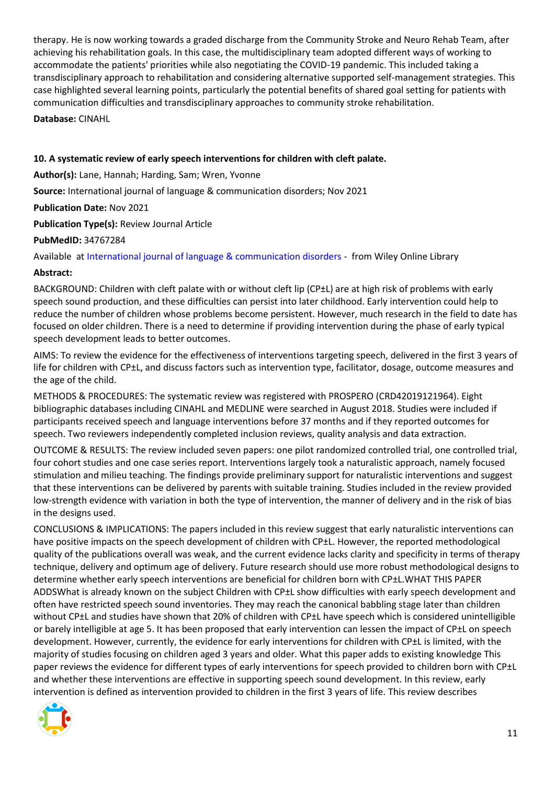therapy. He is now working towards a graded discharge from the Community Stroke and Neuro Rehab Team, after achieving his rehabilitation goals. In this case, the multidisciplinary team adopted different ways of working to accommodate the patients' priorities while also negotiating the COVID-19 pandemic. This included taking a transdisciplinary approach to rehabilitation and considering alternative supported self-management strategies. This case highlighted several learning points, particularly the potential benefits of shared goal setting for patients with communication difficulties and transdisciplinary approaches to community stroke rehabilitation.

**Database:** CINAHL

#### <span id="page-10-0"></span>**10. A systematic review of early speech interventions for children with cleft palate.**

**Author(s):** Lane, Hannah; Harding, Sam; Wren, Yvonne

**Source:** International journal of language & communication disorders; Nov 2021

**Publication Date:** Nov 2021

**Publication Type(s):** Review Journal Article

**PubMedID:** 34767284

Available at [International journal of language & communication disorders](https://go.openathens.net/redirector/nhs?url=https%3A%2F%2Fonlinelibrary.wiley.com%2Fdoi%2Ffull%2F10.1111%2F1460-6984.12683) - from Wiley Online Library

#### **Abstract:**

BACKGROUND: Children with cleft palate with or without cleft lip (CP±L) are at high risk of problems with early speech sound production, and these difficulties can persist into later childhood. Early intervention could help to reduce the number of children whose problems become persistent. However, much research in the field to date has focused on older children. There is a need to determine if providing intervention during the phase of early typical speech development leads to better outcomes.

AIMS: To review the evidence for the effectiveness of interventions targeting speech, delivered in the first 3 years of life for children with CP±L, and discuss factors such as intervention type, facilitator, dosage, outcome measures and the age of the child.

METHODS & PROCEDURES: The systematic review was registered with PROSPERO (CRD42019121964). Eight bibliographic databases including CINAHL and MEDLINE were searched in August 2018. Studies were included if participants received speech and language interventions before 37 months and if they reported outcomes for speech. Two reviewers independently completed inclusion reviews, quality analysis and data extraction.

OUTCOME & RESULTS: The review included seven papers: one pilot randomized controlled trial, one controlled trial, four cohort studies and one case series report. Interventions largely took a naturalistic approach, namely focused stimulation and milieu teaching. The findings provide preliminary support for naturalistic interventions and suggest that these interventions can be delivered by parents with suitable training. Studies included in the review provided low-strength evidence with variation in both the type of intervention, the manner of delivery and in the risk of bias in the designs used.

CONCLUSIONS & IMPLICATIONS: The papers included in this review suggest that early naturalistic interventions can have positive impacts on the speech development of children with CP±L. However, the reported methodological quality of the publications overall was weak, and the current evidence lacks clarity and specificity in terms of therapy technique, delivery and optimum age of delivery. Future research should use more robust methodological designs to determine whether early speech interventions are beneficial for children born with CP±L.WHAT THIS PAPER ADDSWhat is already known on the subject Children with CP±L show difficulties with early speech development and often have restricted speech sound inventories. They may reach the canonical babbling stage later than children without CP±L and studies have shown that 20% of children with CP±L have speech which is considered unintelligible or barely intelligible at age 5. It has been proposed that early intervention can lessen the impact of CP±L on speech development. However, currently, the evidence for early interventions for children with CP±L is limited, with the majority of studies focusing on children aged 3 years and older. What this paper adds to existing knowledge This paper reviews the evidence for different types of early interventions for speech provided to children born with CP±L and whether these interventions are effective in supporting speech sound development. In this review, early intervention is defined as intervention provided to children in the first 3 years of life. This review describes

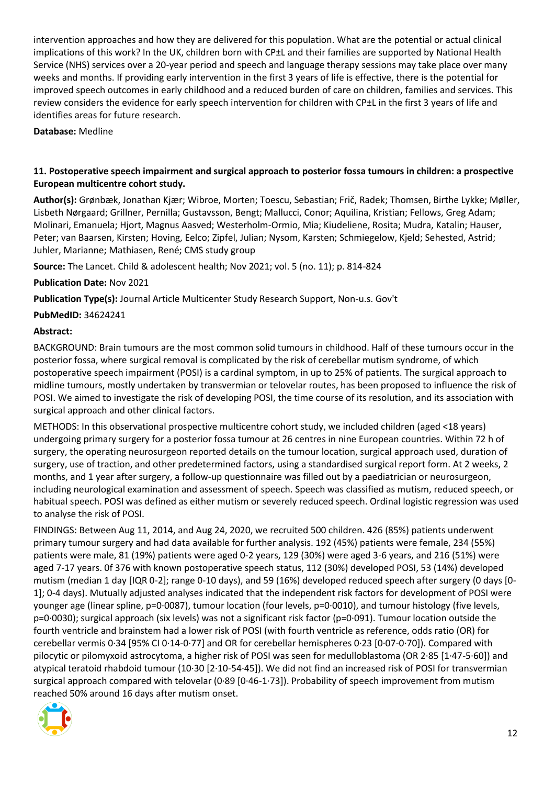intervention approaches and how they are delivered for this population. What are the potential or actual clinical implications of this work? In the UK, children born with CP±L and their families are supported by National Health Service (NHS) services over a 20-year period and speech and language therapy sessions may take place over many weeks and months. If providing early intervention in the first 3 years of life is effective, there is the potential for improved speech outcomes in early childhood and a reduced burden of care on children, families and services. This review considers the evidence for early speech intervention for children with CP±L in the first 3 years of life and identifies areas for future research.

**Database:** Medline

#### <span id="page-11-0"></span>**11. Postoperative speech impairment and surgical approach to posterior fossa tumours in children: a prospective European multicentre cohort study.**

**Author(s):** Grønbæk, Jonathan Kjær; Wibroe, Morten; Toescu, Sebastian; Frič, Radek; Thomsen, Birthe Lykke; Møller, Lisbeth Nørgaard; Grillner, Pernilla; Gustavsson, Bengt; Mallucci, Conor; Aquilina, Kristian; Fellows, Greg Adam; Molinari, Emanuela; Hjort, Magnus Aasved; Westerholm-Ormio, Mia; Kiudeliene, Rosita; Mudra, Katalin; Hauser, Peter; van Baarsen, Kirsten; Hoving, Eelco; Zipfel, Julian; Nysom, Karsten; Schmiegelow, Kjeld; Sehested, Astrid; Juhler, Marianne; Mathiasen, René; CMS study group

**Source:** The Lancet. Child & adolescent health; Nov 2021; vol. 5 (no. 11); p. 814-824

**Publication Date:** Nov 2021

**Publication Type(s):** Journal Article Multicenter Study Research Support, Non-u.s. Gov't

**PubMedID:** 34624241

#### **Abstract:**

BACKGROUND: Brain tumours are the most common solid tumours in childhood. Half of these tumours occur in the posterior fossa, where surgical removal is complicated by the risk of cerebellar mutism syndrome, of which postoperative speech impairment (POSI) is a cardinal symptom, in up to 25% of patients. The surgical approach to midline tumours, mostly undertaken by transvermian or telovelar routes, has been proposed to influence the risk of POSI. We aimed to investigate the risk of developing POSI, the time course of its resolution, and its association with surgical approach and other clinical factors.

METHODS: In this observational prospective multicentre cohort study, we included children (aged <18 years) undergoing primary surgery for a posterior fossa tumour at 26 centres in nine European countries. Within 72 h of surgery, the operating neurosurgeon reported details on the tumour location, surgical approach used, duration of surgery, use of traction, and other predetermined factors, using a standardised surgical report form. At 2 weeks, 2 months, and 1 year after surgery, a follow-up questionnaire was filled out by a paediatrician or neurosurgeon, including neurological examination and assessment of speech. Speech was classified as mutism, reduced speech, or habitual speech. POSI was defined as either mutism or severely reduced speech. Ordinal logistic regression was used to analyse the risk of POSI.

FINDINGS: Between Aug 11, 2014, and Aug 24, 2020, we recruited 500 children. 426 (85%) patients underwent primary tumour surgery and had data available for further analysis. 192 (45%) patients were female, 234 (55%) patients were male, 81 (19%) patients were aged 0-2 years, 129 (30%) were aged 3-6 years, and 216 (51%) were aged 7-17 years. 0f 376 with known postoperative speech status, 112 (30%) developed POSI, 53 (14%) developed mutism (median 1 day [IQR 0-2]; range 0-10 days), and 59 (16%) developed reduced speech after surgery (0 days [0- 1]; 0-4 days). Mutually adjusted analyses indicated that the independent risk factors for development of POSI were younger age (linear spline, p=0·0087), tumour location (four levels, p=0·0010), and tumour histology (five levels, p=0·0030); surgical approach (six levels) was not a significant risk factor (p=0·091). Tumour location outside the fourth ventricle and brainstem had a lower risk of POSI (with fourth ventricle as reference, odds ratio (OR) for cerebellar vermis 0·34 [95% CI 0·14-0·77] and OR for cerebellar hemispheres 0·23 [0·07-0·70]). Compared with pilocytic or pilomyxoid astrocytoma, a higher risk of POSI was seen for medulloblastoma (OR 2·85 [1·47-5·60]) and atypical teratoid rhabdoid tumour (10·30 [2·10-54·45]). We did not find an increased risk of POSI for transvermian surgical approach compared with telovelar (0·89 [0·46-1·73]). Probability of speech improvement from mutism reached 50% around 16 days after mutism onset.

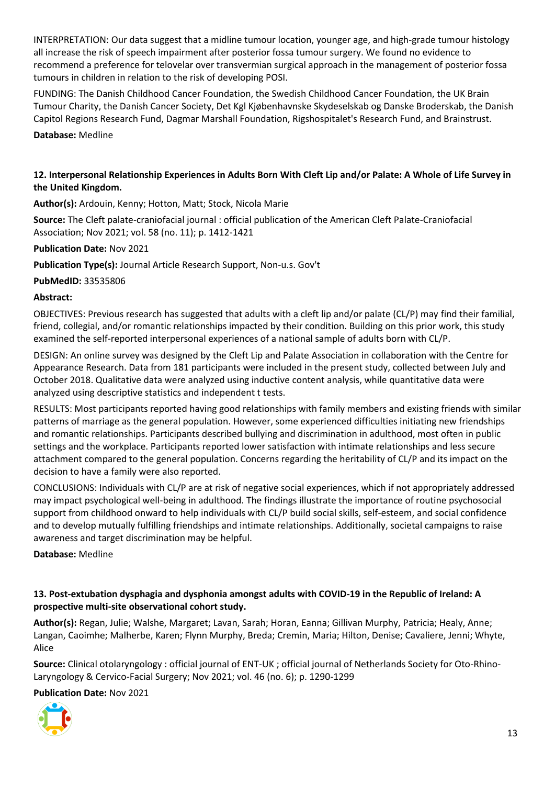INTERPRETATION: Our data suggest that a midline tumour location, younger age, and high-grade tumour histology all increase the risk of speech impairment after posterior fossa tumour surgery. We found no evidence to recommend a preference for telovelar over transvermian surgical approach in the management of posterior fossa tumours in children in relation to the risk of developing POSI.

FUNDING: The Danish Childhood Cancer Foundation, the Swedish Childhood Cancer Foundation, the UK Brain Tumour Charity, the Danish Cancer Society, Det Kgl Kjøbenhavnske Skydeselskab og Danske Broderskab, the Danish Capitol Regions Research Fund, Dagmar Marshall Foundation, Rigshospitalet's Research Fund, and Brainstrust.

**Database:** Medline

#### <span id="page-12-0"></span>**12. Interpersonal Relationship Experiences in Adults Born With Cleft Lip and/or Palate: A Whole of Life Survey in the United Kingdom.**

**Author(s):** Ardouin, Kenny; Hotton, Matt; Stock, Nicola Marie

**Source:** The Cleft palate-craniofacial journal : official publication of the American Cleft Palate-Craniofacial Association; Nov 2021; vol. 58 (no. 11); p. 1412-1421

**Publication Date:** Nov 2021

**Publication Type(s):** Journal Article Research Support, Non-u.s. Gov't

**PubMedID:** 33535806

#### **Abstract:**

OBJECTIVES: Previous research has suggested that adults with a cleft lip and/or palate (CL/P) may find their familial, friend, collegial, and/or romantic relationships impacted by their condition. Building on this prior work, this study examined the self-reported interpersonal experiences of a national sample of adults born with CL/P.

DESIGN: An online survey was designed by the Cleft Lip and Palate Association in collaboration with the Centre for Appearance Research. Data from 181 participants were included in the present study, collected between July and October 2018. Qualitative data were analyzed using inductive content analysis, while quantitative data were analyzed using descriptive statistics and independent t tests.

RESULTS: Most participants reported having good relationships with family members and existing friends with similar patterns of marriage as the general population. However, some experienced difficulties initiating new friendships and romantic relationships. Participants described bullying and discrimination in adulthood, most often in public settings and the workplace. Participants reported lower satisfaction with intimate relationships and less secure attachment compared to the general population. Concerns regarding the heritability of CL/P and its impact on the decision to have a family were also reported.

CONCLUSIONS: Individuals with CL/P are at risk of negative social experiences, which if not appropriately addressed may impact psychological well-being in adulthood. The findings illustrate the importance of routine psychosocial support from childhood onward to help individuals with CL/P build social skills, self-esteem, and social confidence and to develop mutually fulfilling friendships and intimate relationships. Additionally, societal campaigns to raise awareness and target discrimination may be helpful.

#### **Database:** Medline

#### <span id="page-12-1"></span>**13. Post-extubation dysphagia and dysphonia amongst adults with COVID-19 in the Republic of Ireland: A prospective multi-site observational cohort study.**

**Author(s):** Regan, Julie; Walshe, Margaret; Lavan, Sarah; Horan, Eanna; Gillivan Murphy, Patricia; Healy, Anne; Langan, Caoimhe; Malherbe, Karen; Flynn Murphy, Breda; Cremin, Maria; Hilton, Denise; Cavaliere, Jenni; Whyte, Alice

**Source:** Clinical otolaryngology : official journal of ENT-UK ; official journal of Netherlands Society for Oto-Rhino-Laryngology & Cervico-Facial Surgery; Nov 2021; vol. 46 (no. 6); p. 1290-1299

**Publication Date:** Nov 2021

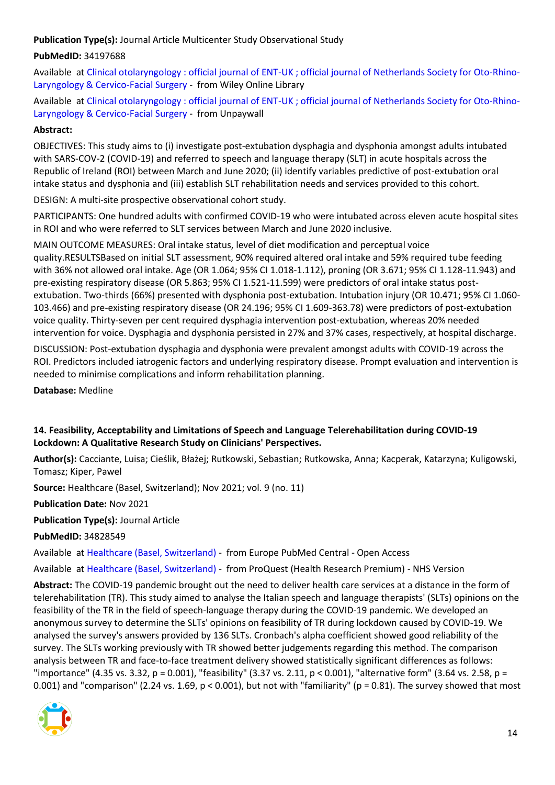**Publication Type(s):** Journal Article Multicenter Study Observational Study

#### **PubMedID:** 34197688

Available at [Clinical otolaryngology : official journal of ENT-UK ; official journal of Netherlands Society for Oto-Rhino-](https://go.openathens.net/redirector/nhs?url=https%3A%2F%2Fonlinelibrary.wiley.com%2Fdoi%2Ffull%2F10.1111%2Fcoa.13832)[Laryngology & Cervico-Facial Surgery](https://go.openathens.net/redirector/nhs?url=https%3A%2F%2Fonlinelibrary.wiley.com%2Fdoi%2Ffull%2F10.1111%2Fcoa.13832) - from Wiley Online Library

Available at [Clinical otolaryngology : official journal of ENT-UK ; official journal of Netherlands Society for Oto-Rhino-](https://onlinelibrary.wiley.com/doi/pdfdirect/10.1111/coa.13832)[Laryngology & Cervico-Facial Surgery](https://onlinelibrary.wiley.com/doi/pdfdirect/10.1111/coa.13832) - from Unpaywall

#### **Abstract:**

OBJECTIVES: This study aims to (i) investigate post-extubation dysphagia and dysphonia amongst adults intubated with SARS-COV-2 (COVID-19) and referred to speech and language therapy (SLT) in acute hospitals across the Republic of Ireland (ROI) between March and June 2020; (ii) identify variables predictive of post-extubation oral intake status and dysphonia and (iii) establish SLT rehabilitation needs and services provided to this cohort.

DESIGN: A multi-site prospective observational cohort study.

PARTICIPANTS: One hundred adults with confirmed COVID-19 who were intubated across eleven acute hospital sites in ROI and who were referred to SLT services between March and June 2020 inclusive.

MAIN OUTCOME MEASURES: Oral intake status, level of diet modification and perceptual voice quality.RESULTSBased on initial SLT assessment, 90% required altered oral intake and 59% required tube feeding with 36% not allowed oral intake. Age (OR 1.064; 95% CI 1.018-1.112), proning (OR 3.671; 95% CI 1.128-11.943) and pre-existing respiratory disease (OR 5.863; 95% CI 1.521-11.599) were predictors of oral intake status postextubation. Two-thirds (66%) presented with dysphonia post-extubation. Intubation injury (OR 10.471; 95% CI 1.060- 103.466) and pre-existing respiratory disease (OR 24.196; 95% CI 1.609-363.78) were predictors of post-extubation voice quality. Thirty-seven per cent required dysphagia intervention post-extubation, whereas 20% needed intervention for voice. Dysphagia and dysphonia persisted in 27% and 37% cases, respectively, at hospital discharge.

DISCUSSION: Post-extubation dysphagia and dysphonia were prevalent amongst adults with COVID-19 across the ROI. Predictors included iatrogenic factors and underlying respiratory disease. Prompt evaluation and intervention is needed to minimise complications and inform rehabilitation planning.

**Database:** Medline

#### <span id="page-13-0"></span>**14. Feasibility, Acceptability and Limitations of Speech and Language Telerehabilitation during COVID-19 Lockdown: A Qualitative Research Study on Clinicians' Perspectives.**

**Author(s):** Cacciante, Luisa; Cieślik, Błażej; Rutkowski, Sebastian; Rutkowska, Anna; Kacperak, Katarzyna; Kuligowski, Tomasz; Kiper, Pawel

**Source:** Healthcare (Basel, Switzerland); Nov 2021; vol. 9 (no. 11)

**Publication Date:** Nov 2021

**Publication Type(s):** Journal Article

**PubMedID:** 34828549

Available at [Healthcare \(Basel,](http://europepmc.org/search?query=(DOI:%2210.3390/healthcare9111503%22)) Switzerland) - from Europe PubMed Central - Open Access

Available at [Healthcare \(Basel, Switzerland\)](https://gateway.proquest.com/openurl?ctx_ver=Z39.88-2004&res_id=xri:pqm&req_dat=xri:pqil:pq_clntid=48229&rft_val_fmt=ori/fmt:kev:mtx:journal&genre=article&issn=2227-9032&volume=9&issue=11&spage=1503&atitle=Feasibility%2C+Acceptability+and+Limitations+of+Speech+and+Language+Telerehabilitation+during+COVID-19+Lockdown%3A+A+Qualitative+Research+Study+on+Clinicians+Perspectives) - from ProQuest (Health Research Premium) - NHS Version

**Abstract:** The COVID-19 pandemic brought out the need to deliver health care services at a distance in the form of telerehabilitation (TR). This study aimed to analyse the Italian speech and language therapists' (SLTs) opinions on the feasibility of the TR in the field of speech-language therapy during the COVID-19 pandemic. We developed an anonymous survey to determine the SLTs' opinions on feasibility of TR during lockdown caused by COVID-19. We analysed the survey's answers provided by 136 SLTs. Cronbach's alpha coefficient showed good reliability of the survey. The SLTs working previously with TR showed better judgements regarding this method. The comparison analysis between TR and face-to-face treatment delivery showed statistically significant differences as follows: "importance" (4.35 vs. 3.32, p = 0.001), "feasibility" (3.37 vs. 2.11, p < 0.001), "alternative form" (3.64 vs. 2.58, p = 0.001) and "comparison" (2.24 vs. 1.69,  $p < 0.001$ ), but not with "familiarity" ( $p = 0.81$ ). The survey showed that most

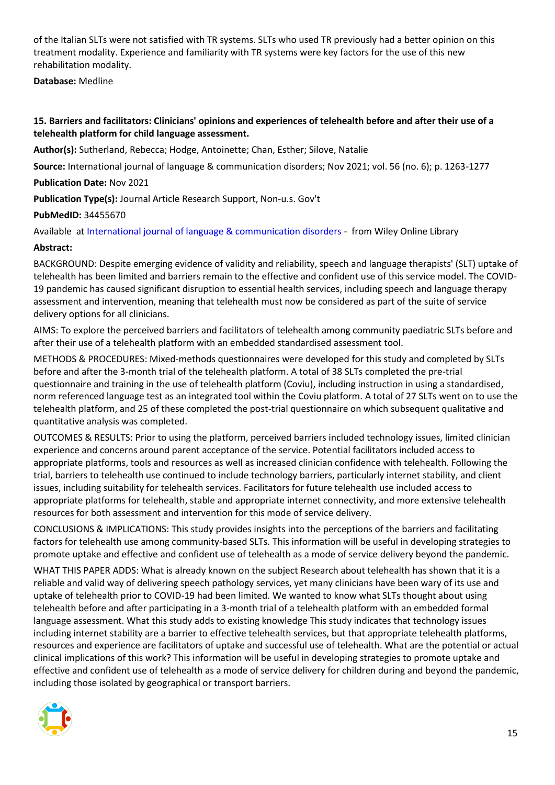of the Italian SLTs were not satisfied with TR systems. SLTs who used TR previously had a better opinion on this treatment modality. Experience and familiarity with TR systems were key factors for the use of this new rehabilitation modality.

**Database:** Medline

#### <span id="page-14-0"></span>**15. Barriers and facilitators: Clinicians' opinions and experiences of telehealth before and after their use of a telehealth platform for child language assessment.**

**Author(s):** Sutherland, Rebecca; Hodge, Antoinette; Chan, Esther; Silove, Natalie

**Source:** International journal of language & communication disorders; Nov 2021; vol. 56 (no. 6); p. 1263-1277

**Publication Date:** Nov 2021

**Publication Type(s):** Journal Article Research Support, Non-u.s. Gov't

**PubMedID:** 34455670

Available at [International journal of language & communication disorders](https://go.openathens.net/redirector/nhs?url=https%3A%2F%2Fonlinelibrary.wiley.com%2Fdoi%2Ffull%2F10.1111%2F1460-6984.12666) - from Wiley Online Library

#### **Abstract:**

BACKGROUND: Despite emerging evidence of validity and reliability, speech and language therapists' (SLT) uptake of telehealth has been limited and barriers remain to the effective and confident use of this service model. The COVID-19 pandemic has caused significant disruption to essential health services, including speech and language therapy assessment and intervention, meaning that telehealth must now be considered as part of the suite of service delivery options for all clinicians.

AIMS: To explore the perceived barriers and facilitators of telehealth among community paediatric SLTs before and after their use of a telehealth platform with an embedded standardised assessment tool.

METHODS & PROCEDURES: Mixed-methods questionnaires were developed for this study and completed by SLTs before and after the 3-month trial of the telehealth platform. A total of 38 SLTs completed the pre-trial questionnaire and training in the use of telehealth platform (Coviu), including instruction in using a standardised, norm referenced language test as an integrated tool within the Coviu platform. A total of 27 SLTs went on to use the telehealth platform, and 25 of these completed the post-trial questionnaire on which subsequent qualitative and quantitative analysis was completed.

OUTCOMES & RESULTS: Prior to using the platform, perceived barriers included technology issues, limited clinician experience and concerns around parent acceptance of the service. Potential facilitators included access to appropriate platforms, tools and resources as well as increased clinician confidence with telehealth. Following the trial, barriers to telehealth use continued to include technology barriers, particularly internet stability, and client issues, including suitability for telehealth services. Facilitators for future telehealth use included access to appropriate platforms for telehealth, stable and appropriate internet connectivity, and more extensive telehealth resources for both assessment and intervention for this mode of service delivery.

CONCLUSIONS & IMPLICATIONS: This study provides insights into the perceptions of the barriers and facilitating factors for telehealth use among community-based SLTs. This information will be useful in developing strategies to promote uptake and effective and confident use of telehealth as a mode of service delivery beyond the pandemic.

WHAT THIS PAPER ADDS: What is already known on the subject Research about telehealth has shown that it is a reliable and valid way of delivering speech pathology services, yet many clinicians have been wary of its use and uptake of telehealth prior to COVID-19 had been limited. We wanted to know what SLTs thought about using telehealth before and after participating in a 3-month trial of a telehealth platform with an embedded formal language assessment. What this study adds to existing knowledge This study indicates that technology issues including internet stability are a barrier to effective telehealth services, but that appropriate telehealth platforms, resources and experience are facilitators of uptake and successful use of telehealth. What are the potential or actual clinical implications of this work? This information will be useful in developing strategies to promote uptake and effective and confident use of telehealth as a mode of service delivery for children during and beyond the pandemic, including those isolated by geographical or transport barriers.

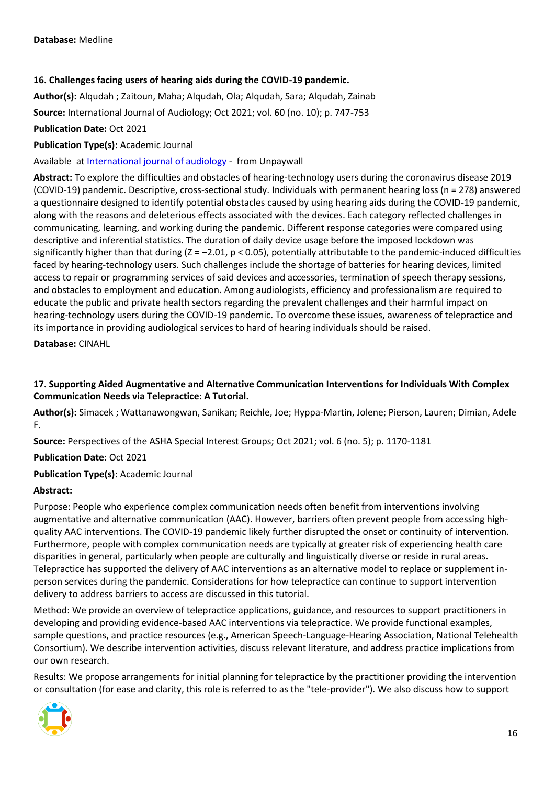#### <span id="page-15-0"></span>**16. Challenges facing users of hearing aids during the COVID-19 pandemic.**

**Author(s):** Alqudah ; Zaitoun, Maha; Alqudah, Ola; Alqudah, Sara; Alqudah, Zainab

**Source:** International Journal of Audiology; Oct 2021; vol. 60 (no. 10); p. 747-753

**Publication Date:** Oct 2021

**Publication Type(s):** Academic Journal

Available at [International journal of audiology](https://www.tandfonline.com/doi/pdf/10.1080/14992027.2021.1872806?needAccess=true) - from Unpaywall

**Abstract:** To explore the difficulties and obstacles of hearing-technology users during the coronavirus disease 2019 (COVID-19) pandemic. Descriptive, cross-sectional study. Individuals with permanent hearing loss (n = 278) answered a questionnaire designed to identify potential obstacles caused by using hearing aids during the COVID-19 pandemic, along with the reasons and deleterious effects associated with the devices. Each category reflected challenges in communicating, learning, and working during the pandemic. Different response categories were compared using descriptive and inferential statistics. The duration of daily device usage before the imposed lockdown was significantly higher than that during  $(Z = -2.01, p < 0.05)$ , potentially attributable to the pandemic-induced difficulties faced by hearing-technology users. Such challenges include the shortage of batteries for hearing devices, limited access to repair or programming services of said devices and accessories, termination of speech therapy sessions, and obstacles to employment and education. Among audiologists, efficiency and professionalism are required to educate the public and private health sectors regarding the prevalent challenges and their harmful impact on hearing-technology users during the COVID-19 pandemic. To overcome these issues, awareness of telepractice and its importance in providing audiological services to hard of hearing individuals should be raised.

**Database:** CINAHL

#### <span id="page-15-1"></span>**17. Supporting Aided Augmentative and Alternative Communication Interventions for Individuals With Complex Communication Needs via Telepractice: A Tutorial.**

**Author(s):** Simacek ; Wattanawongwan, Sanikan; Reichle, Joe; Hyppa-Martin, Jolene; Pierson, Lauren; Dimian, Adele F.

**Source:** Perspectives of the ASHA Special Interest Groups; Oct 2021; vol. 6 (no. 5); p. 1170-1181

**Publication Date:** Oct 2021

**Publication Type(s):** Academic Journal

#### **Abstract:**

Purpose: People who experience complex communication needs often benefit from interventions involving augmentative and alternative communication (AAC). However, barriers often prevent people from accessing highquality AAC interventions. The COVID-19 pandemic likely further disrupted the onset or continuity of intervention. Furthermore, people with complex communication needs are typically at greater risk of experiencing health care disparities in general, particularly when people are culturally and linguistically diverse or reside in rural areas. Telepractice has supported the delivery of AAC interventions as an alternative model to replace or supplement inperson services during the pandemic. Considerations for how telepractice can continue to support intervention delivery to address barriers to access are discussed in this tutorial.

Method: We provide an overview of telepractice applications, guidance, and resources to support practitioners in developing and providing evidence-based AAC interventions via telepractice. We provide functional examples, sample questions, and practice resources (e.g., American Speech-Language-Hearing Association, National Telehealth Consortium). We describe intervention activities, discuss relevant literature, and address practice implications from our own research.

Results: We propose arrangements for initial planning for telepractice by the practitioner providing the intervention or consultation (for ease and clarity, this role is referred to as the "tele-provider"). We also discuss how to support

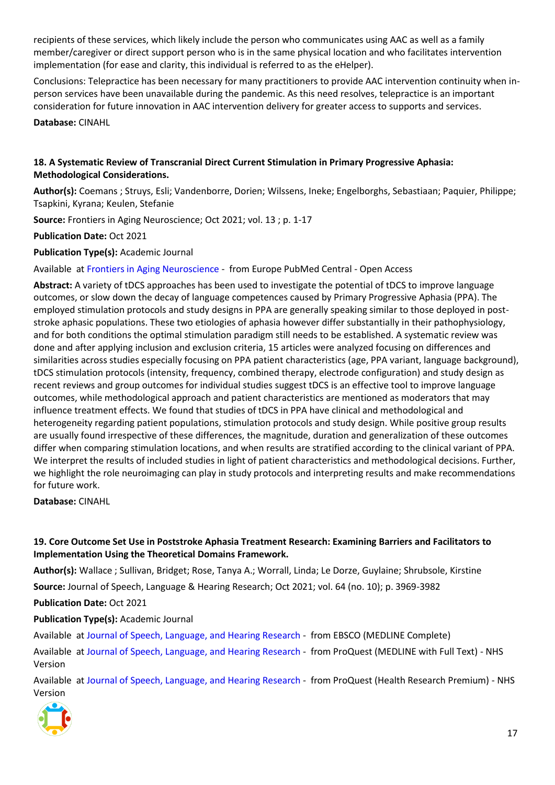recipients of these services, which likely include the person who communicates using AAC as well as a family member/caregiver or direct support person who is in the same physical location and who facilitates intervention implementation (for ease and clarity, this individual is referred to as the eHelper).

Conclusions: Telepractice has been necessary for many practitioners to provide AAC intervention continuity when inperson services have been unavailable during the pandemic. As this need resolves, telepractice is an important consideration for future innovation in AAC intervention delivery for greater access to supports and services.

**Database:** CINAHL

#### <span id="page-16-0"></span>**18. A Systematic Review of Transcranial Direct Current Stimulation in Primary Progressive Aphasia: Methodological Considerations.**

**Author(s):** Coemans ; Struys, Esli; Vandenborre, Dorien; Wilssens, Ineke; Engelborghs, Sebastiaan; Paquier, Philippe; Tsapkini, Kyrana; Keulen, Stefanie

**Source:** Frontiers in Aging Neuroscience; Oct 2021; vol. 13 ; p. 1-17

**Publication Date:** Oct 2021

**Publication Type(s):** Academic Journal

Available at [Frontiers in Aging Neuroscience](http://europepmc.org/search?query=(DOI:%2210.3389/fnagi.2021.710818%22)) - from Europe PubMed Central - Open Access

**Abstract:** A variety of tDCS approaches has been used to investigate the potential of tDCS to improve language outcomes, or slow down the decay of language competences caused by Primary Progressive Aphasia (PPA). The employed stimulation protocols and study designs in PPA are generally speaking similar to those deployed in poststroke aphasic populations. These two etiologies of aphasia however differ substantially in their pathophysiology, and for both conditions the optimal stimulation paradigm still needs to be established. A systematic review was done and after applying inclusion and exclusion criteria, 15 articles were analyzed focusing on differences and similarities across studies especially focusing on PPA patient characteristics (age, PPA variant, language background), tDCS stimulation protocols (intensity, frequency, combined therapy, electrode configuration) and study design as recent reviews and group outcomes for individual studies suggest tDCS is an effective tool to improve language outcomes, while methodological approach and patient characteristics are mentioned as moderators that may influence treatment effects. We found that studies of tDCS in PPA have clinical and methodological and heterogeneity regarding patient populations, stimulation protocols and study design. While positive group results are usually found irrespective of these differences, the magnitude, duration and generalization of these outcomes differ when comparing stimulation locations, and when results are stratified according to the clinical variant of PPA. We interpret the results of included studies in light of patient characteristics and methodological decisions. Further, we highlight the role neuroimaging can play in study protocols and interpreting results and make recommendations for future work.

**Database:** CINAHL

#### <span id="page-16-1"></span>**19. Core Outcome Set Use in Poststroke Aphasia Treatment Research: Examining Barriers and Facilitators to Implementation Using the Theoretical Domains Framework.**

**Author(s):** Wallace ; Sullivan, Bridget; Rose, Tanya A.; Worrall, Linda; Le Dorze, Guylaine; Shrubsole, Kirstine

**Source:** Journal of Speech, Language & Hearing Research; Oct 2021; vol. 64 (no. 10); p. 3969-3982

**Publication Date:** Oct 2021

**Publication Type(s):** Academic Journal

Available at [Journal of Speech, Language, and Hearing Research](https://search.ebscohost.com/login.aspx?direct=true&scope=site&site=ehost-live&db=mdc&AN=34491769) - from EBSCO (MEDLINE Complete)

Available at [Journal of Speech, Language, and Hearing Research](https://gateway.proquest.com/openurl?ctx_ver=Z39.88-2004&res_id=xri:pqm&req_dat=xri:pqil:pq_clntid=48229&rft_val_fmt=ori/fmt:kev:mtx:journal&genre=article&issn=1092-4388&volume=64&issue=10&spage=3969&atitle=Core+Outcome+Set+Use+in+Poststroke+Aphasia+Treatment+Research%3A+Examining+Barriers+and+Facilitators+to+Implementation+Using+the+Theoretical+Domains+Framework) - from ProQuest (MEDLINE with Full Text) - NHS Version

Available at [Journal of Speech, Language, and Hearing Research](https://gateway.proquest.com/openurl?ctx_ver=Z39.88-2004&res_id=xri:pqm&req_dat=xri:pqil:pq_clntid=48229&rft_val_fmt=ori/fmt:kev:mtx:journal&genre=article&issn=1092-4388&volume=64&issue=10&spage=3969&atitle=Core+Outcome+Set+Use+in+Poststroke+Aphasia+Treatment+Research%3A+Examining+Barriers+and+Facilitators+to+Implementation+Using+the+Theoretical+Domains+Framework) - from ProQuest (Health Research Premium) - NHS Version

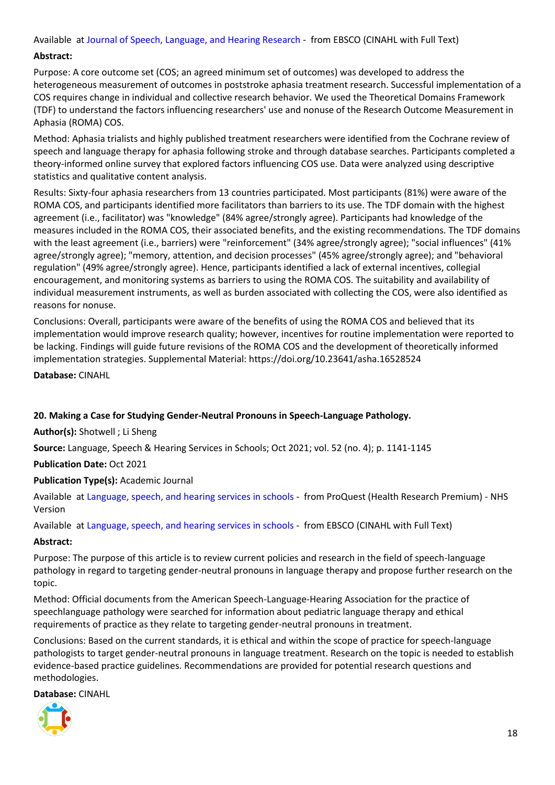Available at [Journal of Speech, Language, and Hearing Research](https://openurl.ebsco.com/openurl?genre=article&issn=1092-4388&volume=64&issue=10&spage=3969) - from EBSCO (CINAHL with Full Text)

#### **Abstract:**

Purpose: A core outcome set (COS; an agreed minimum set of outcomes) was developed to address the heterogeneous measurement of outcomes in poststroke aphasia treatment research. Successful implementation of a COS requires change in individual and collective research behavior. We used the Theoretical Domains Framework (TDF) to understand the factors influencing researchers' use and nonuse of the Research Outcome Measurement in Aphasia (ROMA) COS.

Method: Aphasia trialists and highly published treatment researchers were identified from the Cochrane review of speech and language therapy for aphasia following stroke and through database searches. Participants completed a theory-informed online survey that explored factors influencing COS use. Data were analyzed using descriptive statistics and qualitative content analysis.

Results: Sixty-four aphasia researchers from 13 countries participated. Most participants (81%) were aware of the ROMA COS, and participants identified more facilitators than barriers to its use. The TDF domain with the highest agreement (i.e., facilitator) was "knowledge" (84% agree/strongly agree). Participants had knowledge of the measures included in the ROMA COS, their associated benefits, and the existing recommendations. The TDF domains with the least agreement (i.e., barriers) were "reinforcement" (34% agree/strongly agree); "social influences" (41% agree/strongly agree); "memory, attention, and decision processes" (45% agree/strongly agree); and "behavioral regulation" (49% agree/strongly agree). Hence, participants identified a lack of external incentives, collegial encouragement, and monitoring systems as barriers to using the ROMA COS. The suitability and availability of individual measurement instruments, as well as burden associated with collecting the COS, were also identified as reasons for nonuse.

Conclusions: Overall, participants were aware of the benefits of using the ROMA COS and believed that its implementation would improve research quality; however, incentives for routine implementation were reported to be lacking. Findings will guide future revisions of the ROMA COS and the development of theoretically informed implementation strategies. Supplemental Material: https://doi.org/10.23641/asha.16528524

**Database:** CINAHL

#### <span id="page-17-0"></span>**20. Making a Case for Studying Gender-Neutral Pronouns in Speech-Language Pathology.**

**Author(s):** Shotwell ; Li Sheng

**Source:** Language, Speech & Hearing Services in Schools; Oct 2021; vol. 52 (no. 4); p. 1141-1145

**Publication Date:** Oct 2021

**Publication Type(s):** Academic Journal

Available at [Language, speech, and hearing services in schools](https://gateway.proquest.com/openurl?ctx_ver=Z39.88-2004&res_id=xri:pqm&req_dat=xri:pqil:pq_clntid=48229&rft_val_fmt=ori/fmt:kev:mtx:journal&genre=article&issn=0161-1461&volume=52&issue=4&spage=1141&atitle=Making+a+Case+for+Studying+Gender-Neutral+Pronouns+in+Speech-Language+Pathology) - from ProQuest (Health Research Premium) - NHS Version

Available at [Language, speech, and hearing services in schools](https://openurl.ebsco.com/openurl?genre=article&issn=0161-1461&volume=52&issue=4&spage=1141) - from EBSCO (CINAHL with Full Text)

#### **Abstract:**

Purpose: The purpose of this article is to review current policies and research in the field of speech-language pathology in regard to targeting gender-neutral pronouns in language therapy and propose further research on the topic.

Method: Official documents from the American Speech-Language-Hearing Association for the practice of speechlanguage pathology were searched for information about pediatric language therapy and ethical requirements of practice as they relate to targeting gender-neutral pronouns in treatment.

Conclusions: Based on the current standards, it is ethical and within the scope of practice for speech-language pathologists to target gender-neutral pronouns in language treatment. Research on the topic is needed to establish evidence-based practice guidelines. Recommendations are provided for potential research questions and methodologies.

**Database:** CINAHL

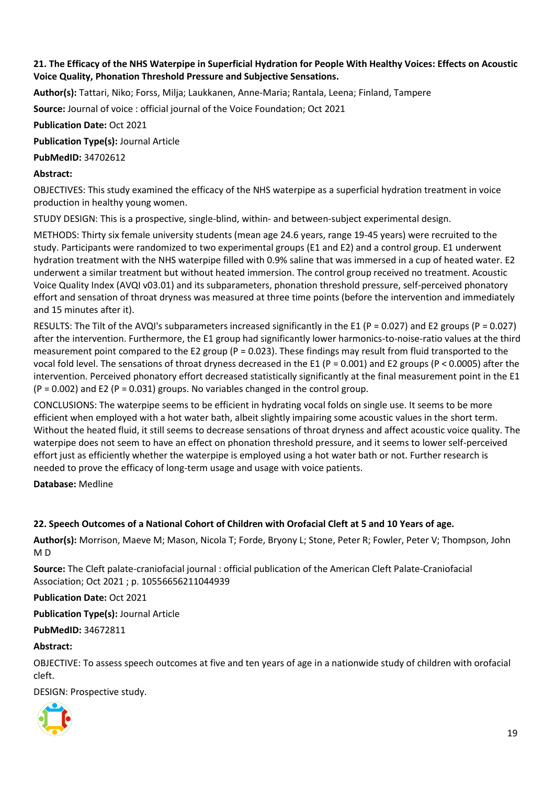#### <span id="page-18-0"></span>**21. The Efficacy of the NHS Waterpipe in Superficial Hydration for People With Healthy Voices: Effects on Acoustic Voice Quality, Phonation Threshold Pressure and Subjective Sensations.**

**Author(s):** Tattari, Niko; Forss, Milja; Laukkanen, Anne-Maria; Rantala, Leena; Finland, Tampere

**Source:** Journal of voice : official journal of the Voice Foundation; Oct 2021

**Publication Date:** Oct 2021

**Publication Type(s):** Journal Article

**PubMedID:** 34702612

#### **Abstract:**

OBJECTIVES: This study examined the efficacy of the NHS waterpipe as a superficial hydration treatment in voice production in healthy young women.

STUDY DESIGN: This is a prospective, single-blind, within- and between-subject experimental design.

METHODS: Thirty six female university students (mean age 24.6 years, range 19-45 years) were recruited to the study. Participants were randomized to two experimental groups (E1 and E2) and a control group. E1 underwent hydration treatment with the NHS waterpipe filled with 0.9% saline that was immersed in a cup of heated water. E2 underwent a similar treatment but without heated immersion. The control group received no treatment. Acoustic Voice Quality Index (AVQI v03.01) and its subparameters, phonation threshold pressure, self-perceived phonatory effort and sensation of throat dryness was measured at three time points (before the intervention and immediately and 15 minutes after it).

RESULTS: The Tilt of the AVQI's subparameters increased significantly in the E1 (P = 0.027) and E2 groups (P = 0.027) after the intervention. Furthermore, the E1 group had significantly lower harmonics-to-noise-ratio values at the third measurement point compared to the E2 group (P = 0.023). These findings may result from fluid transported to the vocal fold level. The sensations of throat dryness decreased in the E1 (P = 0.001) and E2 groups (P < 0.0005) after the intervention. Perceived phonatory effort decreased statistically significantly at the final measurement point in the E1  $(P = 0.002)$  and E2  $(P = 0.031)$  groups. No variables changed in the control group.

CONCLUSIONS: The waterpipe seems to be efficient in hydrating vocal folds on single use. It seems to be more efficient when employed with a hot water bath, albeit slightly impairing some acoustic values in the short term. Without the heated fluid, it still seems to decrease sensations of throat dryness and affect acoustic voice quality. The waterpipe does not seem to have an effect on phonation threshold pressure, and it seems to lower self-perceived effort just as efficiently whether the waterpipe is employed using a hot water bath or not. Further research is needed to prove the efficacy of long-term usage and usage with voice patients.

**Database:** Medline

#### <span id="page-18-1"></span>**22. Speech Outcomes of a National Cohort of Children with Orofacial Cleft at 5 and 10 Years of age.**

**Author(s):** Morrison, Maeve M; Mason, Nicola T; Forde, Bryony L; Stone, Peter R; Fowler, Peter V; Thompson, John M D

**Source:** The Cleft palate-craniofacial journal : official publication of the American Cleft Palate-Craniofacial Association; Oct 2021 ; p. 10556656211044939

**Publication Date:** Oct 2021

**Publication Type(s):** Journal Article

**PubMedID:** 34672811

#### **Abstract:**

OBJECTIVE: To assess speech outcomes at five and ten years of age in a nationwide study of children with orofacial cleft.

DESIGN: Prospective study.

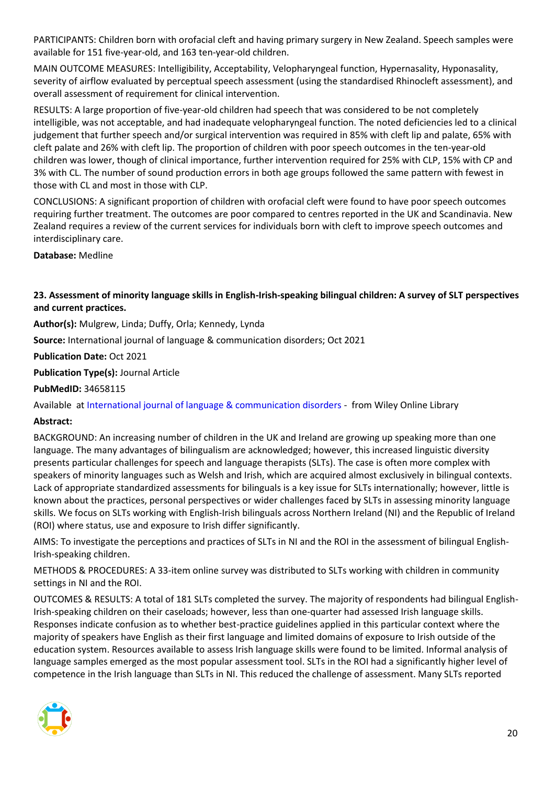PARTICIPANTS: Children born with orofacial cleft and having primary surgery in New Zealand. Speech samples were available for 151 five-year-old, and 163 ten-year-old children.

MAIN OUTCOME MEASURES: Intelligibility, Acceptability, Velopharyngeal function, Hypernasality, Hyponasality, severity of airflow evaluated by perceptual speech assessment (using the standardised Rhinocleft assessment), and overall assessment of requirement for clinical intervention.

RESULTS: A large proportion of five-year-old children had speech that was considered to be not completely intelligible, was not acceptable, and had inadequate velopharyngeal function. The noted deficiencies led to a clinical judgement that further speech and/or surgical intervention was required in 85% with cleft lip and palate, 65% with cleft palate and 26% with cleft lip. The proportion of children with poor speech outcomes in the ten-year-old children was lower, though of clinical importance, further intervention required for 25% with CLP, 15% with CP and 3% with CL. The number of sound production errors in both age groups followed the same pattern with fewest in those with CL and most in those with CLP.

CONCLUSIONS: A significant proportion of children with orofacial cleft were found to have poor speech outcomes requiring further treatment. The outcomes are poor compared to centres reported in the UK and Scandinavia. New Zealand requires a review of the current services for individuals born with cleft to improve speech outcomes and interdisciplinary care.

**Database:** Medline

#### <span id="page-19-0"></span>**23. Assessment of minority language skills in English-Irish-speaking bilingual children: A survey of SLT perspectives and current practices.**

**Author(s):** Mulgrew, Linda; Duffy, Orla; Kennedy, Lynda

**Source:** International journal of language & communication disorders; Oct 2021

**Publication Date:** Oct 2021

**Publication Type(s):** Journal Article

**PubMedID:** 34658115

Available at [International journal of language & communication disorders](https://go.openathens.net/redirector/nhs?url=https%3A%2F%2Fonlinelibrary.wiley.com%2Fdoi%2Ffull%2F10.1111%2F1460-6984.12674) - from Wiley Online Library

#### **Abstract:**

BACKGROUND: An increasing number of children in the UK and Ireland are growing up speaking more than one language. The many advantages of bilingualism are acknowledged; however, this increased linguistic diversity presents particular challenges for speech and language therapists (SLTs). The case is often more complex with speakers of minority languages such as Welsh and Irish, which are acquired almost exclusively in bilingual contexts. Lack of appropriate standardized assessments for bilinguals is a key issue for SLTs internationally; however, little is known about the practices, personal perspectives or wider challenges faced by SLTs in assessing minority language skills. We focus on SLTs working with English-Irish bilinguals across Northern Ireland (NI) and the Republic of Ireland (ROI) where status, use and exposure to Irish differ significantly.

AIMS: To investigate the perceptions and practices of SLTs in NI and the ROI in the assessment of bilingual English-Irish-speaking children.

METHODS & PROCEDURES: A 33-item online survey was distributed to SLTs working with children in community settings in NI and the ROI.

OUTCOMES & RESULTS: A total of 181 SLTs completed the survey. The majority of respondents had bilingual English-Irish-speaking children on their caseloads; however, less than one-quarter had assessed Irish language skills. Responses indicate confusion as to whether best-practice guidelines applied in this particular context where the majority of speakers have English as their first language and limited domains of exposure to Irish outside of the education system. Resources available to assess Irish language skills were found to be limited. Informal analysis of language samples emerged as the most popular assessment tool. SLTs in the ROI had a significantly higher level of competence in the Irish language than SLTs in NI. This reduced the challenge of assessment. Many SLTs reported

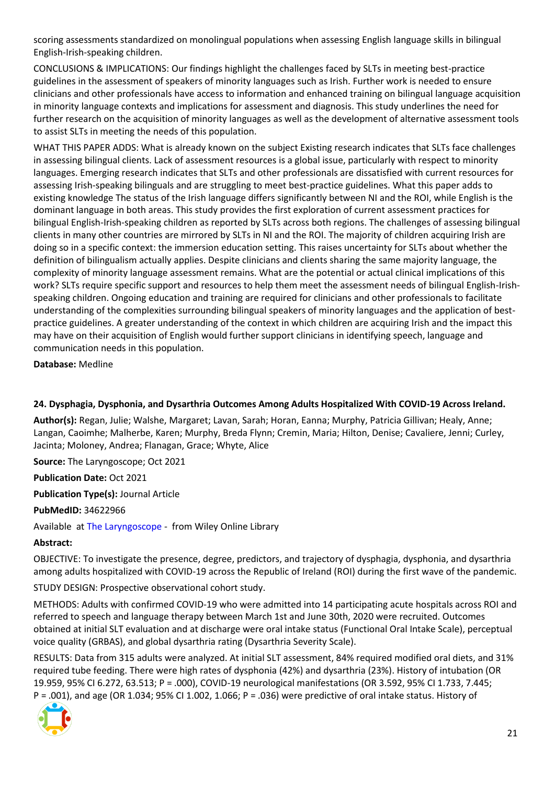scoring assessments standardized on monolingual populations when assessing English language skills in bilingual English-Irish-speaking children.

CONCLUSIONS & IMPLICATIONS: Our findings highlight the challenges faced by SLTs in meeting best-practice guidelines in the assessment of speakers of minority languages such as Irish. Further work is needed to ensure clinicians and other professionals have access to information and enhanced training on bilingual language acquisition in minority language contexts and implications for assessment and diagnosis. This study underlines the need for further research on the acquisition of minority languages as well as the development of alternative assessment tools to assist SLTs in meeting the needs of this population.

WHAT THIS PAPER ADDS: What is already known on the subject Existing research indicates that SLTs face challenges in assessing bilingual clients. Lack of assessment resources is a global issue, particularly with respect to minority languages. Emerging research indicates that SLTs and other professionals are dissatisfied with current resources for assessing Irish-speaking bilinguals and are struggling to meet best-practice guidelines. What this paper adds to existing knowledge The status of the Irish language differs significantly between NI and the ROI, while English is the dominant language in both areas. This study provides the first exploration of current assessment practices for bilingual English-Irish-speaking children as reported by SLTs across both regions. The challenges of assessing bilingual clients in many other countries are mirrored by SLTs in NI and the ROI. The majority of children acquiring Irish are doing so in a specific context: the immersion education setting. This raises uncertainty for SLTs about whether the definition of bilingualism actually applies. Despite clinicians and clients sharing the same majority language, the complexity of minority language assessment remains. What are the potential or actual clinical implications of this work? SLTs require specific support and resources to help them meet the assessment needs of bilingual English-Irishspeaking children. Ongoing education and training are required for clinicians and other professionals to facilitate understanding of the complexities surrounding bilingual speakers of minority languages and the application of bestpractice guidelines. A greater understanding of the context in which children are acquiring Irish and the impact this may have on their acquisition of English would further support clinicians in identifying speech, language and communication needs in this population.

**Database:** Medline

#### <span id="page-20-0"></span>**24. Dysphagia, Dysphonia, and Dysarthria Outcomes Among Adults Hospitalized With COVID-19 Across Ireland.**

**Author(s):** Regan, Julie; Walshe, Margaret; Lavan, Sarah; Horan, Eanna; Murphy, Patricia Gillivan; Healy, Anne; Langan, Caoimhe; Malherbe, Karen; Murphy, Breda Flynn; Cremin, Maria; Hilton, Denise; Cavaliere, Jenni; Curley, Jacinta; Moloney, Andrea; Flanagan, Grace; Whyte, Alice

**Source:** The Laryngoscope; Oct 2021

**Publication Date:** Oct 2021

**Publication Type(s):** Journal Article

**PubMedID:** 34622966

Available at [The Laryngoscope](https://go.openathens.net/redirector/nhs?url=https%3A%2F%2Fonlinelibrary.wiley.com%2Fdoi%2Ffull%2F10.1002%2Flary.29900) - from Wiley Online Library

#### **Abstract:**

OBJECTIVE: To investigate the presence, degree, predictors, and trajectory of dysphagia, dysphonia, and dysarthria among adults hospitalized with COVID-19 across the Republic of Ireland (ROI) during the first wave of the pandemic.

STUDY DESIGN: Prospective observational cohort study.

METHODS: Adults with confirmed COVID-19 who were admitted into 14 participating acute hospitals across ROI and referred to speech and language therapy between March 1st and June 30th, 2020 were recruited. Outcomes obtained at initial SLT evaluation and at discharge were oral intake status (Functional Oral Intake Scale), perceptual voice quality (GRBAS), and global dysarthria rating (Dysarthria Severity Scale).

RESULTS: Data from 315 adults were analyzed. At initial SLT assessment, 84% required modified oral diets, and 31% required tube feeding. There were high rates of dysphonia (42%) and dysarthria (23%). History of intubation (OR 19.959, 95% CI 6.272, 63.513; P = .000), COVID-19 neurological manifestations (OR 3.592, 95% CI 1.733, 7.445; P = .001), and age (OR 1.034; 95% CI 1.002, 1.066; P = .036) were predictive of oral intake status. History of

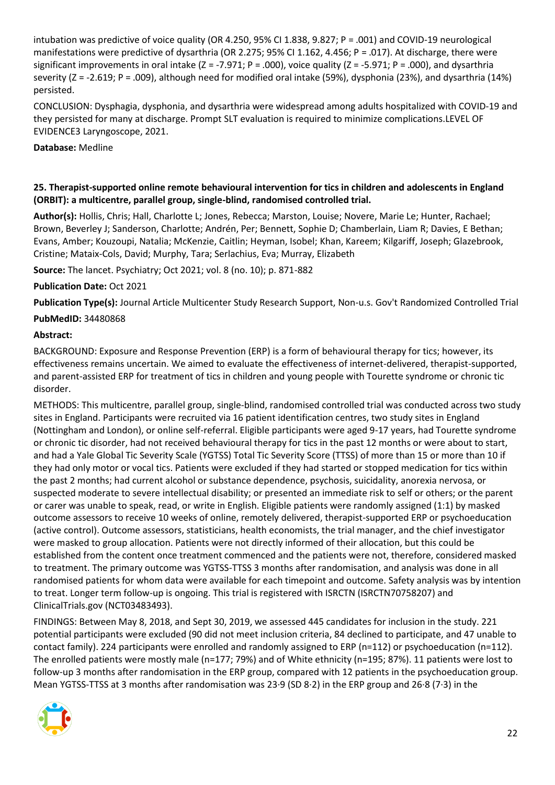intubation was predictive of voice quality (OR 4.250, 95% CI 1.838, 9.827; P = .001) and COVID-19 neurological manifestations were predictive of dysarthria (OR 2.275; 95% CI 1.162, 4.456; P = .017). At discharge, there were significant improvements in oral intake ( $Z = -7.971$ ;  $P = .000$ ), voice quality ( $Z = -5.971$ ;  $P = .000$ ), and dysarthria severity (Z = -2.619; P = .009), although need for modified oral intake (59%), dysphonia (23%), and dysarthria (14%) persisted.

CONCLUSION: Dysphagia, dysphonia, and dysarthria were widespread among adults hospitalized with COVID-19 and they persisted for many at discharge. Prompt SLT evaluation is required to minimize complications.LEVEL OF EVIDENCE3 Laryngoscope, 2021.

**Database:** Medline

#### <span id="page-21-0"></span>**25. Therapist-supported online remote behavioural intervention for tics in children and adolescents in England (ORBIT): a multicentre, parallel group, single-blind, randomised controlled trial.**

**Author(s):** Hollis, Chris; Hall, Charlotte L; Jones, Rebecca; Marston, Louise; Novere, Marie Le; Hunter, Rachael; Brown, Beverley J; Sanderson, Charlotte; Andrén, Per; Bennett, Sophie D; Chamberlain, Liam R; Davies, E Bethan; Evans, Amber; Kouzoupi, Natalia; McKenzie, Caitlin; Heyman, Isobel; Khan, Kareem; Kilgariff, Joseph; Glazebrook, Cristine; Mataix-Cols, David; Murphy, Tara; Serlachius, Eva; Murray, Elizabeth

**Source:** The lancet. Psychiatry; Oct 2021; vol. 8 (no. 10); p. 871-882

#### **Publication Date:** Oct 2021

**Publication Type(s):** Journal Article Multicenter Study Research Support, Non-u.s. Gov't Randomized Controlled Trial

#### **PubMedID:** 34480868

#### **Abstract:**

BACKGROUND: Exposure and Response Prevention (ERP) is a form of behavioural therapy for tics; however, its effectiveness remains uncertain. We aimed to evaluate the effectiveness of internet-delivered, therapist-supported, and parent-assisted ERP for treatment of tics in children and young people with Tourette syndrome or chronic tic disorder.

METHODS: This multicentre, parallel group, single-blind, randomised controlled trial was conducted across two study sites in England. Participants were recruited via 16 patient identification centres, two study sites in England (Nottingham and London), or online self-referral. Eligible participants were aged 9-17 years, had Tourette syndrome or chronic tic disorder, had not received behavioural therapy for tics in the past 12 months or were about to start, and had a Yale Global Tic Severity Scale (YGTSS) Total Tic Severity Score (TTSS) of more than 15 or more than 10 if they had only motor or vocal tics. Patients were excluded if they had started or stopped medication for tics within the past 2 months; had current alcohol or substance dependence, psychosis, suicidality, anorexia nervosa, or suspected moderate to severe intellectual disability; or presented an immediate risk to self or others; or the parent or carer was unable to speak, read, or write in English. Eligible patients were randomly assigned (1:1) by masked outcome assessors to receive 10 weeks of online, remotely delivered, therapist-supported ERP or psychoeducation (active control). Outcome assessors, statisticians, health economists, the trial manager, and the chief investigator were masked to group allocation. Patients were not directly informed of their allocation, but this could be established from the content once treatment commenced and the patients were not, therefore, considered masked to treatment. The primary outcome was YGTSS-TTSS 3 months after randomisation, and analysis was done in all randomised patients for whom data were available for each timepoint and outcome. Safety analysis was by intention to treat. Longer term follow-up is ongoing. This trial is registered with ISRCTN (ISRCTN70758207) and ClinicalTrials.gov (NCT03483493).

FINDINGS: Between May 8, 2018, and Sept 30, 2019, we assessed 445 candidates for inclusion in the study. 221 potential participants were excluded (90 did not meet inclusion criteria, 84 declined to participate, and 47 unable to contact family). 224 participants were enrolled and randomly assigned to ERP (n=112) or psychoeducation (n=112). The enrolled patients were mostly male (n=177; 79%) and of White ethnicity (n=195; 87%). 11 patients were lost to follow-up 3 months after randomisation in the ERP group, compared with 12 patients in the psychoeducation group. Mean YGTSS-TTSS at 3 months after randomisation was 23·9 (SD 8·2) in the ERP group and 26·8 (7·3) in the

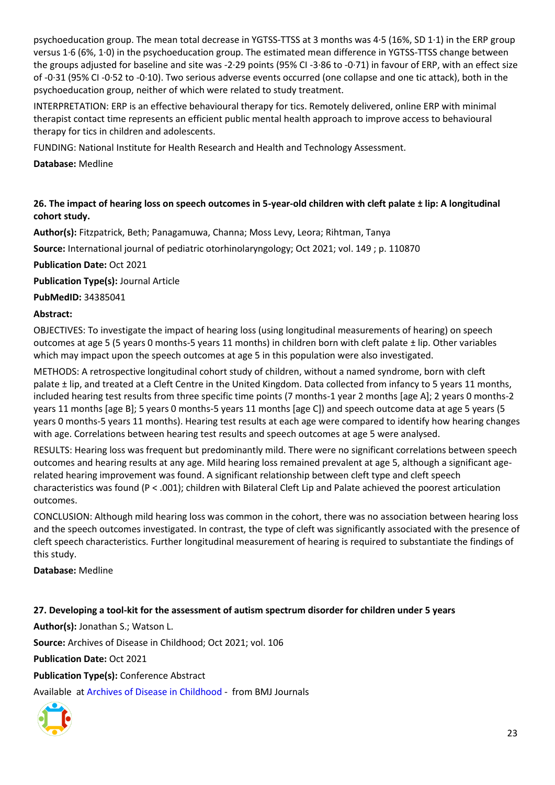psychoeducation group. The mean total decrease in YGTSS-TTSS at 3 months was 4·5 (16%, SD 1·1) in the ERP group versus 1·6 (6%, 1·0) in the psychoeducation group. The estimated mean difference in YGTSS-TTSS change between the groups adjusted for baseline and site was -2·29 points (95% CI -3·86 to -0·71) in favour of ERP, with an effect size of -0·31 (95% CI -0·52 to -0·10). Two serious adverse events occurred (one collapse and one tic attack), both in the psychoeducation group, neither of which were related to study treatment.

INTERPRETATION: ERP is an effective behavioural therapy for tics. Remotely delivered, online ERP with minimal therapist contact time represents an efficient public mental health approach to improve access to behavioural therapy for tics in children and adolescents.

FUNDING: National Institute for Health Research and Health and Technology Assessment.

**Database:** Medline

### <span id="page-22-0"></span>**26. The impact of hearing loss on speech outcomes in 5-year-old children with cleft palate ± lip: A longitudinal cohort study.**

**Author(s):** Fitzpatrick, Beth; Panagamuwa, Channa; Moss Levy, Leora; Rihtman, Tanya

**Source:** International journal of pediatric otorhinolaryngology; Oct 2021; vol. 149 ; p. 110870

**Publication Date:** Oct 2021

**Publication Type(s):** Journal Article

**PubMedID:** 34385041

#### **Abstract:**

OBJECTIVES: To investigate the impact of hearing loss (using longitudinal measurements of hearing) on speech outcomes at age 5 (5 years 0 months-5 years 11 months) in children born with cleft palate ± lip. Other variables which may impact upon the speech outcomes at age 5 in this population were also investigated.

METHODS: A retrospective longitudinal cohort study of children, without a named syndrome, born with cleft palate ± lip, and treated at a Cleft Centre in the United Kingdom. Data collected from infancy to 5 years 11 months, included hearing test results from three specific time points (7 months-1 year 2 months [age A]; 2 years 0 months-2 years 11 months [age B]; 5 years 0 months-5 years 11 months [age C]) and speech outcome data at age 5 years (5 years 0 months-5 years 11 months). Hearing test results at each age were compared to identify how hearing changes with age. Correlations between hearing test results and speech outcomes at age 5 were analysed.

RESULTS: Hearing loss was frequent but predominantly mild. There were no significant correlations between speech outcomes and hearing results at any age. Mild hearing loss remained prevalent at age 5, although a significant agerelated hearing improvement was found. A significant relationship between cleft type and cleft speech characteristics was found (P < .001); children with Bilateral Cleft Lip and Palate achieved the poorest articulation outcomes.

CONCLUSION: Although mild hearing loss was common in the cohort, there was no association between hearing loss and the speech outcomes investigated. In contrast, the type of cleft was significantly associated with the presence of cleft speech characteristics. Further longitudinal measurement of hearing is required to substantiate the findings of this study.

#### **Database:** Medline

<span id="page-22-1"></span>**27. Developing a tool-kit for the assessment of autism spectrum disorder for children under 5 years**

**Author(s):** Jonathan S.; Watson L.

**Source:** Archives of Disease in Childhood; Oct 2021; vol. 106

**Publication Date:** Oct 2021

**Publication Type(s):** Conference Abstract

Available at [Archives of Disease in Childhood](https://go.openathens.net/redirector/nhs?url=https%3A%2F%2Fadc.bmj.com%2Flookup%2Fdoi%2F10.1136%2Farchdischild-2021-rcpch.480) - from BMJ Journals

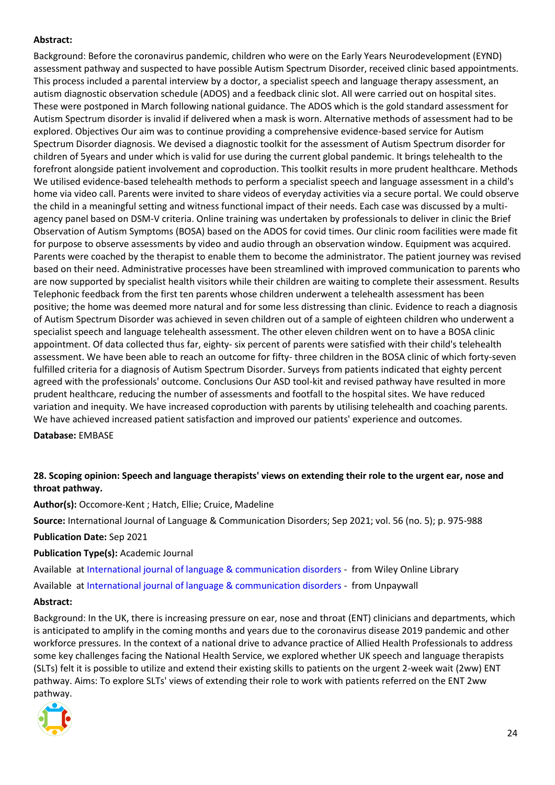#### **Abstract:**

Background: Before the coronavirus pandemic, children who were on the Early Years Neurodevelopment (EYND) assessment pathway and suspected to have possible Autism Spectrum Disorder, received clinic based appointments. This process included a parental interview by a doctor, a specialist speech and language therapy assessment, an autism diagnostic observation schedule (ADOS) and a feedback clinic slot. All were carried out on hospital sites. These were postponed in March following national guidance. The ADOS which is the gold standard assessment for Autism Spectrum disorder is invalid if delivered when a mask is worn. Alternative methods of assessment had to be explored. Objectives Our aim was to continue providing a comprehensive evidence-based service for Autism Spectrum Disorder diagnosis. We devised a diagnostic toolkit for the assessment of Autism Spectrum disorder for children of 5years and under which is valid for use during the current global pandemic. It brings telehealth to the forefront alongside patient involvement and coproduction. This toolkit results in more prudent healthcare. Methods We utilised evidence-based telehealth methods to perform a specialist speech and language assessment in a child's home via video call. Parents were invited to share videos of everyday activities via a secure portal. We could observe the child in a meaningful setting and witness functional impact of their needs. Each case was discussed by a multiagency panel based on DSM-V criteria. Online training was undertaken by professionals to deliver in clinic the Brief Observation of Autism Symptoms (BOSA) based on the ADOS for covid times. Our clinic room facilities were made fit for purpose to observe assessments by video and audio through an observation window. Equipment was acquired. Parents were coached by the therapist to enable them to become the administrator. The patient journey was revised based on their need. Administrative processes have been streamlined with improved communication to parents who are now supported by specialist health visitors while their children are waiting to complete their assessment. Results Telephonic feedback from the first ten parents whose children underwent a telehealth assessment has been positive; the home was deemed more natural and for some less distressing than clinic. Evidence to reach a diagnosis of Autism Spectrum Disorder was achieved in seven children out of a sample of eighteen children who underwent a specialist speech and language telehealth assessment. The other eleven children went on to have a BOSA clinic appointment. Of data collected thus far, eighty- six percent of parents were satisfied with their child's telehealth assessment. We have been able to reach an outcome for fifty- three children in the BOSA clinic of which forty-seven fulfilled criteria for a diagnosis of Autism Spectrum Disorder. Surveys from patients indicated that eighty percent agreed with the professionals' outcome. Conclusions Our ASD tool-kit and revised pathway have resulted in more prudent healthcare, reducing the number of assessments and footfall to the hospital sites. We have reduced variation and inequity. We have increased coproduction with parents by utilising telehealth and coaching parents. We have achieved increased patient satisfaction and improved our patients' experience and outcomes.

**Database:** EMBASE

#### <span id="page-23-0"></span>**28. Scoping opinion: Speech and language therapists' views on extending their role to the urgent ear, nose and throat pathway.**

**Author(s):** Occomore-Kent ; Hatch, Ellie; Cruice, Madeline

**Source:** International Journal of Language & Communication Disorders; Sep 2021; vol. 56 (no. 5); p. 975-988

#### **Publication Date:** Sep 2021

**Publication Type(s):** Academic Journal

Available at [International journal of language & communication disorders](https://go.openathens.net/redirector/nhs?url=https%3A%2F%2Fonlinelibrary.wiley.com%2Fdoi%2Ffull%2F10.1111%2F1460-6984.12650) - from Wiley Online Library

Available at [International journal of language & communication disorders](https://onlinelibrary.wiley.com/doi/pdfdirect/10.1111/1460-6984.12650) - from Unpaywall

#### **Abstract:**

Background: In the UK, there is increasing pressure on ear, nose and throat (ENT) clinicians and departments, which is anticipated to amplify in the coming months and years due to the coronavirus disease 2019 pandemic and other workforce pressures. In the context of a national drive to advance practice of Allied Health Professionals to address some key challenges facing the National Health Service, we explored whether UK speech and language therapists (SLTs) felt it is possible to utilize and extend their existing skills to patients on the urgent 2-week wait (2ww) ENT pathway. Aims: To explore SLTs' views of extending their role to work with patients referred on the ENT 2ww pathway.

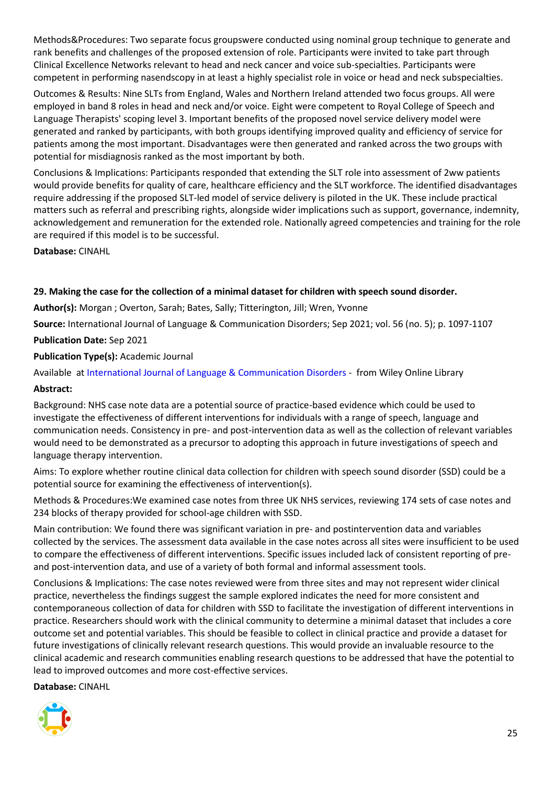Methods&Procedures: Two separate focus groupswere conducted using nominal group technique to generate and rank benefits and challenges of the proposed extension of role. Participants were invited to take part through Clinical Excellence Networks relevant to head and neck cancer and voice sub-specialties. Participants were competent in performing nasendscopy in at least a highly specialist role in voice or head and neck subspecialties.

Outcomes & Results: Nine SLTs from England, Wales and Northern Ireland attended two focus groups. All were employed in band 8 roles in head and neck and/or voice. Eight were competent to Royal College of Speech and Language Therapists' scoping level 3. Important benefits of the proposed novel service delivery model were generated and ranked by participants, with both groups identifying improved quality and efficiency of service for patients among the most important. Disadvantages were then generated and ranked across the two groups with potential for misdiagnosis ranked as the most important by both.

Conclusions & Implications: Participants responded that extending the SLT role into assessment of 2ww patients would provide benefits for quality of care, healthcare efficiency and the SLT workforce. The identified disadvantages require addressing if the proposed SLT-led model of service delivery is piloted in the UK. These include practical matters such as referral and prescribing rights, alongside wider implications such as support, governance, indemnity, acknowledgement and remuneration for the extended role. Nationally agreed competencies and training for the role are required if this model is to be successful.

**Database:** CINAHL

#### <span id="page-24-0"></span>**29. Making the case for the collection of a minimal dataset for children with speech sound disorder.**

**Author(s):** Morgan ; Overton, Sarah; Bates, Sally; Titterington, Jill; Wren, Yvonne

**Source:** International Journal of Language & Communication Disorders; Sep 2021; vol. 56 (no. 5); p. 1097-1107

**Publication Date:** Sep 2021

#### **Publication Type(s):** Academic Journal

Available at [International Journal of Language & Communication Disorders](https://go.openathens.net/redirector/nhs?url=https%3A%2F%2Fonlinelibrary.wiley.com%2Fdoi%2Ffull%2F10.1111%2F1460-6984.12649) - from Wiley Online Library

#### **Abstract:**

Background: NHS case note data are a potential source of practice-based evidence which could be used to investigate the effectiveness of different interventions for individuals with a range of speech, language and communication needs. Consistency in pre- and post-intervention data as well as the collection of relevant variables would need to be demonstrated as a precursor to adopting this approach in future investigations of speech and language therapy intervention.

Aims: To explore whether routine clinical data collection for children with speech sound disorder (SSD) could be a potential source for examining the effectiveness of intervention(s).

Methods & Procedures:We examined case notes from three UK NHS services, reviewing 174 sets of case notes and 234 blocks of therapy provided for school-age children with SSD.

Main contribution: We found there was significant variation in pre- and postintervention data and variables collected by the services. The assessment data available in the case notes across all sites were insufficient to be used to compare the effectiveness of different interventions. Specific issues included lack of consistent reporting of preand post-intervention data, and use of a variety of both formal and informal assessment tools.

Conclusions & Implications: The case notes reviewed were from three sites and may not represent wider clinical practice, nevertheless the findings suggest the sample explored indicates the need for more consistent and contemporaneous collection of data for children with SSD to facilitate the investigation of different interventions in practice. Researchers should work with the clinical community to determine a minimal dataset that includes a core outcome set and potential variables. This should be feasible to collect in clinical practice and provide a dataset for future investigations of clinically relevant research questions. This would provide an invaluable resource to the clinical academic and research communities enabling research questions to be addressed that have the potential to lead to improved outcomes and more cost-effective services.

**Database:** CINAHL

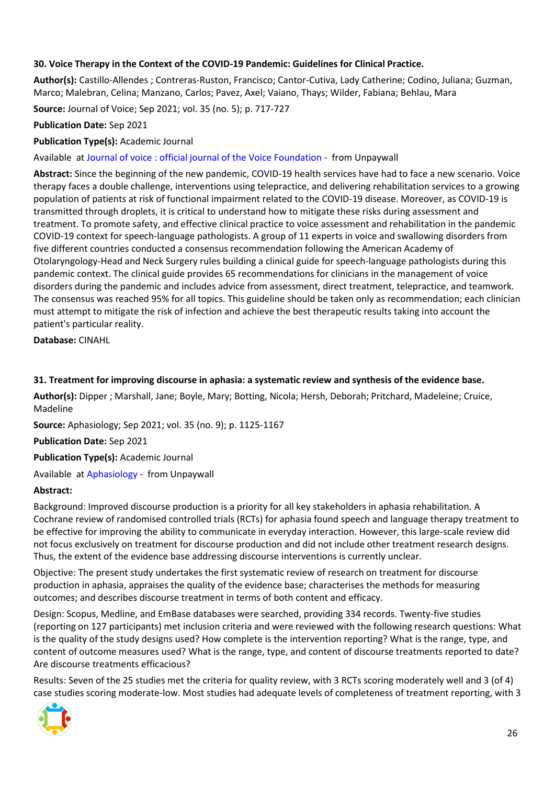#### <span id="page-25-0"></span>**30. Voice Therapy in the Context of the COVID-19 Pandemic: Guidelines for Clinical Practice.**

**Author(s):** Castillo-Allendes ; Contreras-Ruston, Francisco; Cantor-Cutiva, Lady Catherine; Codino, Juliana; Guzman, Marco; Malebran, Celina; Manzano, Carlos; Pavez, Axel; Vaiano, Thays; Wilder, Fabiana; Behlau, Mara

**Source:** Journal of Voice; Sep 2021; vol. 35 (no. 5); p. 717-727

#### **Publication Date:** Sep 2021

#### **Publication Type(s):** Academic Journal

Available at [Journal of voice : official journal of the Voice Foundation](http://www.jvoice.org/article/S0892199720302873/pdf) - from Unpaywall

**Abstract:** Since the beginning of the new pandemic, COVID-19 health services have had to face a new scenario. Voice therapy faces a double challenge, interventions using telepractice, and delivering rehabilitation services to a growing population of patients at risk of functional impairment related to the COVID-19 disease. Moreover, as COVID-19 is transmitted through droplets, it is critical to understand how to mitigate these risks during assessment and treatment. To promote safety, and effective clinical practice to voice assessment and rehabilitation in the pandemic COVID-19 context for speech-language pathologists. A group of 11 experts in voice and swallowing disorders from five different countries conducted a consensus recommendation following the American Academy of Otolaryngology-Head and Neck Surgery rules building a clinical guide for speech-language pathologists during this pandemic context. The clinical guide provides 65 recommendations for clinicians in the management of voice disorders during the pandemic and includes advice from assessment, direct treatment, telepractice, and teamwork. The consensus was reached 95% for all topics. This guideline should be taken only as recommendation; each clinician must attempt to mitigate the risk of infection and achieve the best therapeutic results taking into account the patient's particular reality.

**Database:** CINAHL

#### <span id="page-25-1"></span>**31. Treatment for improving discourse in aphasia: a systematic review and synthesis of the evidence base.**

**Author(s):** Dipper ; Marshall, Jane; Boyle, Mary; Botting, Nicola; Hersh, Deborah; Pritchard, Madeleine; Cruice, Madeline

**Source:** Aphasiology; Sep 2021; vol. 35 (no. 9); p. 1125-1167

**Publication Date:** Sep 2021

**Publication Type(s):** Academic Journal

Available at [Aphasiology](https://openaccess.city.ac.uk/id/eprint/24272/3/Dipper%20at%20al.%202020.pdf) - from Unpaywall

#### **Abstract:**

Background: Improved discourse production is a priority for all key stakeholders in aphasia rehabilitation. A Cochrane review of randomised controlled trials (RCTs) for aphasia found speech and language therapy treatment to be effective for improving the ability to communicate in everyday interaction. However, this large-scale review did not focus exclusively on treatment for discourse production and did not include other treatment research designs. Thus, the extent of the evidence base addressing discourse interventions is currently unclear.

Objective: The present study undertakes the first systematic review of research on treatment for discourse production in aphasia, appraises the quality of the evidence base; characterises the methods for measuring outcomes; and describes discourse treatment in terms of both content and efficacy.

Design: Scopus, Medline, and EmBase databases were searched, providing 334 records. Twenty-five studies (reporting on 127 participants) met inclusion criteria and were reviewed with the following research questions: What is the quality of the study designs used? How complete is the intervention reporting? What is the range, type, and content of outcome measures used? What is the range, type, and content of discourse treatments reported to date? Are discourse treatments efficacious?

Results: Seven of the 25 studies met the criteria for quality review, with 3 RCTs scoring moderately well and 3 (of 4) case studies scoring moderate-low. Most studies had adequate levels of completeness of treatment reporting, with 3

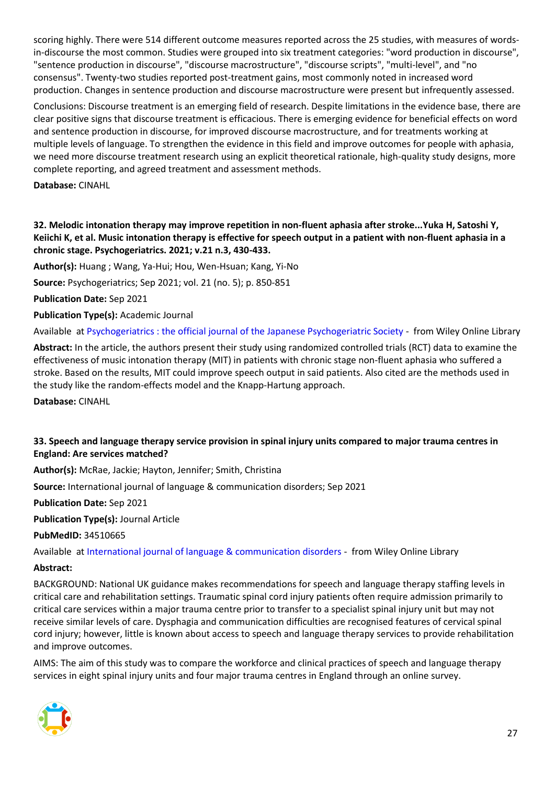scoring highly. There were 514 different outcome measures reported across the 25 studies, with measures of wordsin-discourse the most common. Studies were grouped into six treatment categories: "word production in discourse", "sentence production in discourse", "discourse macrostructure", "discourse scripts", "multi-level", and "no consensus". Twenty-two studies reported post-treatment gains, most commonly noted in increased word production. Changes in sentence production and discourse macrostructure were present but infrequently assessed.

Conclusions: Discourse treatment is an emerging field of research. Despite limitations in the evidence base, there are clear positive signs that discourse treatment is efficacious. There is emerging evidence for beneficial effects on word and sentence production in discourse, for improved discourse macrostructure, and for treatments working at multiple levels of language. To strengthen the evidence in this field and improve outcomes for people with aphasia, we need more discourse treatment research using an explicit theoretical rationale, high-quality study designs, more complete reporting, and agreed treatment and assessment methods.

**Database:** CINAHL

#### <span id="page-26-0"></span>**32. Melodic intonation therapy may improve repetition in non-fluent aphasia after stroke...Yuka H, Satoshi Y, Keiichi K, et al. Music intonation therapy is effective for speech output in a patient with non-fluent aphasia in a chronic stage. Psychogeriatrics. 2021; v.21 n.3, 430-433.**

**Author(s):** Huang ; Wang, Ya-Hui; Hou, Wen-Hsuan; Kang, Yi-No

**Source:** Psychogeriatrics; Sep 2021; vol. 21 (no. 5); p. 850-851

**Publication Date:** Sep 2021

**Publication Type(s):** Academic Journal

Available at [Psychogeriatrics : the official journal of the Japanese Psychogeriatric Society](https://go.openathens.net/redirector/nhs?url=https%3A%2F%2Fonlinelibrary.wiley.com%2Fdoi%2Ffull%2F10.1111%2Fpsyg.12744) - from Wiley Online Library

**Abstract:** In the article, the authors present their study using randomized controlled trials (RCT) data to examine the effectiveness of music intonation therapy (MIT) in patients with chronic stage non-fluent aphasia who suffered a stroke. Based on the results, MIT could improve speech output in said patients. Also cited are the methods used in the study like the random-effects model and the Knapp-Hartung approach.

**Database:** CINAHL

#### <span id="page-26-1"></span>**33. Speech and language therapy service provision in spinal injury units compared to major trauma centres in England: Are services matched?**

**Author(s):** McRae, Jackie; Hayton, Jennifer; Smith, Christina

**Source:** International journal of language & communication disorders; Sep 2021

**Publication Date:** Sep 2021

**Publication Type(s):** Journal Article

**PubMedID:** 34510665

Available at [International journal of language & communication disorders](https://go.openathens.net/redirector/nhs?url=https%3A%2F%2Fonlinelibrary.wiley.com%2Fdoi%2Ffull%2F10.1111%2F1460-6984.12671) - from Wiley Online Library

#### **Abstract:**

BACKGROUND: National UK guidance makes recommendations for speech and language therapy staffing levels in critical care and rehabilitation settings. Traumatic spinal cord injury patients often require admission primarily to critical care services within a major trauma centre prior to transfer to a specialist spinal injury unit but may not receive similar levels of care. Dysphagia and communication difficulties are recognised features of cervical spinal cord injury; however, little is known about access to speech and language therapy services to provide rehabilitation and improve outcomes.

AIMS: The aim of this study was to compare the workforce and clinical practices of speech and language therapy services in eight spinal injury units and four major trauma centres in England through an online survey.

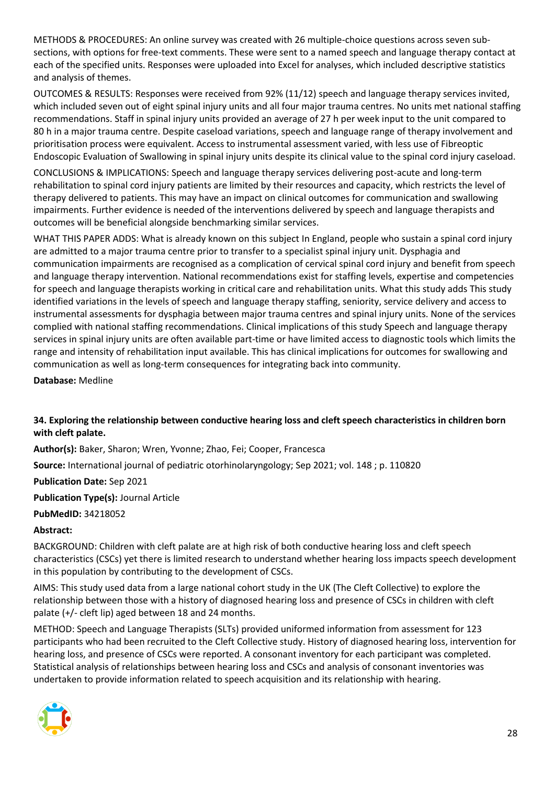METHODS & PROCEDURES: An online survey was created with 26 multiple-choice questions across seven subsections, with options for free-text comments. These were sent to a named speech and language therapy contact at each of the specified units. Responses were uploaded into Excel for analyses, which included descriptive statistics and analysis of themes.

OUTCOMES & RESULTS: Responses were received from 92% (11/12) speech and language therapy services invited, which included seven out of eight spinal injury units and all four major trauma centres. No units met national staffing recommendations. Staff in spinal injury units provided an average of 27 h per week input to the unit compared to 80 h in a major trauma centre. Despite caseload variations, speech and language range of therapy involvement and prioritisation process were equivalent. Access to instrumental assessment varied, with less use of Fibreoptic Endoscopic Evaluation of Swallowing in spinal injury units despite its clinical value to the spinal cord injury caseload.

CONCLUSIONS & IMPLICATIONS: Speech and language therapy services delivering post-acute and long-term rehabilitation to spinal cord injury patients are limited by their resources and capacity, which restricts the level of therapy delivered to patients. This may have an impact on clinical outcomes for communication and swallowing impairments. Further evidence is needed of the interventions delivered by speech and language therapists and outcomes will be beneficial alongside benchmarking similar services.

WHAT THIS PAPER ADDS: What is already known on this subject In England, people who sustain a spinal cord injury are admitted to a major trauma centre prior to transfer to a specialist spinal injury unit. Dysphagia and communication impairments are recognised as a complication of cervical spinal cord injury and benefit from speech and language therapy intervention. National recommendations exist for staffing levels, expertise and competencies for speech and language therapists working in critical care and rehabilitation units. What this study adds This study identified variations in the levels of speech and language therapy staffing, seniority, service delivery and access to instrumental assessments for dysphagia between major trauma centres and spinal injury units. None of the services complied with national staffing recommendations. Clinical implications of this study Speech and language therapy services in spinal injury units are often available part-time or have limited access to diagnostic tools which limits the range and intensity of rehabilitation input available. This has clinical implications for outcomes for swallowing and communication as well as long-term consequences for integrating back into community.

**Database:** Medline

#### <span id="page-27-0"></span>**34. Exploring the relationship between conductive hearing loss and cleft speech characteristics in children born with cleft palate.**

**Author(s):** Baker, Sharon; Wren, Yvonne; Zhao, Fei; Cooper, Francesca

**Source:** International journal of pediatric otorhinolaryngology; Sep 2021; vol. 148 ; p. 110820

**Publication Date:** Sep 2021

**Publication Type(s):** Journal Article

**PubMedID:** 34218052

#### **Abstract:**

BACKGROUND: Children with cleft palate are at high risk of both conductive hearing loss and cleft speech characteristics (CSCs) yet there is limited research to understand whether hearing loss impacts speech development in this population by contributing to the development of CSCs.

AIMS: This study used data from a large national cohort study in the UK (The Cleft Collective) to explore the relationship between those with a history of diagnosed hearing loss and presence of CSCs in children with cleft palate (+/- cleft lip) aged between 18 and 24 months.

METHOD: Speech and Language Therapists (SLTs) provided uniformed information from assessment for 123 participants who had been recruited to the Cleft Collective study. History of diagnosed hearing loss, intervention for hearing loss, and presence of CSCs were reported. A consonant inventory for each participant was completed. Statistical analysis of relationships between hearing loss and CSCs and analysis of consonant inventories was undertaken to provide information related to speech acquisition and its relationship with hearing.

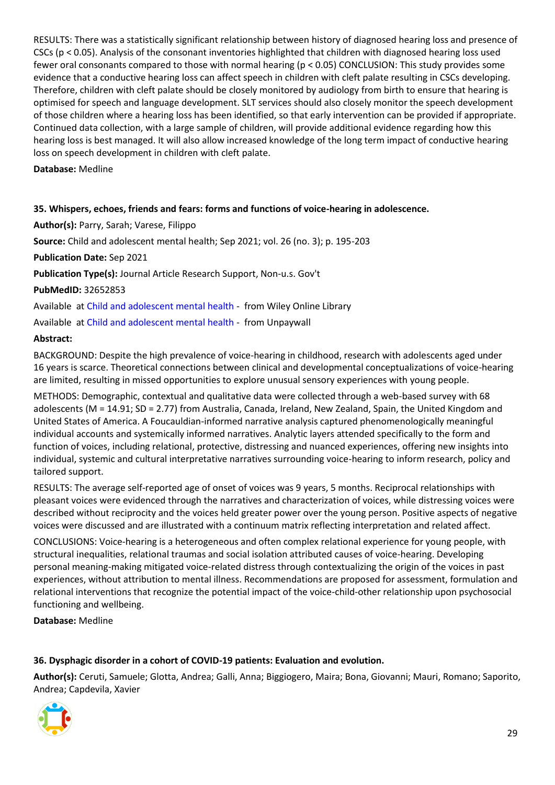RESULTS: There was a statistically significant relationship between history of diagnosed hearing loss and presence of CSCs (p < 0.05). Analysis of the consonant inventories highlighted that children with diagnosed hearing loss used fewer oral consonants compared to those with normal hearing (p < 0.05) CONCLUSION: This study provides some evidence that a conductive hearing loss can affect speech in children with cleft palate resulting in CSCs developing. Therefore, children with cleft palate should be closely monitored by audiology from birth to ensure that hearing is optimised for speech and language development. SLT services should also closely monitor the speech development of those children where a hearing loss has been identified, so that early intervention can be provided if appropriate. Continued data collection, with a large sample of children, will provide additional evidence regarding how this hearing loss is best managed. It will also allow increased knowledge of the long term impact of conductive hearing loss on speech development in children with cleft palate.

#### **Database:** Medline

#### <span id="page-28-0"></span>**35. Whispers, echoes, friends and fears: forms and functions of voice-hearing in adolescence.**

#### **Author(s):** Parry, Sarah; Varese, Filippo

**Source:** Child and adolescent mental health; Sep 2021; vol. 26 (no. 3); p. 195-203

#### **Publication Date:** Sep 2021

**Publication Type(s):** Journal Article Research Support, Non-u.s. Gov't

**PubMedID:** 32652853

Available at [Child and adolescent mental health](https://go.openathens.net/redirector/nhs?url=https%3A%2F%2Fonlinelibrary.wiley.com%2Fdoi%2Ffull%2F10.1111%2Fcamh.12403) - from Wiley Online Library

Available at [Child and adolescent mental health](https://acamh.onlinelibrary.wiley.com/doi/pdfdirect/10.1111/camh.12403) - from Unpaywall

#### **Abstract:**

BACKGROUND: Despite the high prevalence of voice-hearing in childhood, research with adolescents aged under 16 years is scarce. Theoretical connections between clinical and developmental conceptualizations of voice-hearing are limited, resulting in missed opportunities to explore unusual sensory experiences with young people.

METHODS: Demographic, contextual and qualitative data were collected through a web-based survey with 68 adolescents (M = 14.91; SD = 2.77) from Australia, Canada, Ireland, New Zealand, Spain, the United Kingdom and United States of America. A Foucauldian-informed narrative analysis captured phenomenologically meaningful individual accounts and systemically informed narratives. Analytic layers attended specifically to the form and function of voices, including relational, protective, distressing and nuanced experiences, offering new insights into individual, systemic and cultural interpretative narratives surrounding voice-hearing to inform research, policy and tailored support.

RESULTS: The average self-reported age of onset of voices was 9 years, 5 months. Reciprocal relationships with pleasant voices were evidenced through the narratives and characterization of voices, while distressing voices were described without reciprocity and the voices held greater power over the young person. Positive aspects of negative voices were discussed and are illustrated with a continuum matrix reflecting interpretation and related affect.

CONCLUSIONS: Voice-hearing is a heterogeneous and often complex relational experience for young people, with structural inequalities, relational traumas and social isolation attributed causes of voice-hearing. Developing personal meaning-making mitigated voice-related distress through contextualizing the origin of the voices in past experiences, without attribution to mental illness. Recommendations are proposed for assessment, formulation and relational interventions that recognize the potential impact of the voice-child-other relationship upon psychosocial functioning and wellbeing.

**Database:** Medline

#### <span id="page-28-1"></span>**36. Dysphagic disorder in a cohort of COVID-19 patients: Evaluation and evolution.**

**Author(s):** Ceruti, Samuele; Glotta, Andrea; Galli, Anna; Biggiogero, Maira; Bona, Giovanni; Mauri, Romano; Saporito, Andrea; Capdevila, Xavier

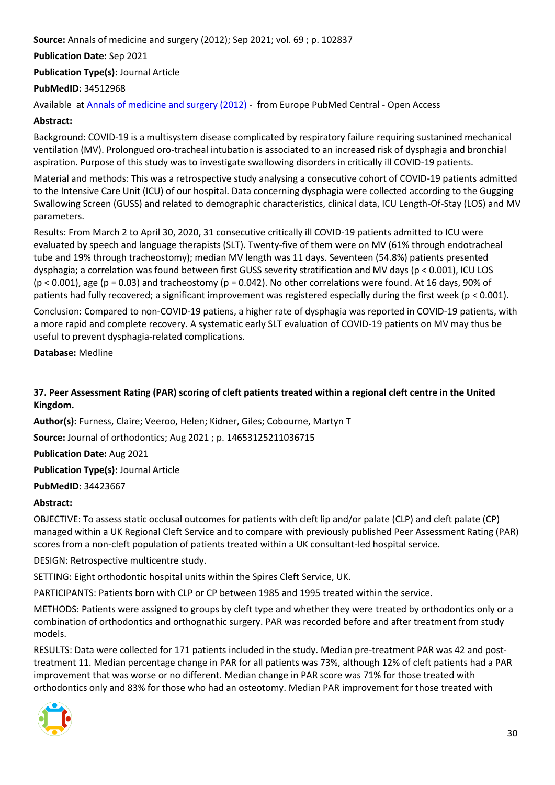**Source:** Annals of medicine and surgery (2012); Sep 2021; vol. 69 ; p. 102837

#### **Publication Date:** Sep 2021

**Publication Type(s):** Journal Article

#### **PubMedID:** 34512968

Available at [Annals of medicine and surgery \(2012\)](http://europepmc.org/search?query=(DOI:%2210.1016/j.amsu.2021.102837%22)) - from Europe PubMed Central - Open Access

#### **Abstract:**

Background: COVID-19 is a multisystem disease complicated by respiratory failure requiring sustanined mechanical ventilation (MV). Prolongued oro-tracheal intubation is associated to an increased risk of dysphagia and bronchial aspiration. Purpose of this study was to investigate swallowing disorders in critically ill COVID-19 patients.

Material and methods: This was a retrospective study analysing a consecutive cohort of COVID-19 patients admitted to the Intensive Care Unit (ICU) of our hospital. Data concerning dysphagia were collected according to the Gugging Swallowing Screen (GUSS) and related to demographic characteristics, clinical data, ICU Length-Of-Stay (LOS) and MV parameters.

Results: From March 2 to April 30, 2020, 31 consecutive critically ill COVID-19 patients admitted to ICU were evaluated by speech and language therapists (SLT). Twenty-five of them were on MV (61% through endotracheal tube and 19% through tracheostomy); median MV length was 11 days. Seventeen (54.8%) patients presented dysphagia; a correlation was found between first GUSS severity stratification and MV days (p < 0.001), ICU LOS ( $p < 0.001$ ), age ( $p = 0.03$ ) and tracheostomy ( $p = 0.042$ ). No other correlations were found. At 16 days, 90% of patients had fully recovered; a significant improvement was registered especially during the first week (p < 0.001).

Conclusion: Compared to non-COVID-19 patiens, a higher rate of dysphagia was reported in COVID-19 patients, with a more rapid and complete recovery. A systematic early SLT evaluation of COVID-19 patients on MV may thus be useful to prevent dysphagia-related complications.

**Database:** Medline

#### <span id="page-29-0"></span>**37. Peer Assessment Rating (PAR) scoring of cleft patients treated within a regional cleft centre in the United Kingdom.**

**Author(s):** Furness, Claire; Veeroo, Helen; Kidner, Giles; Cobourne, Martyn T

**Source:** Journal of orthodontics; Aug 2021 ; p. 14653125211036715

**Publication Date:** Aug 2021

**Publication Type(s):** Journal Article

**PubMedID:** 34423667

#### **Abstract:**

OBJECTIVE: To assess static occlusal outcomes for patients with cleft lip and/or palate (CLP) and cleft palate (CP) managed within a UK Regional Cleft Service and to compare with previously published Peer Assessment Rating (PAR) scores from a non-cleft population of patients treated within a UK consultant-led hospital service.

DESIGN: Retrospective multicentre study.

SETTING: Eight orthodontic hospital units within the Spires Cleft Service, UK.

PARTICIPANTS: Patients born with CLP or CP between 1985 and 1995 treated within the service.

METHODS: Patients were assigned to groups by cleft type and whether they were treated by orthodontics only or a combination of orthodontics and orthognathic surgery. PAR was recorded before and after treatment from study models.

RESULTS: Data were collected for 171 patients included in the study. Median pre-treatment PAR was 42 and posttreatment 11. Median percentage change in PAR for all patients was 73%, although 12% of cleft patients had a PAR improvement that was worse or no different. Median change in PAR score was 71% for those treated with orthodontics only and 83% for those who had an osteotomy. Median PAR improvement for those treated with

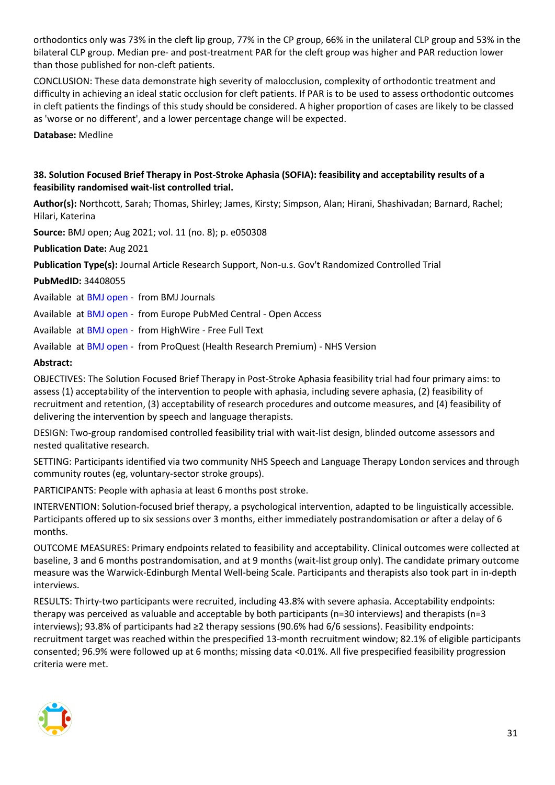orthodontics only was 73% in the cleft lip group, 77% in the CP group, 66% in the unilateral CLP group and 53% in the bilateral CLP group. Median pre- and post-treatment PAR for the cleft group was higher and PAR reduction lower than those published for non-cleft patients.

CONCLUSION: These data demonstrate high severity of malocclusion, complexity of orthodontic treatment and difficulty in achieving an ideal static occlusion for cleft patients. If PAR is to be used to assess orthodontic outcomes in cleft patients the findings of this study should be considered. A higher proportion of cases are likely to be classed as 'worse or no different', and a lower percentage change will be expected.

**Database:** Medline

#### <span id="page-30-0"></span>**38. Solution Focused Brief Therapy in Post-Stroke Aphasia (SOFIA): feasibility and acceptability results of a feasibility randomised wait-list controlled trial.**

**Author(s):** Northcott, Sarah; Thomas, Shirley; James, Kirsty; Simpson, Alan; Hirani, Shashivadan; Barnard, Rachel; Hilari, Katerina

**Source:** BMJ open; Aug 2021; vol. 11 (no. 8); p. e050308

**Publication Date:** Aug 2021

**Publication Type(s):** Journal Article Research Support, Non-u.s. Gov't Randomized Controlled Trial

**PubMedID:** 34408055

Available at [BMJ open](https://bmjopen.bmj.com/lookup/doi/10.1136/bmjopen-2021-050308) - from BMJ Journals

Available at [BMJ open](http://europepmc.org/search?query=(DOI:%2210.1136/bmjopen-2021-050308%22)) - from Europe PubMed Central - Open Access

Available at [BMJ open](https://doi.org/10.1136/bmjopen-2021-050308) - from HighWire - Free Full Text

Available at [BMJ open](https://gateway.proquest.com/openurl?ctx_ver=Z39.88-2004&res_id=xri:pqm&req_dat=xri:pqil:pq_clntid=48229&rft_val_fmt=ori/fmt:kev:mtx:journal&genre=article&issn=2044-6055&volume=11&issue=8&spage=e050308&atitle=Solution+Focused+Brief+Therapy+in+Post-Stroke+Aphasia+(SOFIA)%3A+feasibility+and+acceptability+results+of+a+feasibility+randomised+wait-list+controlled+trial) - from ProQuest (Health Research Premium) - NHS Version

#### **Abstract:**

OBJECTIVES: The Solution Focused Brief Therapy in Post-Stroke Aphasia feasibility trial had four primary aims: to assess (1) acceptability of the intervention to people with aphasia, including severe aphasia, (2) feasibility of recruitment and retention, (3) acceptability of research procedures and outcome measures, and (4) feasibility of delivering the intervention by speech and language therapists.

DESIGN: Two-group randomised controlled feasibility trial with wait-list design, blinded outcome assessors and nested qualitative research.

SETTING: Participants identified via two community NHS Speech and Language Therapy London services and through community routes (eg, voluntary-sector stroke groups).

PARTICIPANTS: People with aphasia at least 6 months post stroke.

INTERVENTION: Solution-focused brief therapy, a psychological intervention, adapted to be linguistically accessible. Participants offered up to six sessions over 3 months, either immediately postrandomisation or after a delay of 6 months.

OUTCOME MEASURES: Primary endpoints related to feasibility and acceptability. Clinical outcomes were collected at baseline, 3 and 6 months postrandomisation, and at 9 months (wait-list group only). The candidate primary outcome measure was the Warwick-Edinburgh Mental Well-being Scale. Participants and therapists also took part in in-depth interviews.

RESULTS: Thirty-two participants were recruited, including 43.8% with severe aphasia. Acceptability endpoints: therapy was perceived as valuable and acceptable by both participants (n=30 interviews) and therapists (n=3 interviews); 93.8% of participants had ≥2 therapy sessions (90.6% had 6/6 sessions). Feasibility endpoints: recruitment target was reached within the prespecified 13-month recruitment window; 82.1% of eligible participants consented; 96.9% were followed up at 6 months; missing data <0.01%. All five prespecified feasibility progression criteria were met.

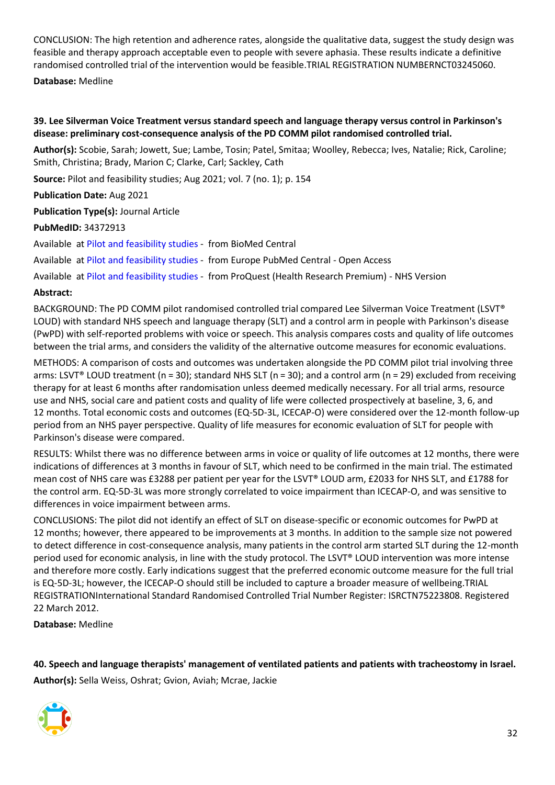CONCLUSION: The high retention and adherence rates, alongside the qualitative data, suggest the study design was feasible and therapy approach acceptable even to people with severe aphasia. These results indicate a definitive randomised controlled trial of the intervention would be feasible.TRIAL REGISTRATION NUMBERNCT03245060.

**Database:** Medline

#### <span id="page-31-0"></span>**39. Lee Silverman Voice Treatment versus standard speech and language therapy versus control in Parkinson's disease: preliminary cost-consequence analysis of the PD COMM pilot randomised controlled trial.**

**Author(s):** Scobie, Sarah; Jowett, Sue; Lambe, Tosin; Patel, Smitaa; Woolley, Rebecca; Ives, Natalie; Rick, Caroline; Smith, Christina; Brady, Marion C; Clarke, Carl; Sackley, Cath

**Source:** Pilot and feasibility studies; Aug 2021; vol. 7 (no. 1); p. 154

**Publication Date:** Aug 2021

**Publication Type(s):** Journal Article

**PubMedID:** 34372913

Available at [Pilot and feasibility studies](https://doi.org/10.1186/s40814-021-00888-y) - from BioMed Central

Available at [Pilot and feasibility studies](http://europepmc.org/search?query=(DOI:%2210.1186/s40814-021-00888-y%22)) - from Europe PubMed Central - Open Access

Available at [Pilot and feasibility studies](https://gateway.proquest.com/openurl?ctx_ver=Z39.88-2004&res_id=xri:pqm&req_dat=xri:pqil:pq_clntid=48229&rft_val_fmt=ori/fmt:kev:mtx:journal&genre=article&issn=2055-5784&volume=7&issue=1&spage=154&atitle=Lee+Silverman+Voice+Treatment+versus+standard+speech+and+language+therapy+versus+control+in+Parkinsons+disease%3A+preliminary+cost-consequence+analysis+of+the+PD+COMM+pilot+randomised+controlled+trial) - from ProQuest (Health Research Premium) - NHS Version

#### **Abstract:**

BACKGROUND: The PD COMM pilot randomised controlled trial compared Lee Silverman Voice Treatment (LSVT® LOUD) with standard NHS speech and language therapy (SLT) and a control arm in people with Parkinson's disease (PwPD) with self-reported problems with voice or speech. This analysis compares costs and quality of life outcomes between the trial arms, and considers the validity of the alternative outcome measures for economic evaluations.

METHODS: A comparison of costs and outcomes was undertaken alongside the PD COMM pilot trial involving three arms: LSVT® LOUD treatment (n = 30); standard NHS SLT (n = 30); and a control arm (n = 29) excluded from receiving therapy for at least 6 months after randomisation unless deemed medically necessary. For all trial arms, resource use and NHS, social care and patient costs and quality of life were collected prospectively at baseline, 3, 6, and 12 months. Total economic costs and outcomes (EQ-5D-3L, ICECAP-O) were considered over the 12-month follow-up period from an NHS payer perspective. Quality of life measures for economic evaluation of SLT for people with Parkinson's disease were compared.

RESULTS: Whilst there was no difference between arms in voice or quality of life outcomes at 12 months, there were indications of differences at 3 months in favour of SLT, which need to be confirmed in the main trial. The estimated mean cost of NHS care was £3288 per patient per year for the LSVT® LOUD arm, £2033 for NHS SLT, and £1788 for the control arm. EQ-5D-3L was more strongly correlated to voice impairment than ICECAP-O, and was sensitive to differences in voice impairment between arms.

CONCLUSIONS: The pilot did not identify an effect of SLT on disease-specific or economic outcomes for PwPD at 12 months; however, there appeared to be improvements at 3 months. In addition to the sample size not powered to detect difference in cost-consequence analysis, many patients in the control arm started SLT during the 12-month period used for economic analysis, in line with the study protocol. The LSVT® LOUD intervention was more intense and therefore more costly. Early indications suggest that the preferred economic outcome measure for the full trial is EQ-5D-3L; however, the ICECAP-O should still be included to capture a broader measure of wellbeing.TRIAL REGISTRATIONInternational Standard Randomised Controlled Trial Number Register: ISRCTN75223808. Registered 22 March 2012.

**Database:** Medline

<span id="page-31-1"></span>**40. Speech and language therapists' management of ventilated patients and patients with tracheostomy in Israel. Author(s):** Sella Weiss, Oshrat; Gvion, Aviah; Mcrae, Jackie

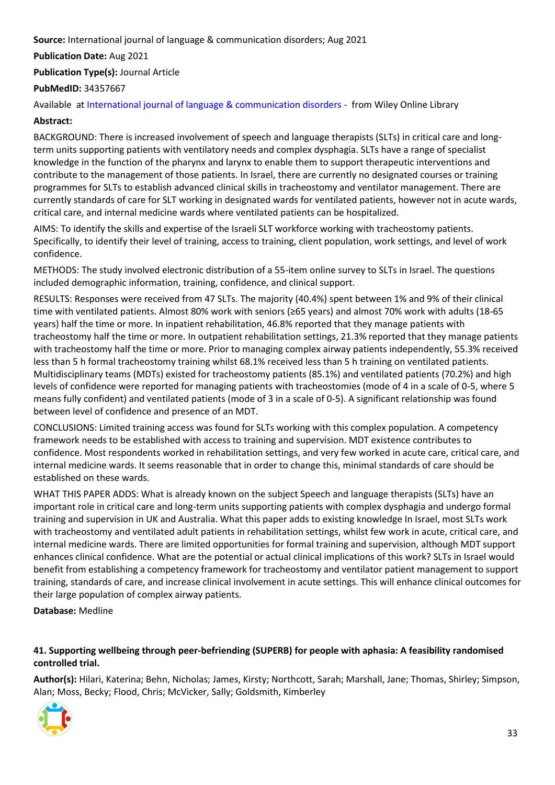#### **Source:** International journal of language & communication disorders; Aug 2021

**Publication Date:** Aug 2021

**Publication Type(s):** Journal Article

#### **PubMedID:** 34357667

Available at [International journal of language & communication disorders](https://go.openathens.net/redirector/nhs?url=https%3A%2F%2Fonlinelibrary.wiley.com%2Fdoi%2Ffull%2F10.1111%2F1460-6984.12655) - from Wiley Online Library

#### **Abstract:**

BACKGROUND: There is increased involvement of speech and language therapists (SLTs) in critical care and longterm units supporting patients with ventilatory needs and complex dysphagia. SLTs have a range of specialist knowledge in the function of the pharynx and larynx to enable them to support therapeutic interventions and contribute to the management of those patients. In Israel, there are currently no designated courses or training programmes for SLTs to establish advanced clinical skills in tracheostomy and ventilator management. There are currently standards of care for SLT working in designated wards for ventilated patients, however not in acute wards, critical care, and internal medicine wards where ventilated patients can be hospitalized.

AIMS: To identify the skills and expertise of the Israeli SLT workforce working with tracheostomy patients. Specifically, to identify their level of training, access to training, client population, work settings, and level of work confidence.

METHODS: The study involved electronic distribution of a 55-item online survey to SLTs in Israel. The questions included demographic information, training, confidence, and clinical support.

RESULTS: Responses were received from 47 SLTs. The majority (40.4%) spent between 1% and 9% of their clinical time with ventilated patients. Almost 80% work with seniors (≥65 years) and almost 70% work with adults (18-65 years) half the time or more. In inpatient rehabilitation, 46.8% reported that they manage patients with tracheostomy half the time or more. In outpatient rehabilitation settings, 21.3% reported that they manage patients with tracheostomy half the time or more. Prior to managing complex airway patients independently, 55.3% received less than 5 h formal tracheostomy training whilst 68.1% received less than 5 h training on ventilated patients. Multidisciplinary teams (MDTs) existed for tracheostomy patients (85.1%) and ventilated patients (70.2%) and high levels of confidence were reported for managing patients with tracheostomies (mode of 4 in a scale of 0-5, where 5 means fully confident) and ventilated patients (mode of 3 in a scale of 0-5). A significant relationship was found between level of confidence and presence of an MDT.

CONCLUSIONS: Limited training access was found for SLTs working with this complex population. A competency framework needs to be established with access to training and supervision. MDT existence contributes to confidence. Most respondents worked in rehabilitation settings, and very few worked in acute care, critical care, and internal medicine wards. It seems reasonable that in order to change this, minimal standards of care should be established on these wards.

WHAT THIS PAPER ADDS: What is already known on the subject Speech and language therapists (SLTs) have an important role in critical care and long-term units supporting patients with complex dysphagia and undergo formal training and supervision in UK and Australia. What this paper adds to existing knowledge In Israel, most SLTs work with tracheostomy and ventilated adult patients in rehabilitation settings, whilst few work in acute, critical care, and internal medicine wards. There are limited opportunities for formal training and supervision, although MDT support enhances clinical confidence. What are the potential or actual clinical implications of this work? SLTs in Israel would benefit from establishing a competency framework for tracheostomy and ventilator patient management to support training, standards of care, and increase clinical involvement in acute settings. This will enhance clinical outcomes for their large population of complex airway patients.

**Database:** Medline

#### <span id="page-32-0"></span>**41. Supporting wellbeing through peer-befriending (SUPERB) for people with aphasia: A feasibility randomised controlled trial.**

**Author(s):** Hilari, Katerina; Behn, Nicholas; James, Kirsty; Northcott, Sarah; Marshall, Jane; Thomas, Shirley; Simpson, Alan; Moss, Becky; Flood, Chris; McVicker, Sally; Goldsmith, Kimberley

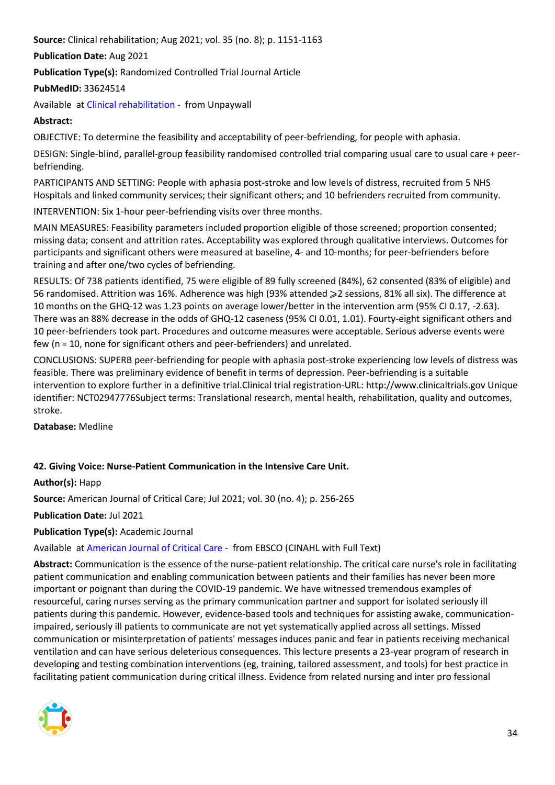**Source:** Clinical rehabilitation; Aug 2021; vol. 35 (no. 8); p. 1151-1163

**Publication Date:** Aug 2021

**Publication Type(s):** Randomized Controlled Trial Journal Article

**PubMedID:** 33624514

Available at [Clinical rehabilitation](https://journals.sagepub.com/doi/pdf/10.1177/0269215521995671) - from Unpaywall

#### **Abstract:**

OBJECTIVE: To determine the feasibility and acceptability of peer-befriending, for people with aphasia.

DESIGN: Single-blind, parallel-group feasibility randomised controlled trial comparing usual care to usual care + peerbefriending.

PARTICIPANTS AND SETTING: People with aphasia post-stroke and low levels of distress, recruited from 5 NHS Hospitals and linked community services; their significant others; and 10 befrienders recruited from community.

INTERVENTION: Six 1-hour peer-befriending visits over three months.

MAIN MEASURES: Feasibility parameters included proportion eligible of those screened; proportion consented; missing data; consent and attrition rates. Acceptability was explored through qualitative interviews. Outcomes for participants and significant others were measured at baseline, 4- and 10-months; for peer-befrienders before training and after one/two cycles of befriending.

RESULTS: Of 738 patients identified, 75 were eligible of 89 fully screened (84%), 62 consented (83% of eligible) and 56 randomised. Attrition was 16%. Adherence was high (93% attended ≥2 sessions, 81% all six). The difference at 10 months on the GHQ-12 was 1.23 points on average lower/better in the intervention arm (95% CI 0.17, -2.63). There was an 88% decrease in the odds of GHQ-12 caseness (95% CI 0.01, 1.01). Fourty-eight significant others and 10 peer-befrienders took part. Procedures and outcome measures were acceptable. Serious adverse events were few (n = 10, none for significant others and peer-befrienders) and unrelated.

CONCLUSIONS: SUPERB peer-befriending for people with aphasia post-stroke experiencing low levels of distress was feasible. There was preliminary evidence of benefit in terms of depression. Peer-befriending is a suitable intervention to explore further in a definitive trial.Clinical trial registration-URL: http://www.clinicaltrials.gov Unique identifier: NCT02947776Subject terms: Translational research, mental health, rehabilitation, quality and outcomes, stroke.

**Database:** Medline

#### <span id="page-33-0"></span>**42. Giving Voice: Nurse-Patient Communication in the Intensive Care Unit.**

**Author(s):** Happ

**Source:** American Journal of Critical Care; Jul 2021; vol. 30 (no. 4); p. 256-265

**Publication Date:** Jul 2021

**Publication Type(s):** Academic Journal

Available at [American Journal of Critical Care](https://openurl.ebsco.com/openurl?genre=article&issn=1062-3264&volume=30&issue=4&spage=256) - from EBSCO (CINAHL with Full Text)

**Abstract:** Communication is the essence of the nurse-patient relationship. The critical care nurse's role in facilitating patient communication and enabling communication between patients and their families has never been more important or poignant than during the COVID-19 pandemic. We have witnessed tremendous examples of resourceful, caring nurses serving as the primary communication partner and support for isolated seriously ill patients during this pandemic. However, evidence-based tools and techniques for assisting awake, communicationimpaired, seriously ill patients to communicate are not yet systematically applied across all settings. Missed communication or misinterpretation of patients' messages induces panic and fear in patients receiving mechanical ventilation and can have serious deleterious consequences. This lecture presents a 23-year program of research in developing and testing combination interventions (eg, training, tailored assessment, and tools) for best practice in facilitating patient communication during critical illness. Evidence from related nursing and inter pro fessional

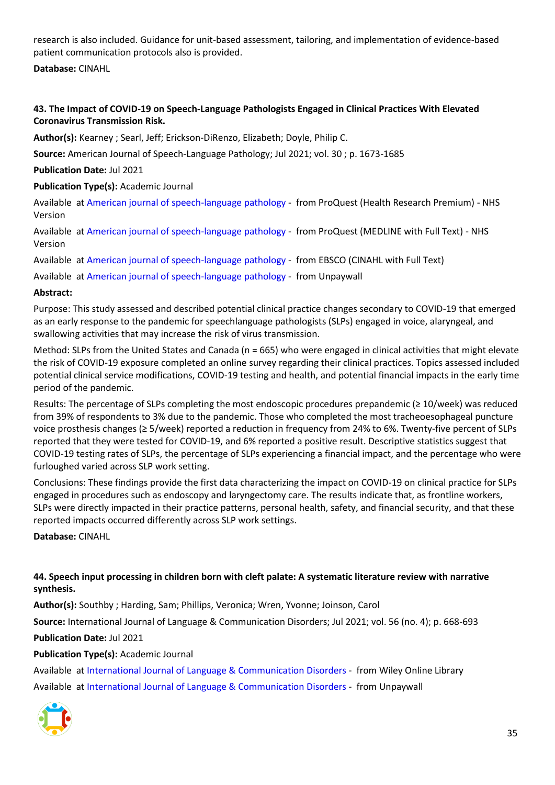research is also included. Guidance for unit-based assessment, tailoring, and implementation of evidence-based patient communication protocols also is provided.

**Database:** CINAHL

#### <span id="page-34-0"></span>**43. The Impact of COVID-19 on Speech-Language Pathologists Engaged in Clinical Practices With Elevated Coronavirus Transmission Risk.**

**Author(s):** Kearney ; Searl, Jeff; Erickson-DiRenzo, Elizabeth; Doyle, Philip C.

**Source:** American Journal of Speech-Language Pathology; Jul 2021; vol. 30 ; p. 1673-1685

**Publication Date:** Jul 2021

**Publication Type(s):** Academic Journal

Available at [American journal of speech-language pathology](https://gateway.proquest.com/openurl?ctx_ver=Z39.88-2004&res_id=xri:pqm&req_dat=xri:pqil:pq_clntid=48229&rft_val_fmt=ori/fmt:kev:mtx:journal&genre=article&issn=1058-0360&volume=30&issue=4&spage=1673&atitle=The+Impact+of+COVID-19+on+Speech-Language+Pathologists+Engaged+in+Clinical+Practices+With+Elevated+Coronavirus+Transmission+Risk) - from ProQuest (Health Research Premium) - NHS Version

Available at [American journal of speech-language pathology](https://gateway.proquest.com/openurl?ctx_ver=Z39.88-2004&res_id=xri:pqm&req_dat=xri:pqil:pq_clntid=48229&rft_val_fmt=ori/fmt:kev:mtx:journal&genre=article&issn=1058-0360&volume=30&issue=4&spage=1673&atitle=The+Impact+of+COVID-19+on+Speech-Language+Pathologists+Engaged+in+Clinical+Practices+With+Elevated+Coronavirus+Transmission+Risk) - from ProQuest (MEDLINE with Full Text) - NHS Version

Available at [American journal of speech-language pathology](https://openurl.ebsco.com/openurl?genre=article&issn=1058-0360&volume=30&issue=4&spage=1673) - from EBSCO (CINAHL with Full Text)

Available at [American journal of speech-language pathology](https://pubs.asha.org/doi/pdf/10.1044/2021_AJSLP-20-00325) - from Unpaywall

#### **Abstract:**

Purpose: This study assessed and described potential clinical practice changes secondary to COVID-19 that emerged as an early response to the pandemic for speechlanguage pathologists (SLPs) engaged in voice, alaryngeal, and swallowing activities that may increase the risk of virus transmission.

Method: SLPs from the United States and Canada (n = 665) who were engaged in clinical activities that might elevate the risk of COVID-19 exposure completed an online survey regarding their clinical practices. Topics assessed included potential clinical service modifications, COVID-19 testing and health, and potential financial impacts in the early time period of the pandemic.

Results: The percentage of SLPs completing the most endoscopic procedures prepandemic (≥ 10/week) was reduced from 39% of respondents to 3% due to the pandemic. Those who completed the most tracheoesophageal puncture voice prosthesis changes (≥ 5/week) reported a reduction in frequency from 24% to 6%. Twenty-five percent of SLPs reported that they were tested for COVID-19, and 6% reported a positive result. Descriptive statistics suggest that COVID-19 testing rates of SLPs, the percentage of SLPs experiencing a financial impact, and the percentage who were furloughed varied across SLP work setting.

Conclusions: These findings provide the first data characterizing the impact on COVID-19 on clinical practice for SLPs engaged in procedures such as endoscopy and laryngectomy care. The results indicate that, as frontline workers, SLPs were directly impacted in their practice patterns, personal health, safety, and financial security, and that these reported impacts occurred differently across SLP work settings.

**Database:** CINAHL

#### <span id="page-34-1"></span>**44. Speech input processing in children born with cleft palate: A systematic literature review with narrative synthesis.**

**Author(s):** Southby ; Harding, Sam; Phillips, Veronica; Wren, Yvonne; Joinson, Carol

**Source:** International Journal of Language & Communication Disorders; Jul 2021; vol. 56 (no. 4); p. 668-693

**Publication Date:** Jul 2021

#### **Publication Type(s):** Academic Journal

Available at [International Journal of Language & Communication Disorders](https://go.openathens.net/redirector/nhs?url=https%3A%2F%2Fonlinelibrary.wiley.com%2Fdoi%2Ffull%2F10.1111%2F1460-6984.12633) - from Wiley Online Library Available at [International Journal of Language & Communication Disorders](https://onlinelibrary.wiley.com/doi/pdfdirect/10.1111/1460-6984.12633) - from Unpaywall

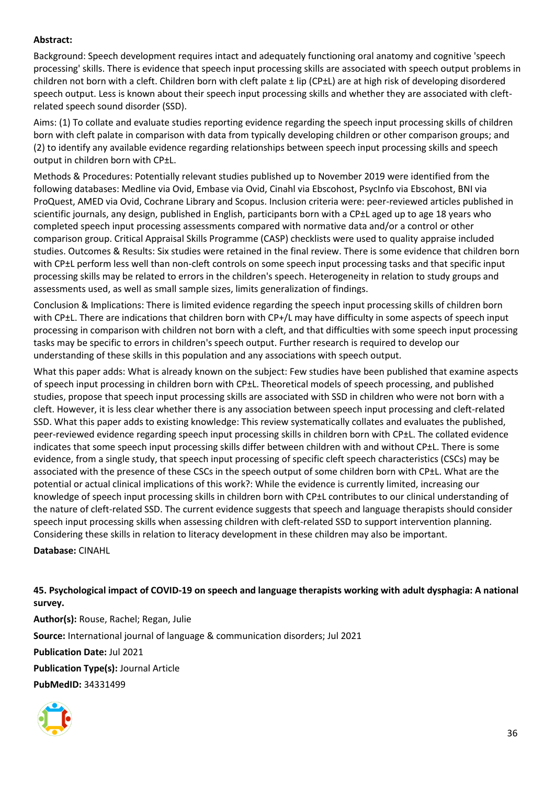#### **Abstract:**

Background: Speech development requires intact and adequately functioning oral anatomy and cognitive 'speech processing' skills. There is evidence that speech input processing skills are associated with speech output problems in children not born with a cleft. Children born with cleft palate ± lip (CP±L) are at high risk of developing disordered speech output. Less is known about their speech input processing skills and whether they are associated with cleftrelated speech sound disorder (SSD).

Aims: (1) To collate and evaluate studies reporting evidence regarding the speech input processing skills of children born with cleft palate in comparison with data from typically developing children or other comparison groups; and (2) to identify any available evidence regarding relationships between speech input processing skills and speech output in children born with CP±L.

Methods & Procedures: Potentially relevant studies published up to November 2019 were identified from the following databases: Medline via Ovid, Embase via Ovid, Cinahl via Ebscohost, PsycInfo via Ebscohost, BNI via ProQuest, AMED via Ovid, Cochrane Library and Scopus. Inclusion criteria were: peer-reviewed articles published in scientific journals, any design, published in English, participants born with a CP±L aged up to age 18 years who completed speech input processing assessments compared with normative data and/or a control or other comparison group. Critical Appraisal Skills Programme (CASP) checklists were used to quality appraise included studies. Outcomes & Results: Six studies were retained in the final review. There is some evidence that children born with CP±L perform less well than non-cleft controls on some speech input processing tasks and that specific input processing skills may be related to errors in the children's speech. Heterogeneity in relation to study groups and assessments used, as well as small sample sizes, limits generalization of findings.

Conclusion & Implications: There is limited evidence regarding the speech input processing skills of children born with CP±L. There are indications that children born with CP+/L may have difficulty in some aspects of speech input processing in comparison with children not born with a cleft, and that difficulties with some speech input processing tasks may be specific to errors in children's speech output. Further research is required to develop our understanding of these skills in this population and any associations with speech output.

What this paper adds: What is already known on the subject: Few studies have been published that examine aspects of speech input processing in children born with CP±L. Theoretical models of speech processing, and published studies, propose that speech input processing skills are associated with SSD in children who were not born with a cleft. However, it is less clear whether there is any association between speech input processing and cleft-related SSD. What this paper adds to existing knowledge: This review systematically collates and evaluates the published, peer-reviewed evidence regarding speech input processing skills in children born with CP±L. The collated evidence indicates that some speech input processing skills differ between children with and without CP±L. There is some evidence, from a single study, that speech input processing of specific cleft speech characteristics (CSCs) may be associated with the presence of these CSCs in the speech output of some children born with CP±L. What are the potential or actual clinical implications of this work?: While the evidence is currently limited, increasing our knowledge of speech input processing skills in children born with CP±L contributes to our clinical understanding of the nature of cleft-related SSD. The current evidence suggests that speech and language therapists should consider speech input processing skills when assessing children with cleft-related SSD to support intervention planning. Considering these skills in relation to literacy development in these children may also be important.

**Database:** CINAHL

<span id="page-35-0"></span>**45. Psychological impact of COVID-19 on speech and language therapists working with adult dysphagia: A national survey. Author(s):** Rouse, Rachel; Regan, Julie **Source:** International journal of language & communication disorders; Jul 2021 **Publication Date:** Jul 2021 **Publication Type(s):** Journal Article

**PubMedID:** 34331499

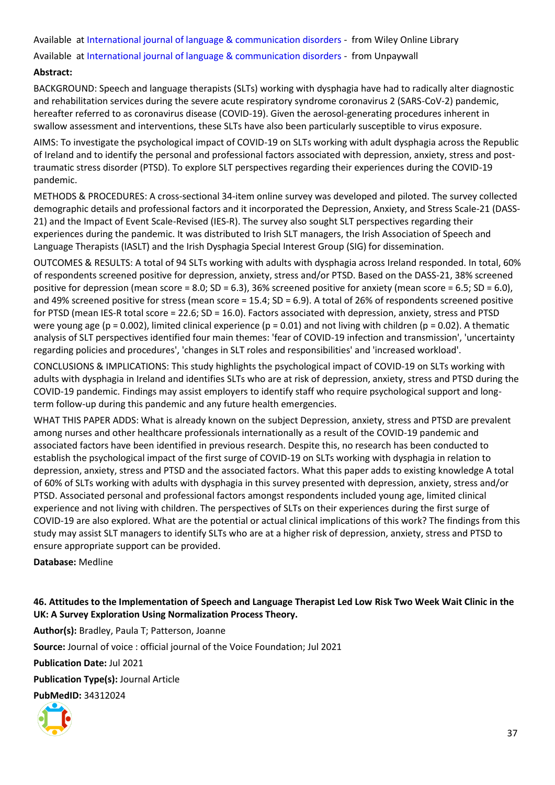Available at [International journal of language & communication disorders](https://go.openathens.net/redirector/nhs?url=https%3A%2F%2Fonlinelibrary.wiley.com%2Fdoi%2Ffull%2F10.1111%2F1460-6984.12654) - from Wiley Online Library Available at [International journal of language & communication disorders](https://onlinelibrary.wiley.com/doi/pdfdirect/10.1111/1460-6984.12654) - from Unpaywall

#### **Abstract:**

BACKGROUND: Speech and language therapists (SLTs) working with dysphagia have had to radically alter diagnostic and rehabilitation services during the severe acute respiratory syndrome coronavirus 2 (SARS-CoV-2) pandemic, hereafter referred to as coronavirus disease (COVID-19). Given the aerosol-generating procedures inherent in swallow assessment and interventions, these SLTs have also been particularly susceptible to virus exposure.

AIMS: To investigate the psychological impact of COVID-19 on SLTs working with adult dysphagia across the Republic of Ireland and to identify the personal and professional factors associated with depression, anxiety, stress and posttraumatic stress disorder (PTSD). To explore SLT perspectives regarding their experiences during the COVID-19 pandemic.

METHODS & PROCEDURES: A cross-sectional 34-item online survey was developed and piloted. The survey collected demographic details and professional factors and it incorporated the Depression, Anxiety, and Stress Scale-21 (DASS-21) and the Impact of Event Scale-Revised (IES-R). The survey also sought SLT perspectives regarding their experiences during the pandemic. It was distributed to Irish SLT managers, the Irish Association of Speech and Language Therapists (IASLT) and the Irish Dysphagia Special Interest Group (SIG) for dissemination.

OUTCOMES & RESULTS: A total of 94 SLTs working with adults with dysphagia across Ireland responded. In total, 60% of respondents screened positive for depression, anxiety, stress and/or PTSD. Based on the DASS-21, 38% screened positive for depression (mean score = 8.0; SD = 6.3), 36% screened positive for anxiety (mean score = 6.5; SD = 6.0), and 49% screened positive for stress (mean score = 15.4; SD = 6.9). A total of 26% of respondents screened positive for PTSD (mean IES-R total score = 22.6; SD = 16.0). Factors associated with depression, anxiety, stress and PTSD were young age (p = 0.002), limited clinical experience (p = 0.01) and not living with children (p = 0.02). A thematic analysis of SLT perspectives identified four main themes: 'fear of COVID-19 infection and transmission', 'uncertainty regarding policies and procedures', 'changes in SLT roles and responsibilities' and 'increased workload'.

CONCLUSIONS & IMPLICATIONS: This study highlights the psychological impact of COVID-19 on SLTs working with adults with dysphagia in Ireland and identifies SLTs who are at risk of depression, anxiety, stress and PTSD during the COVID-19 pandemic. Findings may assist employers to identify staff who require psychological support and longterm follow-up during this pandemic and any future health emergencies.

WHAT THIS PAPER ADDS: What is already known on the subject Depression, anxiety, stress and PTSD are prevalent among nurses and other healthcare professionals internationally as a result of the COVID-19 pandemic and associated factors have been identified in previous research. Despite this, no research has been conducted to establish the psychological impact of the first surge of COVID-19 on SLTs working with dysphagia in relation to depression, anxiety, stress and PTSD and the associated factors. What this paper adds to existing knowledge A total of 60% of SLTs working with adults with dysphagia in this survey presented with depression, anxiety, stress and/or PTSD. Associated personal and professional factors amongst respondents included young age, limited clinical experience and not living with children. The perspectives of SLTs on their experiences during the first surge of COVID-19 are also explored. What are the potential or actual clinical implications of this work? The findings from this study may assist SLT managers to identify SLTs who are at a higher risk of depression, anxiety, stress and PTSD to ensure appropriate support can be provided.

#### **Database:** Medline

<span id="page-36-0"></span>**46. Attitudes to the Implementation of Speech and Language Therapist Led Low Risk Two Week Wait Clinic in the UK: A Survey Exploration Using Normalization Process Theory.**

**Author(s):** Bradley, Paula T; Patterson, Joanne **Source:** Journal of voice : official journal of the Voice Foundation; Jul 2021 **Publication Date:** Jul 2021 **Publication Type(s):** Journal Article **PubMedID:** 34312024

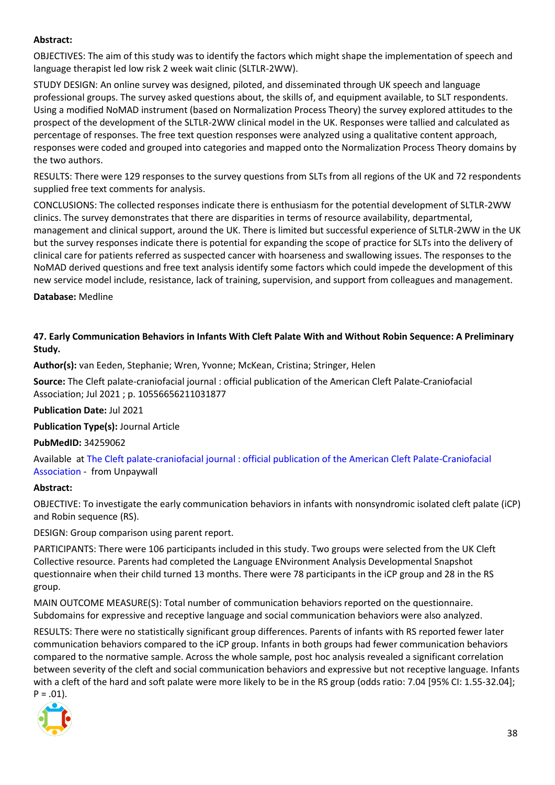#### **Abstract:**

OBJECTIVES: The aim of this study was to identify the factors which might shape the implementation of speech and language therapist led low risk 2 week wait clinic (SLTLR-2WW).

STUDY DESIGN: An online survey was designed, piloted, and disseminated through UK speech and language professional groups. The survey asked questions about, the skills of, and equipment available, to SLT respondents. Using a modified NoMAD instrument (based on Normalization Process Theory) the survey explored attitudes to the prospect of the development of the SLTLR-2WW clinical model in the UK. Responses were tallied and calculated as percentage of responses. The free text question responses were analyzed using a qualitative content approach, responses were coded and grouped into categories and mapped onto the Normalization Process Theory domains by the two authors.

RESULTS: There were 129 responses to the survey questions from SLTs from all regions of the UK and 72 respondents supplied free text comments for analysis.

CONCLUSIONS: The collected responses indicate there is enthusiasm for the potential development of SLTLR-2WW clinics. The survey demonstrates that there are disparities in terms of resource availability, departmental, management and clinical support, around the UK. There is limited but successful experience of SLTLR-2WW in the UK but the survey responses indicate there is potential for expanding the scope of practice for SLTs into the delivery of clinical care for patients referred as suspected cancer with hoarseness and swallowing issues. The responses to the NoMAD derived questions and free text analysis identify some factors which could impede the development of this new service model include, resistance, lack of training, supervision, and support from colleagues and management.

**Database:** Medline

<span id="page-37-0"></span>**47. Early Communication Behaviors in Infants With Cleft Palate With and Without Robin Sequence: A Preliminary Study.**

**Author(s):** van Eeden, Stephanie; Wren, Yvonne; McKean, Cristina; Stringer, Helen

**Source:** The Cleft palate-craniofacial journal : official publication of the American Cleft Palate-Craniofacial Association; Jul 2021 ; p. 10556656211031877

**Publication Date:** Jul 2021

**Publication Type(s):** Journal Article

**PubMedID:** 34259062

Available at [The Cleft palate-craniofacial journal : official publication of the American Cleft Palate-Craniofacial](https://journals.sagepub.com/doi/pdf/10.1177/10556656211031877)  [Association](https://journals.sagepub.com/doi/pdf/10.1177/10556656211031877) - from Unpaywall

#### **Abstract:**

OBJECTIVE: To investigate the early communication behaviors in infants with nonsyndromic isolated cleft palate (iCP) and Robin sequence (RS).

DESIGN: Group comparison using parent report.

PARTICIPANTS: There were 106 participants included in this study. Two groups were selected from the UK Cleft Collective resource. Parents had completed the Language ENvironment Analysis Developmental Snapshot questionnaire when their child turned 13 months. There were 78 participants in the iCP group and 28 in the RS group.

MAIN OUTCOME MEASURE(S): Total number of communication behaviors reported on the questionnaire. Subdomains for expressive and receptive language and social communication behaviors were also analyzed.

RESULTS: There were no statistically significant group differences. Parents of infants with RS reported fewer later communication behaviors compared to the iCP group. Infants in both groups had fewer communication behaviors compared to the normative sample. Across the whole sample, post hoc analysis revealed a significant correlation between severity of the cleft and social communication behaviors and expressive but not receptive language. Infants with a cleft of the hard and soft palate were more likely to be in the RS group (odds ratio: 7.04 [95% CI: 1.55-32.04];

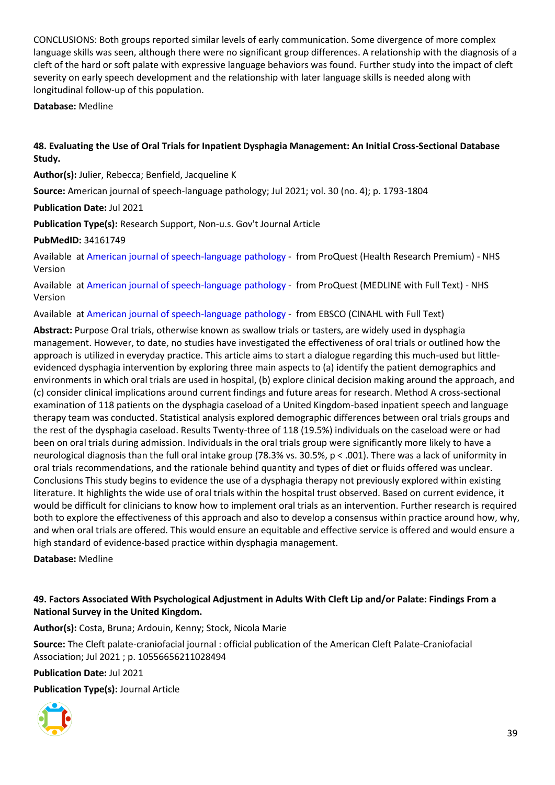CONCLUSIONS: Both groups reported similar levels of early communication. Some divergence of more complex language skills was seen, although there were no significant group differences. A relationship with the diagnosis of a cleft of the hard or soft palate with expressive language behaviors was found. Further study into the impact of cleft severity on early speech development and the relationship with later language skills is needed along with longitudinal follow-up of this population.

**Database:** Medline

#### <span id="page-38-0"></span>**48. Evaluating the Use of Oral Trials for Inpatient Dysphagia Management: An Initial Cross-Sectional Database Study.**

**Author(s):** Julier, Rebecca; Benfield, Jacqueline K

**Source:** American journal of speech-language pathology; Jul 2021; vol. 30 (no. 4); p. 1793-1804

**Publication Date:** Jul 2021

**Publication Type(s):** Research Support, Non-u.s. Gov't Journal Article

#### **PubMedID:** 34161749

Available at [American journal of speech-language pathology](https://gateway.proquest.com/openurl?ctx_ver=Z39.88-2004&res_id=xri:pqm&req_dat=xri:pqil:pq_clntid=48229&rft_val_fmt=ori/fmt:kev:mtx:journal&genre=article&issn=1058-0360&volume=30&issue=4&spage=1793&atitle=Evaluating+the+Use+of+Oral+Trials+for+Inpatient+Dysphagia+Management%3A+An+Initial+Cross-Sectional+Database+Study) - from ProQuest (Health Research Premium) - NHS Version

Available at [American journal of speech-language pathology](https://gateway.proquest.com/openurl?ctx_ver=Z39.88-2004&res_id=xri:pqm&req_dat=xri:pqil:pq_clntid=48229&rft_val_fmt=ori/fmt:kev:mtx:journal&genre=article&issn=1058-0360&volume=30&issue=4&spage=1793&atitle=Evaluating+the+Use+of+Oral+Trials+for+Inpatient+Dysphagia+Management%3A+An+Initial+Cross-Sectional+Database+Study) - from ProQuest (MEDLINE with Full Text) - NHS Version

Available at [American journal of speech-language pathology](https://openurl.ebsco.com/openurl?genre=article&issn=1058-0360&volume=30&issue=4&spage=1793) - from EBSCO (CINAHL with Full Text)

**Abstract:** Purpose Oral trials, otherwise known as swallow trials or tasters, are widely used in dysphagia management. However, to date, no studies have investigated the effectiveness of oral trials or outlined how the approach is utilized in everyday practice. This article aims to start a dialogue regarding this much-used but littleevidenced dysphagia intervention by exploring three main aspects to (a) identify the patient demographics and environments in which oral trials are used in hospital, (b) explore clinical decision making around the approach, and (c) consider clinical implications around current findings and future areas for research. Method A cross-sectional examination of 118 patients on the dysphagia caseload of a United Kingdom-based inpatient speech and language therapy team was conducted. Statistical analysis explored demographic differences between oral trials groups and the rest of the dysphagia caseload. Results Twenty-three of 118 (19.5%) individuals on the caseload were or had been on oral trials during admission. Individuals in the oral trials group were significantly more likely to have a neurological diagnosis than the full oral intake group (78.3% vs. 30.5%, p < .001). There was a lack of uniformity in oral trials recommendations, and the rationale behind quantity and types of diet or fluids offered was unclear. Conclusions This study begins to evidence the use of a dysphagia therapy not previously explored within existing literature. It highlights the wide use of oral trials within the hospital trust observed. Based on current evidence, it would be difficult for clinicians to know how to implement oral trials as an intervention. Further research is required both to explore the effectiveness of this approach and also to develop a consensus within practice around how, why, and when oral trials are offered. This would ensure an equitable and effective service is offered and would ensure a high standard of evidence-based practice within dysphagia management.

**Database:** Medline

#### <span id="page-38-1"></span>**49. Factors Associated With Psychological Adjustment in Adults With Cleft Lip and/or Palate: Findings From a National Survey in the United Kingdom.**

**Author(s):** Costa, Bruna; Ardouin, Kenny; Stock, Nicola Marie

**Source:** The Cleft palate-craniofacial journal : official publication of the American Cleft Palate-Craniofacial Association; Jul 2021 ; p. 10556656211028494

**Publication Date:** Jul 2021

**Publication Type(s):** Journal Article

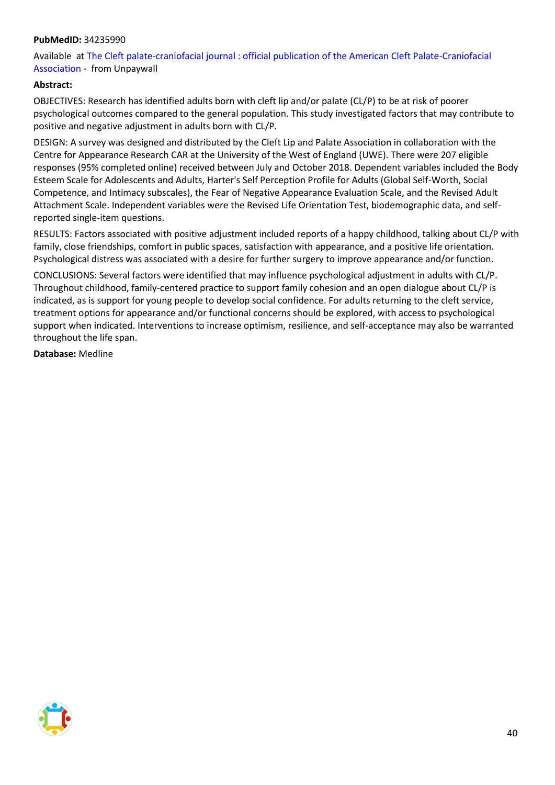#### **PubMedID:** 34235990

Available at [The Cleft palate-craniofacial journal : official publication of the American Cleft Palate-Craniofacial](https://journals.sagepub.com/doi/pdf/10.1177/10556656211028494)  [Association](https://journals.sagepub.com/doi/pdf/10.1177/10556656211028494) - from Unpaywall

#### **Abstract:**

OBJECTIVES: Research has identified adults born with cleft lip and/or palate (CL/P) to be at risk of poorer psychological outcomes compared to the general population. This study investigated factors that may contribute to positive and negative adjustment in adults born with CL/P.

DESIGN: A survey was designed and distributed by the Cleft Lip and Palate Association in collaboration with the Centre for Appearance Research CAR at the University of the West of England (UWE). There were 207 eligible responses (95% completed online) received between July and October 2018. Dependent variables included the Body Esteem Scale for Adolescents and Adults, Harter's Self Perception Profile for Adults (Global Self-Worth, Social Competence, and Intimacy subscales), the Fear of Negative Appearance Evaluation Scale, and the Revised Adult Attachment Scale. Independent variables were the Revised Life Orientation Test, biodemographic data, and selfreported single-item questions.

RESULTS: Factors associated with positive adjustment included reports of a happy childhood, talking about CL/P with family, close friendships, comfort in public spaces, satisfaction with appearance, and a positive life orientation. Psychological distress was associated with a desire for further surgery to improve appearance and/or function.

CONCLUSIONS: Several factors were identified that may influence psychological adjustment in adults with CL/P. Throughout childhood, family-centered practice to support family cohesion and an open dialogue about CL/P is indicated, as is support for young people to develop social confidence. For adults returning to the cleft service, treatment options for appearance and/or functional concerns should be explored, with access to psychological support when indicated. Interventions to increase optimism, resilience, and self-acceptance may also be warranted throughout the life span.

**Database:** Medline

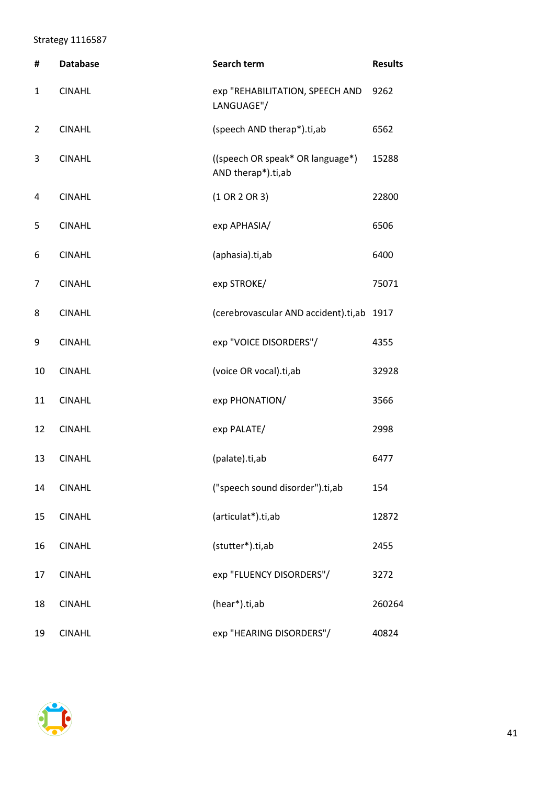### <span id="page-40-0"></span>Strategy 1116587

| #  | <b>Database</b> | <b>Search term</b>                                     | <b>Results</b> |
|----|-----------------|--------------------------------------------------------|----------------|
| 1  | <b>CINAHL</b>   | exp "REHABILITATION, SPEECH AND<br>LANGUAGE"/          | 9262           |
| 2  | <b>CINAHL</b>   | (speech AND therap*).ti,ab                             | 6562           |
| 3  | <b>CINAHL</b>   | ((speech OR speak* OR language*)<br>AND therap*).ti,ab | 15288          |
| 4  | <b>CINAHL</b>   | $(1$ OR 2 OR 3)                                        | 22800          |
| 5  | <b>CINAHL</b>   | exp APHASIA/                                           | 6506           |
| 6  | <b>CINAHL</b>   | (aphasia).ti,ab                                        | 6400           |
| 7  | <b>CINAHL</b>   | exp STROKE/                                            | 75071          |
| 8  | <b>CINAHL</b>   | (cerebrovascular AND accident).ti,ab                   | 1917           |
| 9  | <b>CINAHL</b>   | exp "VOICE DISORDERS"/                                 | 4355           |
| 10 | <b>CINAHL</b>   | (voice OR vocal).ti,ab                                 | 32928          |
| 11 | <b>CINAHL</b>   | exp PHONATION/                                         | 3566           |
| 12 | <b>CINAHL</b>   | exp PALATE/                                            | 2998           |
| 13 | <b>CINAHL</b>   | (palate).ti,ab                                         | 6477           |
| 14 | <b>CINAHL</b>   | ("speech sound disorder").ti,ab                        | 154            |
| 15 | <b>CINAHL</b>   | (articulat*).ti,ab                                     | 12872          |
| 16 | <b>CINAHL</b>   | (stutter*).ti,ab                                       | 2455           |
| 17 | <b>CINAHL</b>   | exp "FLUENCY DISORDERS"/                               | 3272           |
| 18 | <b>CINAHL</b>   | (hear*).ti,ab                                          | 260264         |
| 19 | <b>CINAHL</b>   | exp "HEARING DISORDERS"/                               | 40824          |

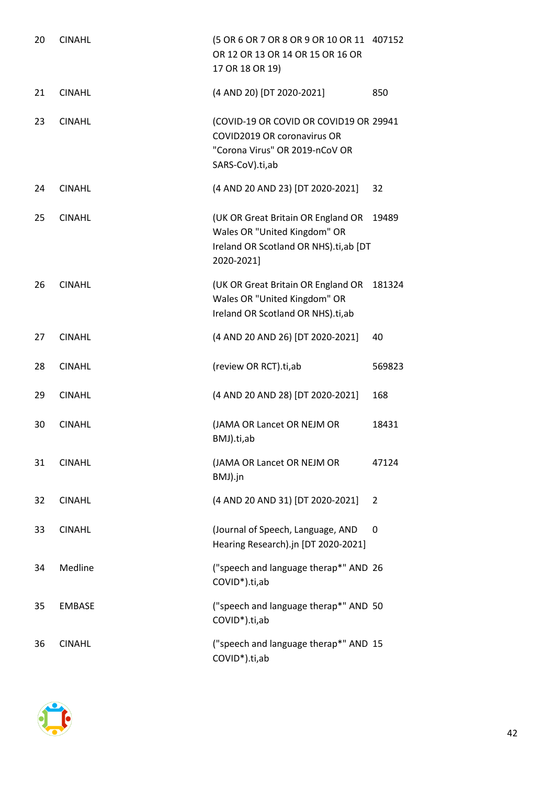| 20 | <b>CINAHL</b> | (5 OR 6 OR 7 OR 8 OR 9 OR 10 OR 11<br>OR 12 OR 13 OR 14 OR 15 OR 16 OR<br>17 OR 18 OR 19)                                  | 407152 |
|----|---------------|----------------------------------------------------------------------------------------------------------------------------|--------|
| 21 | <b>CINAHL</b> | (4 AND 20) [DT 2020-2021]                                                                                                  | 850    |
| 23 | <b>CINAHL</b> | (COVID-19 OR COVID OR COVID19 OR 29941<br>COVID2019 OR coronavirus OR<br>"Corona Virus" OR 2019-nCoV OR<br>SARS-CoV).ti,ab |        |
| 24 | <b>CINAHL</b> | (4 AND 20 AND 23) [DT 2020-2021]                                                                                           | 32     |
| 25 | <b>CINAHL</b> | (UK OR Great Britain OR England OR<br>Wales OR "United Kingdom" OR<br>Ireland OR Scotland OR NHS).ti,ab [DT<br>2020-2021]  | 19489  |
| 26 | <b>CINAHL</b> | (UK OR Great Britain OR England OR<br>Wales OR "United Kingdom" OR<br>Ireland OR Scotland OR NHS).ti,ab                    | 181324 |
| 27 | <b>CINAHL</b> | (4 AND 20 AND 26) [DT 2020-2021]                                                                                           | 40     |
| 28 | <b>CINAHL</b> | (review OR RCT).ti,ab                                                                                                      | 569823 |
| 29 | <b>CINAHL</b> | (4 AND 20 AND 28) [DT 2020-2021]                                                                                           | 168    |
| 30 | <b>CINAHL</b> | (JAMA OR Lancet OR NEJM OR                                                                                                 | 18431  |
|    |               | BMJ).ti,ab                                                                                                                 |        |
| 31 | <b>CINAHL</b> | (JAMA OR Lancet OR NEJM OR<br>BMJ).jn                                                                                      | 47124  |
| 32 | <b>CINAHL</b> | (4 AND 20 AND 31) [DT 2020-2021]                                                                                           | 2      |
| 33 | <b>CINAHL</b> | (Journal of Speech, Language, AND<br>Hearing Research).jn [DT 2020-2021]                                                   | 0      |
| 34 | Medline       | ("speech and language therap*" AND 26<br>COVID <sup>*</sup> ).ti,ab                                                        |        |
| 35 | <b>EMBASE</b> | ("speech and language therap*" AND 50<br>COVID <sup>*</sup> ).ti,ab                                                        |        |

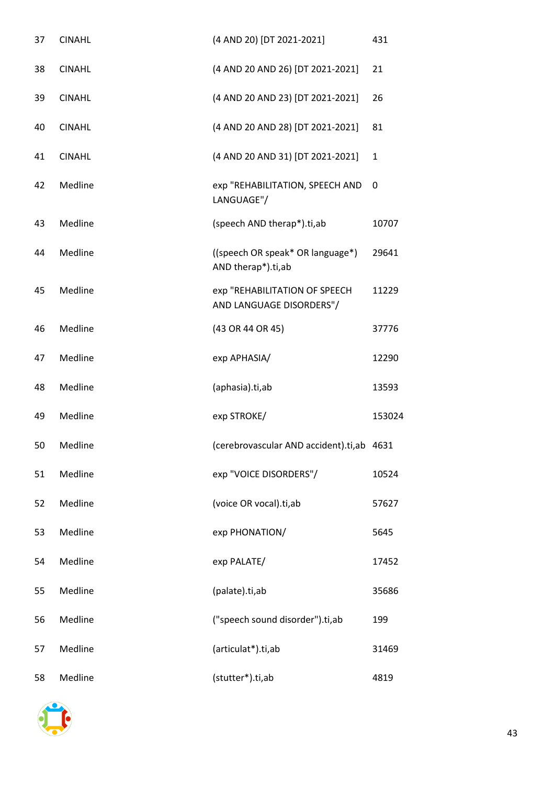| 37 | <b>CINAHL</b> | (4 AND 20) [DT 2021-2021]                                 | 431          |
|----|---------------|-----------------------------------------------------------|--------------|
| 38 | <b>CINAHL</b> | (4 AND 20 AND 26) [DT 2021-2021]                          | 21           |
| 39 | <b>CINAHL</b> | (4 AND 20 AND 23) [DT 2021-2021]                          | 26           |
| 40 | <b>CINAHL</b> | (4 AND 20 AND 28) [DT 2021-2021]                          | 81           |
| 41 | <b>CINAHL</b> | (4 AND 20 AND 31) [DT 2021-2021]                          | $\mathbf{1}$ |
| 42 | Medline       | exp "REHABILITATION, SPEECH AND<br>LANGUAGE"/             | 0            |
| 43 | Medline       | (speech AND therap*).ti,ab                                | 10707        |
| 44 | Medline       | ((speech OR speak* OR language*)<br>AND therap*).ti,ab    | 29641        |
| 45 | Medline       | exp "REHABILITATION OF SPEECH<br>AND LANGUAGE DISORDERS"/ | 11229        |
| 46 | Medline       | (43 OR 44 OR 45)                                          | 37776        |
| 47 | Medline       | exp APHASIA/                                              | 12290        |
| 48 | Medline       | (aphasia).ti,ab                                           | 13593        |
| 49 | Medline       | exp STROKE/                                               | 153024       |
| 50 | Medline       | (cerebrovascular AND accident).ti,ab 4631                 |              |
| 51 | Medline       | exp "VOICE DISORDERS"/                                    | 10524        |
| 52 | Medline       | (voice OR vocal).ti,ab                                    | 57627        |
| 53 | Medline       | exp PHONATION/                                            | 5645         |
| 54 | Medline       | exp PALATE/                                               | 17452        |
| 55 | Medline       | (palate).ti,ab                                            | 35686        |
| 56 | Medline       | ("speech sound disorder").ti,ab                           | 199          |
| 57 | Medline       | (articulat*).ti,ab                                        | 31469        |
| 58 | Medline       | (stutter*).ti,ab                                          | 4819         |

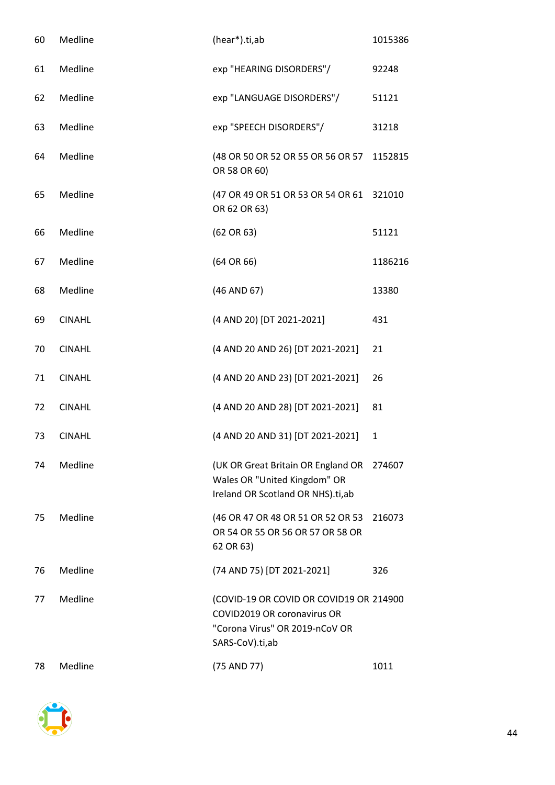| 60 | Medline       | (hear*).ti,ab                                                                                                               | 1015386      |
|----|---------------|-----------------------------------------------------------------------------------------------------------------------------|--------------|
| 61 | Medline       | exp "HEARING DISORDERS"/                                                                                                    | 92248        |
| 62 | Medline       | exp "LANGUAGE DISORDERS"/                                                                                                   | 51121        |
| 63 | Medline       | exp "SPEECH DISORDERS"/                                                                                                     | 31218        |
| 64 | Medline       | (48 OR 50 OR 52 OR 55 OR 56 OR 57 1152815<br>OR 58 OR 60)                                                                   |              |
| 65 | Medline       | (47 OR 49 OR 51 OR 53 OR 54 OR 61<br>OR 62 OR 63)                                                                           | 321010       |
| 66 | Medline       | (62 OR 63)                                                                                                                  | 51121        |
| 67 | Medline       | $(64$ OR $66)$                                                                                                              | 1186216      |
| 68 | Medline       | (46 AND 67)                                                                                                                 | 13380        |
| 69 | <b>CINAHL</b> | (4 AND 20) [DT 2021-2021]                                                                                                   | 431          |
| 70 | <b>CINAHL</b> | (4 AND 20 AND 26) [DT 2021-2021]                                                                                            | 21           |
| 71 | <b>CINAHL</b> | (4 AND 20 AND 23) [DT 2021-2021]                                                                                            | 26           |
| 72 | <b>CINAHL</b> | (4 AND 20 AND 28) [DT 2021-2021]                                                                                            | 81           |
| 73 | <b>CINAHL</b> | (4 AND 20 AND 31) [DT 2021-2021]                                                                                            | $\mathbf{1}$ |
| 74 | Medline       | (UK OR Great Britain OR England OR 274607<br>Wales OR "United Kingdom" OR<br>Ireland OR Scotland OR NHS).ti,ab              |              |
| 75 | Medline       | (46 OR 47 OR 48 OR 51 OR 52 OR 53<br>OR 54 OR 55 OR 56 OR 57 OR 58 OR<br>62 OR 63)                                          | 216073       |
| 76 | Medline       | (74 AND 75) [DT 2021-2021]                                                                                                  | 326          |
| 77 | Medline       | (COVID-19 OR COVID OR COVID19 OR 214900<br>COVID2019 OR coronavirus OR<br>"Corona Virus" OR 2019-nCoV OR<br>SARS-CoV).ti,ab |              |
| 78 | Medline       | (75 AND 77)                                                                                                                 | 1011         |